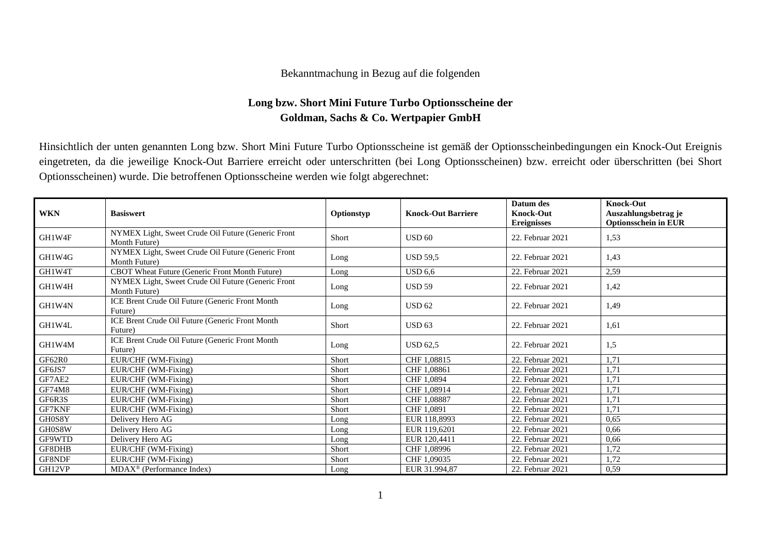## Bekanntmachung in Bezug auf die folgenden

## **Long bzw. Short Mini Future Turbo Optionsscheine der Goldman, Sachs & Co. Wertpapier GmbH**

Hinsichtlich der unten genannten Long bzw. Short Mini Future Turbo Optionsscheine ist gemäß der Optionsscheinbedingungen ein Knock-Out Ereignis eingetreten, da die jeweilige Knock-Out Barriere erreicht oder unterschritten (bei Long Optionsscheinen) bzw. erreicht oder überschritten (bei Short Optionsscheinen) wurde. Die betroffenen Optionsscheine werden wie folgt abgerechnet:

| <b>WKN</b>    | <b>Basiswert</b>                                                    | Optionstyp   | <b>Knock-Out Barriere</b> | Datum des<br><b>Knock-Out</b><br><b>Ereignisses</b> | <b>Knock-Out</b><br>Auszahlungsbetrag je<br><b>Optionsschein in EUR</b> |
|---------------|---------------------------------------------------------------------|--------------|---------------------------|-----------------------------------------------------|-------------------------------------------------------------------------|
| GH1W4F        | NYMEX Light, Sweet Crude Oil Future (Generic Front<br>Month Future) | <b>Short</b> | USD <sub>60</sub>         | 22. Februar 2021                                    | 1,53                                                                    |
| GH1W4G        | NYMEX Light, Sweet Crude Oil Future (Generic Front<br>Month Future) | Long         | <b>USD 59,5</b>           | 22. Februar 2021                                    | 1,43                                                                    |
| GH1W4T        | CBOT Wheat Future (Generic Front Month Future)                      | Long         | <b>USD 6,6</b>            | 22. Februar 2021                                    | 2,59                                                                    |
| GH1W4H        | NYMEX Light, Sweet Crude Oil Future (Generic Front<br>Month Future) | Long         | <b>USD 59</b>             | 22. Februar 2021                                    | 1,42                                                                    |
| GH1W4N        | ICE Brent Crude Oil Future (Generic Front Month<br>Future)          | Long         | USD 62                    | 22. Februar 2021                                    | 1,49                                                                    |
| GH1W4L        | ICE Brent Crude Oil Future (Generic Front Month<br>Future)          | Short        | USD 63                    | 22. Februar 2021                                    | 1,61                                                                    |
| GH1W4M        | ICE Brent Crude Oil Future (Generic Front Month<br>Future)          | Long         | <b>USD 62,5</b>           | 22. Februar 2021                                    | 1,5                                                                     |
| GF62R0        | EUR/CHF (WM-Fixing)                                                 | Short        | CHF 1,08815               | 22. Februar 2021                                    | 1.71                                                                    |
| GF6JS7        | EUR/CHF (WM-Fixing)                                                 | Short        | CHF 1,08861               | 22. Februar 2021                                    | 1,71                                                                    |
| GF7AE2        | EUR/CHF (WM-Fixing)                                                 | Short        | CHF 1.0894                | 22. Februar 2021                                    | 1,71                                                                    |
| <b>GF74M8</b> | EUR/CHF (WM-Fixing)                                                 | Short        | CHF 1,08914               | 22. Februar 2021                                    | 1.71                                                                    |
| GF6R3S        | EUR/CHF (WM-Fixing)                                                 | Short        | CHF 1.08887               | 22. Februar 2021                                    | 1,71                                                                    |
| GF7KNF        | EUR/CHF (WM-Fixing)                                                 | Short        | CHF 1.0891                | 22. Februar 2021                                    | 1.71                                                                    |
| GH0S8Y        | Delivery Hero AG                                                    | Long         | EUR 118,8993              | 22. Februar 2021                                    | 0,65                                                                    |
| GH0S8W        | Delivery Hero AG                                                    | Long         | EUR 119,6201              | 22. Februar 2021                                    | 0,66                                                                    |
| GF9WTD        | Delivery Hero AG                                                    | Long         | EUR 120,4411              | 22. Februar 2021                                    | 0,66                                                                    |
| GF8DHB        | EUR/CHF (WM-Fixing)                                                 | Short        | CHF 1,08996               | 22. Februar 2021                                    | 1,72                                                                    |
| GF8NDF        | EUR/CHF (WM-Fixing)                                                 | Short        | CHF 1.09035               | 22. Februar 2021                                    | 1,72                                                                    |
| GH12VP        | $MDAX^{\circledR}$ (Performance Index)                              | Long         | EUR 31.994.87             | 22. Februar 2021                                    | 0,59                                                                    |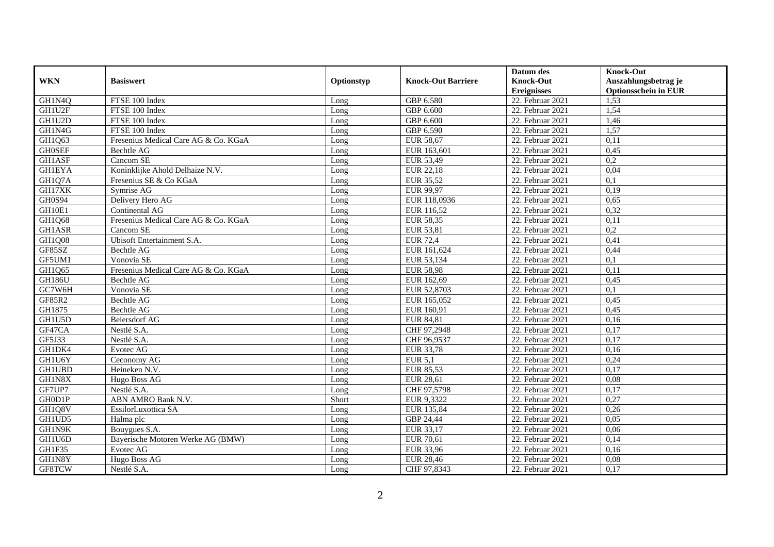|               |                                      |            |                           | Datum des          | <b>Knock-Out</b>            |
|---------------|--------------------------------------|------------|---------------------------|--------------------|-----------------------------|
| <b>WKN</b>    | <b>Basiswert</b>                     | Optionstyp | <b>Knock-Out Barriere</b> | <b>Knock-Out</b>   | Auszahlungsbetrag je        |
|               |                                      |            |                           | <b>Ereignisses</b> | <b>Optionsschein in EUR</b> |
| GH1N4Q        | FTSE 100 Index                       | Long       | GBP 6.580                 | 22. Februar 2021   | 1,53                        |
| GH1U2F        | FTSE 100 Index                       | Long       | GBP 6.600                 | 22. Februar 2021   | 1,54                        |
| GH1U2D        | FTSE 100 Index                       | Long       | GBP 6.600                 | 22. Februar 2021   | 1,46                        |
| GH1N4G        | FTSE 100 Index                       | Long       | GBP 6.590                 | 22. Februar 2021   | 1,57                        |
| GH1Q63        | Fresenius Medical Care AG & Co. KGaA | Long       | <b>EUR 58,67</b>          | 22. Februar 2021   | 0,11                        |
| <b>GH0SEF</b> | <b>Bechtle AG</b>                    | Long       | EUR 163,601               | 22. Februar 2021   | 0,45                        |
| <b>GH1ASF</b> | Cancom SE                            | Long       | EUR 53,49                 | 22. Februar 2021   | 0.2                         |
| <b>GH1EYA</b> | Koninklijke Ahold Delhaize N.V.      | Long       | EUR 22,18                 | 22. Februar 2021   | 0,04                        |
| GH1Q7A        | Fresenius SE & Co KGaA               | Long       | <b>EUR 35,52</b>          | 22. Februar 2021   | 0,1                         |
| GH17XK        | Symrise AG                           | Long       | EUR 99,97                 | 22. Februar 2021   | 0,19                        |
| <b>GH0S94</b> | Delivery Hero AG                     | Long       | EUR 118,0936              | 22. Februar 2021   | 0,65                        |
| GH10E1        | Continental AG                       | Long       | EUR 116,52                | 22. Februar 2021   | 0,32                        |
| GH1Q68        | Fresenius Medical Care AG & Co. KGaA | Long       | <b>EUR 58,35</b>          | 22. Februar 2021   | 0,11                        |
| <b>GH1ASR</b> | Cancom SE                            | Long       | EUR 53,81                 | 22. Februar 2021   | 0,2                         |
| <b>GH1Q08</b> | Ubisoft Entertainment S.A.           | Long       | <b>EUR 72,4</b>           | 22. Februar 2021   | 0,41                        |
| GF85SZ        | <b>Bechtle AG</b>                    | Long       | EUR 161,624               | 22. Februar 2021   | 0,44                        |
| GF5UM1        | Vonovia SE                           | Long       | EUR 53,134                | 22. Februar 2021   | 0,1                         |
| GH1Q65        | Fresenius Medical Care AG & Co. KGaA | Long       | <b>EUR 58,98</b>          | 22. Februar 2021   | 0,11                        |
| <b>GH186U</b> | Bechtle AG                           | Long       | EUR 162,69                | 22. Februar 2021   | 0,45                        |
| GC7W6H        | Vonovia SE                           | Long       | EUR 52,8703               | 22. Februar 2021   | 0,1                         |
| GF85R2        | Bechtle AG                           | Long       | EUR 165,052               | 22. Februar 2021   | 0,45                        |
| GH1875        | <b>Bechtle AG</b>                    | Long       | EUR 160.91                | 22. Februar 2021   | 0,45                        |
| GH1U5D        | <b>Beiersdorf AG</b>                 | Long       | EUR 84,81                 | 22. Februar 2021   | 0,16                        |
| GF47CA        | Nestlé S.A.                          | Long       | CHF 97,2948               | 22. Februar 2021   | 0,17                        |
| GF5J33        | Nestlé S.A.                          | Long       | CHF 96,9537               | 22. Februar 2021   | 0,17                        |
| GH1DK4        | Evotec AG                            | Long       | EUR 33,78                 | 22. Februar 2021   | 0,16                        |
| GH1U6Y        | Ceconomy AG                          | Long       | <b>EUR 5,1</b>            | 22. Februar 2021   | 0,24                        |
| <b>GH1UBD</b> | Heineken N.V.                        | Long       | EUR 85,53                 | 22. Februar 2021   | 0,17                        |
| GH1N8X        | Hugo Boss AG                         | Long       | EUR 28,61                 | 22. Februar 2021   | 0,08                        |
| GF7UP7        | Nestlé S.A.                          | Long       | CHF 97,5798               | 22. Februar 2021   | 0,17                        |
| GH0D1P        | ABN AMRO Bank N.V.                   | Short      | EUR 9,3322                | 22. Februar 2021   | 0,27                        |
| GH1Q8V        | EssilorLuxottica SA                  | Long       | EUR 135,84                | 22. Februar 2021   | 0,26                        |
| GH1UD5        | Halma plc                            | Long       | GBP 24,44                 | 22. Februar 2021   | 0,05                        |
| GH1N9K        | Bouygues S.A.                        | Long       | EUR 33,17                 | 22. Februar 2021   | 0,06                        |
| GH1U6D        | Bayerische Motoren Werke AG (BMW)    | Long       | EUR 70,61                 | 22. Februar 2021   | 0,14                        |
| GH1F35        | Evotec AG                            | Long       | EUR 33,96                 | 22. Februar 2021   | 0,16                        |
| GH1N8Y        | Hugo Boss AG                         | Long       | <b>EUR 28,46</b>          | 22. Februar 2021   | 0,08                        |
| GF8TCW        | Nestlé S.A.                          | Long       | CHF 97,8343               | 22. Februar 2021   | 0,17                        |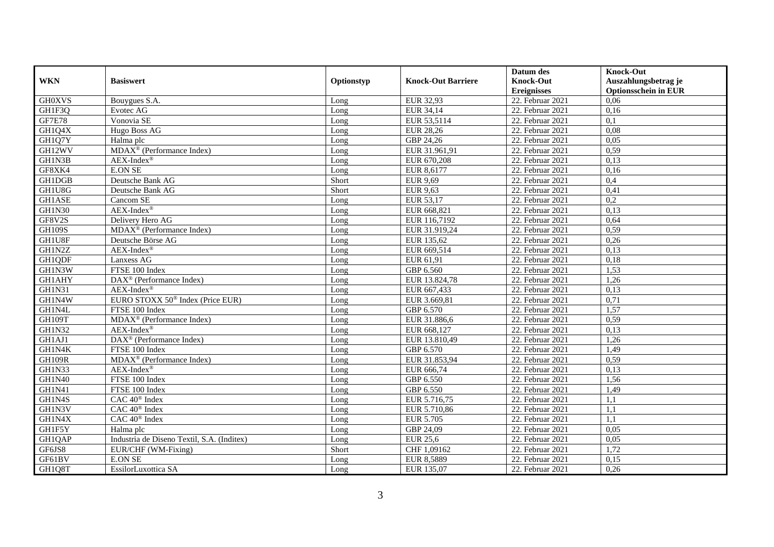|               |                                              |            |                           | Datum des          | <b>Knock-Out</b>            |
|---------------|----------------------------------------------|------------|---------------------------|--------------------|-----------------------------|
| <b>WKN</b>    | <b>Basiswert</b>                             | Optionstyp | <b>Knock-Out Barriere</b> | <b>Knock-Out</b>   | Auszahlungsbetrag je        |
|               |                                              |            |                           | <b>Ereignisses</b> | <b>Optionsschein in EUR</b> |
| <b>GH0XVS</b> | Bouygues S.A.                                | Long       | EUR 32,93                 | 22. Februar 2021   | 0,06                        |
| GH1F3Q        | Evotec AG                                    | Long       | EUR 34,14                 | 22. Februar 2021   | 0,16                        |
| <b>GF7E78</b> | Vonovia SE                                   | Long       | EUR 53,5114               | 22. Februar 2021   | 0,1                         |
| GH1Q4X        | Hugo Boss AG                                 | Long       | <b>EUR 28,26</b>          | 22. Februar 2021   | 0,08                        |
| GH1Q7Y        | Halma plc                                    | Long       | GBP 24,26                 | 22. Februar 2021   | 0,05                        |
| GH12WV        | MDAX <sup>®</sup> (Performance Index)        | Long       | EUR 31.961,91             | 22. Februar 2021   | 0,59                        |
| GH1N3B        | $AEX-Index^{\circledR}$                      | Long       | EUR 670,208               | 22. Februar 2021   | 0,13                        |
| GF8XK4        | <b>E.ON SE</b>                               | Long       | EUR 8,6177                | 22. Februar 2021   | 0,16                        |
| GH1DGB        | Deutsche Bank AG                             | Short      | <b>EUR 9,69</b>           | 22. Februar 2021   | 0,4                         |
| GH1U8G        | Deutsche Bank AG                             | Short      | <b>EUR 9,63</b>           | 22. Februar 2021   | 0,41                        |
| <b>GH1ASE</b> | Cancom SE                                    | Long       | EUR 53,17                 | 22. Februar 2021   | $\overline{0,2}$            |
| <b>GH1N30</b> | $AEX-Index^{\circledR}$                      | Long       | EUR 668,821               | 22. Februar 2021   | 0,13                        |
| GF8V2S        | Delivery Hero AG                             | Long       | EUR 116,7192              | 22. Februar 2021   | 0,64                        |
| <b>GH109S</b> | $MDAX^{\circledR}$ (Performance Index)       | Long       | EUR 31.919.24             | 22. Februar 2021   | 0,59                        |
| GH1U8F        | Deutsche Börse AG                            | Long       | EUR 135,62                | 22. Februar 2021   | 0,26                        |
| GH1N2Z        | $AEX-Index^{\circledR}$                      | Long       | EUR 669,514               | 22. Februar 2021   | 0,13                        |
| GH1QDF        | Lanxess AG                                   | Long       | EUR 61,91                 | $22.$ Februar 2021 | 0,18                        |
| GH1N3W        | FTSE 100 Index                               | Long       | GBP 6.560                 | 22. Februar 2021   | 1,53                        |
| <b>GH1AHY</b> | $DAX^{\circledR}$ (Performance Index)        | Long       | EUR 13.824,78             | 22. Februar 2021   | 1,26                        |
| GH1N31        | $AEX-Index^{\circledR}$                      | Long       | EUR 667,433               | 22. Februar 2021   | 0,13                        |
| GH1N4W        | EURO STOXX 50 <sup>®</sup> Index (Price EUR) | Long       | EUR 3.669,81              | 22. Februar 2021   | 0,71                        |
| GH1N4L        | FTSE 100 Index                               | Long       | GBP 6.570                 | 22. Februar 2021   | 1,57                        |
| GH109T        | MDAX <sup>®</sup> (Performance Index)        | Long       | EUR 31.886,6              | 22. Februar 2021   | 0,59                        |
| GH1N32        | $AEX-Index^{\circledR}$                      | Long       | EUR 668,127               | 22. Februar 2021   | 0,13                        |
| GH1AJ1        | $\text{DAX}^{\circledR}$ (Performance Index) | Long       | EUR 13.810,49             | 22. Februar 2021   | 1,26                        |
| GH1N4K        | FTSE 100 Index                               | Long       | GBP 6.570                 | 22. Februar 2021   | 1,49                        |
| <b>GH109R</b> | MDAX <sup>®</sup> (Performance Index)        | Long       | EUR 31.853,94             | 22. Februar 2021   | 0,59                        |
| GH1N33        | $AEX-Index^{\circledR}$                      | Long       | EUR 666,74                | 22. Februar 2021   | 0,13                        |
| <b>GH1N40</b> | FTSE 100 Index                               | Long       | GBP 6.550                 | 22. Februar 2021   | 1,56                        |
| GH1N41        | FTSE 100 Index                               | Long       | GBP 6.550                 | 22. Februar 2021   | 1,49                        |
| GH1N4S        | CAC 40 <sup>®</sup> Index                    | Long       | EUR 5.716,75              | 22. Februar 2021   | 1,1                         |
| GH1N3V        | CAC 40 <sup>®</sup> Index                    | Long       | EUR 5.710,86              | 22. Februar 2021   | 1.1                         |
| GH1N4X        | CAC 40 <sup>®</sup> Index                    | Long       | <b>EUR 5.705</b>          | 22. Februar 2021   | 1,1                         |
| GH1F5Y        | Halma plc                                    | Long       | GBP 24,09                 | 22. Februar 2021   | 0,05                        |
| GH1QAP        | Industria de Diseno Textil, S.A. (Inditex)   | Long       | EUR 25,6                  | 22. Februar 2021   | 0,05                        |
| GF6JS8        | EUR/CHF (WM-Fixing)                          | Short      | CHF 1,09162               | 22. Februar 2021   | 1,72                        |
| GF61BV        | <b>E.ON SE</b>                               | Long       | EUR 8,5889                | 22. Februar 2021   | 0,15                        |
| GH1Q8T        | EssilorLuxottica SA                          | Long       | EUR 135,07                | 22. Februar 2021   | 0,26                        |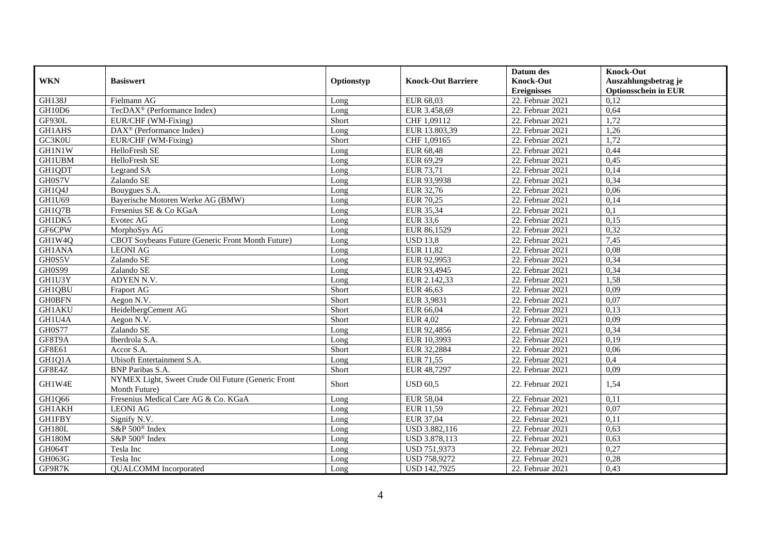|               |                                                                     |            |                           | Datum des          | <b>Knock-Out</b>            |
|---------------|---------------------------------------------------------------------|------------|---------------------------|--------------------|-----------------------------|
| <b>WKN</b>    | <b>Basiswert</b>                                                    | Optionstyp | <b>Knock-Out Barriere</b> | <b>Knock-Out</b>   | Auszahlungsbetrag je        |
|               |                                                                     |            |                           | <b>Ereignisses</b> | <b>Optionsschein in EUR</b> |
| <b>GH138J</b> | Fielmann AG                                                         | Long       | EUR 68,03                 | 22. Februar 2021   | 0,12                        |
| GH10D6        | TecDAX <sup>®</sup> (Performance Index)                             | Long       | EUR 3.458,69              | 22. Februar 2021   | 0,64                        |
| <b>GF930L</b> | EUR/CHF (WM-Fixing)                                                 | Short      | CHF 1,09112               | 22. Februar 2021   | 1,72                        |
| GH1AHS        | DAX <sup>®</sup> (Performance Index)                                | Long       | EUR 13.803,39             | 22. Februar 2021   | 1,26                        |
| GC3K0U        | EUR/CHF (WM-Fixing)                                                 | Short      | CHF 1,09165               | 22. Februar 2021   | 1,72                        |
| <b>GH1N1W</b> | HelloFresh SE                                                       | Long       | EUR 68,48                 | 22. Februar 2021   | 0,44                        |
| <b>GH1UBM</b> | HelloFresh SE                                                       | Long       | EUR 69,29                 | 22. Februar 2021   | 0,45                        |
| GH1QDT        | Legrand SA                                                          | Long       | EUR 73,71                 | 22. Februar 2021   | 0,14                        |
| GH0S7V        | Zalando SE                                                          | Long       | EUR 93,9938               | 22. Februar 2021   | 0,34                        |
| GH1Q4J        | Bouygues S.A.                                                       | Long       | EUR 32,76                 | 22. Februar 2021   | 0,06                        |
| GH1U69        | Bayerische Motoren Werke AG (BMW)                                   | Long       | <b>EUR 70,25</b>          | 22. Februar 2021   | 0,14                        |
| GH1Q7B        | Fresenius SE & Co KGaA                                              | Long       | EUR 35,34                 | 22. Februar 2021   | 0,1                         |
| GH1DK5        | Evotec AG                                                           | $L$ ong    | EUR 33,6                  | 22. Februar 2021   | 0,15                        |
| GF6CPW        | MorphoSys AG                                                        | Long       | EUR 86,1529               | 22. Februar 2021   | 0,32                        |
| GH1W4Q        | CBOT Soybeans Future (Generic Front Month Future)                   | Long       | <b>USD 13,8</b>           | 22. Februar 2021   | 7,45                        |
| <b>GH1ANA</b> | <b>LEONI AG</b>                                                     | Long       | EUR 11,82                 | 22. Februar 2021   | 0,08                        |
| GH0S5V        | Zalando SE                                                          | Long       | EUR 92,9953               | 22. Februar 2021   | 0,34                        |
| <b>GH0S99</b> | Zalando SE                                                          | Long       | EUR 93,4945               | $22.$ Februar 2021 | 0,34                        |
| GH1U3Y        | ADYEN N.V.                                                          | Long       | EUR 2.142,33              | 22. Februar 2021   | 1,58                        |
| GH1QBU        | Fraport AG                                                          | Short      | EUR 46,63                 | 22. Februar 2021   | 0,09                        |
| <b>GH0BFN</b> | Aegon N.V.                                                          | Short      | EUR 3,9831                | 22. Februar 2021   | 0,07                        |
| <b>GH1AKU</b> | HeidelbergCement AG                                                 | Short      | EUR 66,04                 | 22. Februar 2021   | 0,13                        |
| GH1U4A        | Aegon N.V.                                                          | Short      | <b>EUR 4,02</b>           | 22. Februar 2021   | 0,09                        |
| <b>GH0S77</b> | Zalando SE                                                          | Long       | EUR 92,4856               | 22. Februar 2021   | 0,34                        |
| GF8T9A        | Iberdrola S.A.                                                      | Long       | EUR 10,3993               | 22. Februar 2021   | 0,19                        |
| GF8E61        | Accor S.A.                                                          | Short      | EUR 32,2884               | 22. Februar 2021   | 0,06                        |
| GH1Q1A        | Ubisoft Entertainment S.A.                                          | Long       | EUR 71,55                 | 22. Februar 2021   | 0,4                         |
| GF8E4Z        | <b>BNP</b> Paribas S.A.                                             | Short      | EUR 48,7297               | 22. Februar 2021   | 0,09                        |
| GH1W4E        | NYMEX Light, Sweet Crude Oil Future (Generic Front<br>Month Future) | Short      | <b>USD 60,5</b>           | 22. Februar 2021   | 1,54                        |
| GH1Q66        | Fresenius Medical Care AG & Co. KGaA                                | Long       | <b>EUR 58,04</b>          | 22. Februar 2021   | 0,11                        |
| GH1AKH        | <b>LEONI AG</b>                                                     | Long       | EUR 11,59                 | 22. Februar 2021   | 0,07                        |
| <b>GH1FBY</b> | Signify N.V.                                                        | Long       | EUR 37,04                 | 22. Februar 2021   | 0,11                        |
| GH180L        | S&P 500 <sup>®</sup> Index                                          | Long       | USD 3.882,116             | 22. Februar 2021   | 0,63                        |
| GH180M        | S&P 500 <sup>®</sup> Index                                          | Long       | USD 3.878,113             | 22. Februar 2021   | 0,63                        |
| GH064T        | Tesla Inc                                                           | Long       | USD 751,9373              | 22. Februar 2021   | 0,27                        |
| GH063G        | Tesla Inc                                                           | Long       | USD 758,9272              | 22. Februar 2021   | 0,28                        |
| GF9R7K        | <b>QUALCOMM</b> Incorporated                                        | Long       | <b>USD 142,7925</b>       | 22. Februar 2021   | 0,43                        |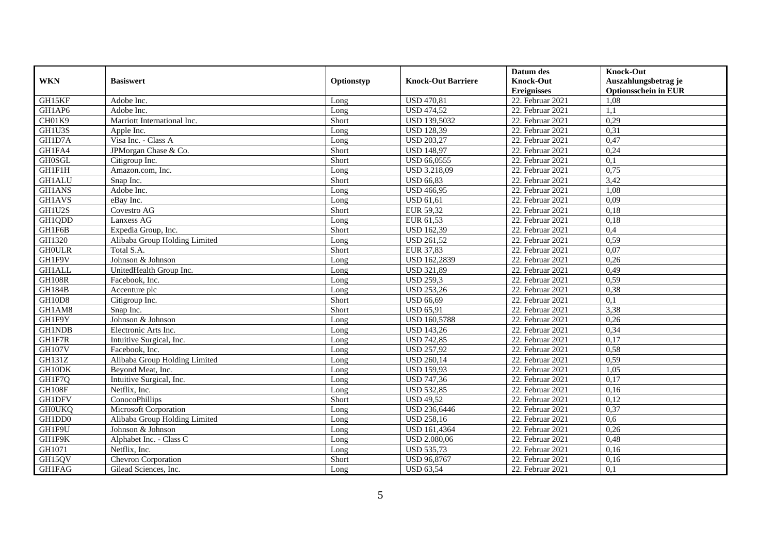|               |                               |            |                           | Datum des          | <b>Knock-Out</b>            |
|---------------|-------------------------------|------------|---------------------------|--------------------|-----------------------------|
| <b>WKN</b>    | <b>Basiswert</b>              | Optionstyp | <b>Knock-Out Barriere</b> | <b>Knock-Out</b>   | Auszahlungsbetrag je        |
|               |                               |            |                           | <b>Ereignisses</b> | <b>Optionsschein in EUR</b> |
| GH15KF        | Adobe Inc.                    | Long       | <b>USD 470,81</b>         | 22. Februar 2021   | 1,08                        |
| GH1AP6        | Adobe Inc.                    | Long       | <b>USD 474,52</b>         | 22. Februar 2021   | 1,1                         |
| CH01K9        | Marriott International Inc.   | Short      | <b>USD 139,5032</b>       | 22. Februar 2021   | 0,29                        |
| GH1U3S        | Apple Inc.                    | Long       | <b>USD 128,39</b>         | 22. Februar 2021   | 0,31                        |
| GH1D7A        | Visa Inc. - Class A           | Long       | <b>USD 203,27</b>         | 22. Februar 2021   | 0,47                        |
| GH1FA4        | JPMorgan Chase & Co.          | Short      | <b>USD 148,97</b>         | 22. Februar 2021   | 0,24                        |
| <b>GH0SGL</b> | Citigroup Inc.                | Short      | <b>USD 66,0555</b>        | $22.$ Februar 2021 | 0,1                         |
| GH1F1H        | Amazon.com, Inc.              | Long       | USD 3.218,09              | 22. Februar 2021   | 0,75                        |
| <b>GH1ALU</b> | Snap Inc.                     | Short      | <b>USD 66,83</b>          | 22. Februar 2021   | 3,42                        |
| <b>GH1ANS</b> | Adobe Inc.                    | Long       | <b>USD 466,95</b>         | 22. Februar 2021   | 1,08                        |
| <b>GH1AVS</b> | eBay Inc.                     | Long       | <b>USD 61,61</b>          | 22. Februar 2021   | 0,09                        |
| GH1U2S        | Covestro AG                   | Short      | EUR 59,32                 | 22. Februar 2021   | 0,18                        |
| GH1QDD        | Lanxess AG                    | Long       | EUR 61,53                 | 22. Februar 2021   | 0,18                        |
| GH1F6B        | Expedia Group, Inc.           | Short      | <b>USD 162,39</b>         | 22. Februar 2021   | 0,4                         |
| GH1320        | Alibaba Group Holding Limited | Long       | <b>USD 261,52</b>         | 22. Februar 2021   | 0,59                        |
| <b>GHOULR</b> | Total S.A.                    | Short      | EUR 37,83                 | 22. Februar 2021   | 0,07                        |
| GH1F9V        | Johnson & Johnson             | Long       | <b>USD 162,2839</b>       | 22. Februar 2021   | 0,26                        |
| <b>GH1ALL</b> | UnitedHealth Group Inc.       | $L$ ong    | <b>USD 321.89</b>         | 22. Februar 2021   | 0,49                        |
| <b>GH108R</b> | Facebook, Inc.                | Long       | <b>USD 259,3</b>          | 22. Februar 2021   | 0,59                        |
| <b>GH184B</b> | Accenture plc                 | Long       | <b>USD 253,26</b>         | 22. Februar 2021   | 0,38                        |
| GH10D8        | Citigroup Inc.                | Short      | <b>USD 66,69</b>          | 22. Februar 2021   | 0,1                         |
| GH1AM8        | Snap Inc.                     | Short      | <b>USD 65,91</b>          | 22. Februar 2021   | 3,38                        |
| GH1F9Y        | Johnson & Johnson             | Long       | <b>USD 160,5788</b>       | 22. Februar 2021   | 0,26                        |
| <b>GH1NDB</b> | Electronic Arts Inc.          | Long       | <b>USD 143,26</b>         | 22. Februar 2021   | 0,34                        |
| GH1F7R        | Intuitive Surgical, Inc.      | Long       | <b>USD 742,85</b>         | 22. Februar 2021   | 0,17                        |
| <b>GH107V</b> | Facebook, Inc.                | Long       | <b>USD 257,92</b>         | 22. Februar 2021   | 0,58                        |
| GH131Z        | Alibaba Group Holding Limited | Long       | <b>USD 260,14</b>         | 22. Februar 2021   | 0,59                        |
| GH10DK        | Bevond Meat, Inc.             | Long       | <b>USD 159,93</b>         | 22. Februar 2021   | 1,05                        |
| GH1F7O        | Intuitive Surgical, Inc.      | Long       | <b>USD 747,36</b>         | 22. Februar 2021   | 0,17                        |
| GH108F        | Netflix, Inc.                 | Long       | <b>USD 532,85</b>         | 22. Februar 2021   | 0,16                        |
| <b>GH1DFV</b> | ConocoPhillips                | Short      | <b>USD 49,52</b>          | 22. Februar 2021   | 0,12                        |
| <b>GHOUKQ</b> | Microsoft Corporation         | Long       | USD 236,6446              | 22. Februar 2021   | 0,37                        |
| GH1DD0        | Alibaba Group Holding Limited | Long       | <b>USD 258,16</b>         | 22. Februar 2021   | 0,6                         |
| GH1F9U        | Johnson & Johnson             | Long       | <b>USD 161,4364</b>       | 22. Februar 2021   | 0,26                        |
| GH1F9K        | Alphabet Inc. - Class C       | Long       | <b>USD 2.080,06</b>       | 22. Februar 2021   | 0,48                        |
| GH1071        | Netflix, Inc.                 | Long       | <b>USD 535,73</b>         | 22. Februar 2021   | 0,16                        |
| GH15QV        | Chevron Corporation           | Short      | <b>USD 96,8767</b>        | 22. Februar 2021   | 0,16                        |
| <b>GH1FAG</b> | Gilead Sciences, Inc.         | Long       | <b>USD 63,54</b>          | 22. Februar 2021   | 0,1                         |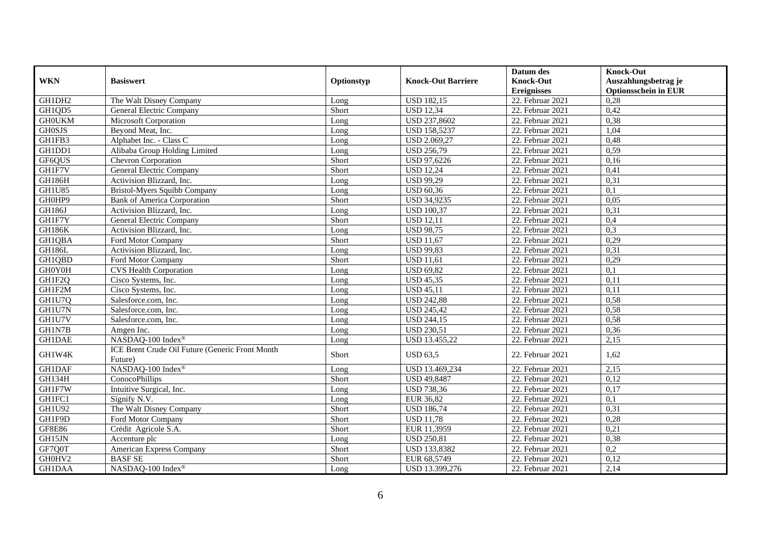|               |                                                            |            |                           | Datum des          | <b>Knock-Out</b>            |
|---------------|------------------------------------------------------------|------------|---------------------------|--------------------|-----------------------------|
| <b>WKN</b>    | <b>Basiswert</b>                                           | Optionstyp | <b>Knock-Out Barriere</b> | <b>Knock-Out</b>   | Auszahlungsbetrag je        |
|               |                                                            |            |                           | <b>Ereignisses</b> | <b>Optionsschein in EUR</b> |
| GH1DH2        | The Walt Disney Company                                    | Long       | <b>USD 182,15</b>         | 22. Februar 2021   | 0,28                        |
| GH1QD5        | General Electric Company                                   | Short      | <b>USD 12,34</b>          | 22. Februar 2021   | 0,42                        |
| <b>GHOUKM</b> | Microsoft Corporation                                      | Long       | USD 237,8602              | 22. Februar 2021   | 0,38                        |
| <b>GH0SJS</b> | Beyond Meat, Inc.                                          | Long       | <b>USD 158,5237</b>       | 22. Februar 2021   | 1,04                        |
| GH1FB3        | Alphabet Inc. - Class C                                    | Long       | <b>USD 2.069,27</b>       | 22. Februar 2021   | 0,48                        |
| GH1DD1        | Alibaba Group Holding Limited                              | Long       | <b>USD 256,79</b>         | 22. Februar 2021   | 0,59                        |
| GF6QUS        | Chevron Corporation                                        | Short      | <b>USD 97,6226</b>        | 22. Februar 2021   | 0,16                        |
| GH1F7V        | <b>General Electric Company</b>                            | Short      | <b>USD 12,24</b>          | 22. Februar 2021   | 0,41                        |
| <b>GH186H</b> | Activision Blizzard, Inc.                                  | Long       | <b>USD 99,29</b>          | 22. Februar 2021   | 0,31                        |
| <b>GH1U85</b> | Bristol-Myers Squibb Company                               | Long       | <b>USD 60,36</b>          | 22. Februar 2021   | $\overline{0,1}$            |
| GH0HP9        | <b>Bank of America Corporation</b>                         | Short      | <b>USD 34,9235</b>        | 22. Februar 2021   | 0,05                        |
| <b>GH186J</b> | Activision Blizzard, Inc.                                  | Long       | <b>USD 100,37</b>         | 22. Februar 2021   | 0,31                        |
| GH1F7Y        | <b>General Electric Company</b>                            | Short      | <b>USD 12,11</b>          | 22. Februar 2021   | 0,4                         |
| <b>GH186K</b> | Activision Blizzard, Inc.                                  | Long       | <b>USD 98,75</b>          | 22. Februar 2021   | 0,3                         |
| GH1QBA        | Ford Motor Company                                         | Short      | <b>USD 11,67</b>          | 22. Februar 2021   | 0,29                        |
| <b>GH186L</b> | Activision Blizzard, Inc.                                  | Long       | <b>USD 99,83</b>          | 22. Februar 2021   | 0,31                        |
| GH1QBD        | Ford Motor Company                                         | Short      | <b>USD 11,61</b>          | 22. Februar 2021   | 0,29                        |
| GH0Y0H        | <b>CVS Health Corporation</b>                              | Long       | <b>USD 69,82</b>          | 22. Februar 2021   | $\overline{0,1}$            |
| GH1F2Q        | Cisco Systems, Inc.                                        | Long       | <b>USD 45,35</b>          | 22. Februar 2021   | 0,11                        |
| GH1F2M        | Cisco Systems, Inc.                                        | Long       | <b>USD 45,11</b>          | 22. Februar 2021   | 0,11                        |
| GH1U7Q        | Salesforce.com, Inc.                                       | Long       | <b>USD 242,88</b>         | 22. Februar 2021   | 0,58                        |
| GH1U7N        | Salesforce.com, Inc.                                       | Long       | <b>USD 245,42</b>         | 22. Februar 2021   | 0,58                        |
| GH1U7V        | Salesforce.com, Inc.                                       | Long       | <b>USD 244,15</b>         | 22. Februar 2021   | 0,58                        |
| GH1N7B        | Amgen Inc.                                                 | Long       | <b>USD 230.51</b>         | 22. Februar 2021   | 0,36                        |
| <b>GH1DAE</b> | NASDAQ-100 Index®                                          | Long       | USD 13.455,22             | 22. Februar 2021   | 2,15                        |
| GH1W4K        | ICE Brent Crude Oil Future (Generic Front Month<br>Future) | Short      | <b>USD 63,5</b>           | 22. Februar 2021   | 1,62                        |
| <b>GH1DAF</b> | NASDAQ-100 Index®                                          | Long       | USD 13.469,234            | 22. Februar 2021   | 2,15                        |
| GH134H        | ConocoPhillips                                             | Short      | <b>USD 49,8487</b>        | 22. Februar 2021   | 0,12                        |
| GH1F7W        | Intuitive Surgical, Inc.                                   | Long       | <b>USD 738,36</b>         | 22. Februar 2021   | 0,17                        |
| GH1FC1        | Signify N.V.                                               | Long       | <b>EUR 36,82</b>          | 22. Februar 2021   | 0,1                         |
| GH1U92        | The Walt Disney Company                                    | Short      | <b>USD 186,74</b>         | 22. Februar 2021   | 0,31                        |
| GH1F9D        | Ford Motor Company                                         | Short      | <b>USD 11,78</b>          | 22. Februar 2021   | 0,28                        |
| <b>GF8E86</b> | Crédit Agricole S.A.                                       | Short      | EUR 11,3959               | 22. Februar 2021   | 0,21                        |
| GH15JN        | Accenture plc                                              | Long       | <b>USD 250,81</b>         | 22. Februar 2021   | 0,38                        |
| GF7Q0T        | American Express Company                                   | Short      | <b>USD 133,8382</b>       | 22. Februar 2021   | 0,2                         |
| GH0HV2        | <b>BASF SE</b>                                             | Short      | EUR 68,5749               | 22. Februar 2021   | 0,12                        |
| <b>GH1DAA</b> | NASDAQ-100 Index®                                          | Long       | USD 13.399,276            | 22. Februar 2021   | 2,14                        |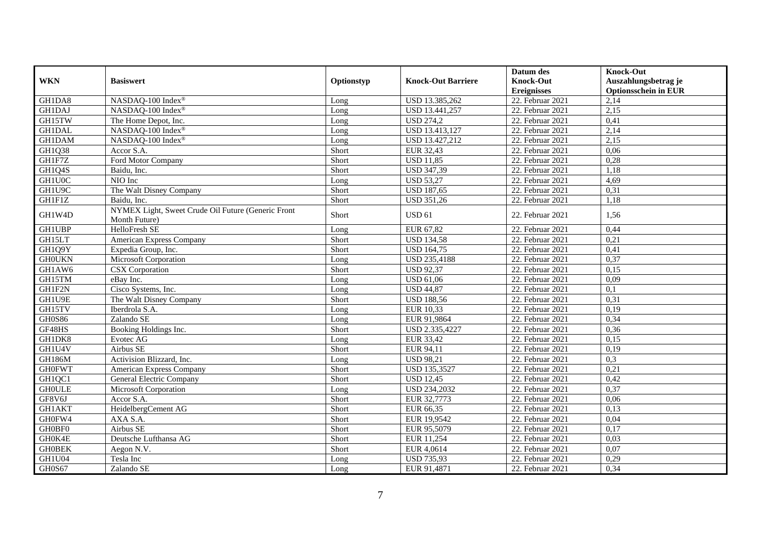|               |                                                                     |            |                           | Datum des          | <b>Knock-Out</b>            |
|---------------|---------------------------------------------------------------------|------------|---------------------------|--------------------|-----------------------------|
| <b>WKN</b>    | <b>Basiswert</b>                                                    | Optionstyp | <b>Knock-Out Barriere</b> | <b>Knock-Out</b>   | Auszahlungsbetrag je        |
|               |                                                                     |            |                           | <b>Ereignisses</b> | <b>Optionsschein in EUR</b> |
| GH1DA8        | NASDAQ-100 Index®                                                   | Long       | USD 13.385,262            | 22. Februar 2021   | 2,14                        |
| <b>GH1DAJ</b> | NASDAQ-100 Index®                                                   | Long       | USD 13.441,257            | 22. Februar 2021   | 2,15                        |
| GH15TW        | The Home Depot, Inc.                                                | Long       | <b>USD 274,2</b>          | 22. Februar 2021   | 0,41                        |
| <b>GH1DAL</b> | NASDAQ-100 Index®                                                   | Long       | USD 13.413,127            | 22. Februar 2021   | 2,14                        |
| <b>GH1DAM</b> | NASDAQ-100 Index®                                                   | Long       | USD 13.427,212            | 22. Februar 2021   | 2,15                        |
| GH1Q38        | Accor S.A.                                                          | Short      | EUR 32,43                 | 22. Februar 2021   | 0,06                        |
| GH1F7Z        | Ford Motor Company                                                  | Short      | <b>USD 11,85</b>          | 22. Februar 2021   | 0,28                        |
| GH1Q4S        | Baidu, Inc.                                                         | Short      | <b>USD 347,39</b>         | 22. Februar 2021   | 1,18                        |
| GH1U0C        | NIO Inc                                                             | Long       | <b>USD 53,27</b>          | 22. Februar 2021   | 4,69                        |
| GH1U9C        | The Walt Disney Company                                             | Short      | <b>USD 187,65</b>         | 22. Februar 2021   | 0,31                        |
| GH1F1Z        | Baidu, Inc.                                                         | Short      | <b>USD 351,26</b>         | 22. Februar 2021   | 1,18                        |
| GH1W4D        | NYMEX Light, Sweet Crude Oil Future (Generic Front<br>Month Future) | Short      | <b>USD 61</b>             | 22. Februar 2021   | 1,56                        |
| <b>GH1UBP</b> | HelloFresh SE                                                       | Long       | EUR 67,82                 | 22. Februar 2021   | 0,44                        |
| GH15LT        | American Express Company                                            | Short      | <b>USD</b> 134,58         | 22. Februar 2021   | 0,21                        |
| GH1Q9Y        | Expedia Group, Inc.                                                 | Short      | <b>USD 164,75</b>         | $22.$ Februar 2021 | 0,41                        |
| <b>GHOUKN</b> | Microsoft Corporation                                               | Long       | <b>USD 235,4188</b>       | 22. Februar 2021   | 0,37                        |
| GH1AW6        | CSX Corporation                                                     | Short      | <b>USD 92,37</b>          | 22. Februar 2021   | 0,15                        |
| GH15TM        | eBay Inc.                                                           | Long       | <b>USD 61,06</b>          | 22. Februar 2021   | 0,09                        |
| GH1F2N        | Cisco Systems, Inc.                                                 | Long       | <b>USD 44,87</b>          | 22. Februar 2021   | 0,1                         |
| GH1U9E        | The Walt Disney Company                                             | Short      | <b>USD 188,56</b>         | 22. Februar 2021   | 0,31                        |
| GH15TV        | Iberdrola S.A.                                                      | Long       | EUR 10,33                 | 22. Februar 2021   | 0,19                        |
| <b>GH0S86</b> | Zalando SE                                                          | Long       | EUR 91,9864               | 22. Februar 2021   | 0,34                        |
| GF48HS        | Booking Holdings Inc.                                               | Short      | USD 2.335,4227            | 22. Februar 2021   | 0,36                        |
| GH1DK8        | Evotec AG                                                           | Long       | EUR 33,42                 | 22. Februar 2021   | 0,15                        |
| GH1U4V        | Airbus SE                                                           | Short      | EUR 94,11                 | 22. Februar 2021   | 0,19                        |
| <b>GH186M</b> | Activision Blizzard, Inc.                                           | Long       | <b>USD 98,21</b>          | 22. Februar 2021   | 0.3                         |
| <b>GH0FWT</b> | American Express Company                                            | Short      | <b>USD 135,3527</b>       | 22. Februar 2021   | 0,21                        |
| GH1QC1        | <b>General Electric Company</b>                                     | Short      | <b>USD 12,45</b>          | 22. Februar 2021   | 0,42                        |
| <b>GHOULE</b> | Microsoft Corporation                                               | Long       | <b>USD 234,2032</b>       | 22. Februar 2021   | 0,37                        |
| GF8V6J        | Accor S.A.                                                          | Short      | EUR 32,7773               | 22. Februar 2021   | 0,06                        |
| <b>GH1AKT</b> | HeidelbergCement AG                                                 | Short      | EUR 66,35                 | 22. Februar 2021   | 0,13                        |
| GH0FW4        | AXA S.A.                                                            | Short      | EUR 19,9542               | 22. Februar 2021   | 0,04                        |
| GH0BF0        | Airbus SE                                                           | Short      | EUR 95,5079               | 22. Februar 2021   | 0,17                        |
| GH0K4E        | Deutsche Lufthansa AG                                               | Short      | EUR 11,254                | 22. Februar 2021   | 0,03                        |
| <b>GH0BEK</b> | Aegon N.V.                                                          | Short      | EUR 4,0614                | 22. Februar 2021   | 0,07                        |
| GH1U04        | Tesla Inc                                                           | Long       | <b>USD 735,93</b>         | 22. Februar 2021   | 0,29                        |
| GH0S67        | Zalando SE                                                          | Long       | EUR 91,4871               | 22. Februar 2021   | 0,34                        |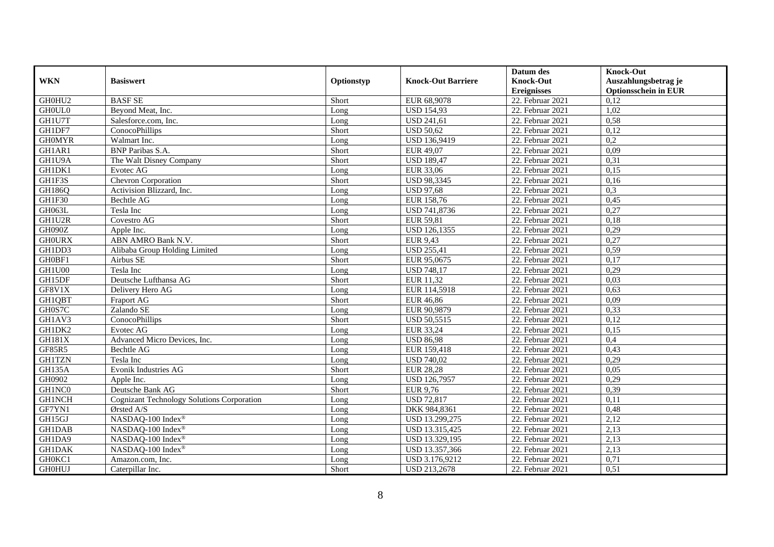|               |                                            |            |                           | Datum des          | <b>Knock-Out</b>            |
|---------------|--------------------------------------------|------------|---------------------------|--------------------|-----------------------------|
| <b>WKN</b>    | <b>Basiswert</b>                           | Optionstyp | <b>Knock-Out Barriere</b> | <b>Knock-Out</b>   | Auszahlungsbetrag je        |
|               |                                            |            |                           | <b>Ereignisses</b> | <b>Optionsschein in EUR</b> |
| GH0HU2        | <b>BASF SE</b>                             | Short      | EUR 68,9078               | 22. Februar 2021   | 0,12                        |
| <b>GHOULO</b> | Beyond Meat, Inc.                          | Long       | <b>USD 154,93</b>         | 22. Februar 2021   | 1,02                        |
| GH1U7T        | Salesforce.com, Inc.                       | Long       | <b>USD 241,61</b>         | 22. Februar 2021   | 0,58                        |
| GH1DF7        | ConocoPhillips                             | Short      | <b>USD 50,62</b>          | 22. Februar 2021   | 0,12                        |
| <b>GHOMYR</b> | Walmart Inc.                               | Long       | USD 136,9419              | 22. Februar 2021   | 0,2                         |
| GH1AR1        | <b>BNP</b> Paribas S.A.                    | Short      | EUR 49,07                 | 22. Februar 2021   | 0,09                        |
| GH1U9A        | The Walt Disney Company                    | Short      | <b>USD 189,47</b>         | $22.$ Februar 2021 | 0,31                        |
| GH1DK1        | Evotec AG                                  | Long       | EUR 33,06                 | 22. Februar 2021   | 0,15                        |
| GH1F3S        | Chevron Corporation                        | Short      | <b>USD 98,3345</b>        | 22. Februar 2021   | 0,16                        |
| <b>GH186Q</b> | Activision Blizzard, Inc.                  | Long       | <b>USD 97,68</b>          | 22. Februar 2021   | 0,3                         |
| GH1F30        | <b>Bechtle AG</b>                          | Long       | EUR 158,76                | 22. Februar 2021   | 0,45                        |
| GH063L        | Tesla Inc                                  | Long       | USD 741,8736              | 22. Februar 2021   | 0,27                        |
| GH1U2R        | Covestro AG                                | Short      | EUR 59,81                 | 22. Februar 2021   | 0,18                        |
| GH090Z        | Apple Inc.                                 | Long       | USD 126,1355              | 22. Februar 2021   | 0,29                        |
| <b>GHOURX</b> | ABN AMRO Bank N.V.                         | Short      | <b>EUR 9,43</b>           | 22. Februar 2021   | 0,27                        |
| GH1DD3        | Alibaba Group Holding Limited              | Long       | <b>USD 255,41</b>         | 22. Februar 2021   | 0,59                        |
| GH0BF1        | Airbus SE                                  | Short      | EUR 95,0675               | 22. Februar 2021   | 0,17                        |
| GH1U00        | Tesla Inc                                  | Long       | <b>USD 748,17</b>         | 22. Februar 2021   | 0,29                        |
| GH15DF        | Deutsche Lufthansa AG                      | Short      | EUR 11,32                 | 22. Februar 2021   | 0,03                        |
| GF8V1X        | Delivery Hero AG                           | Long       | EUR 114,5918              | 22. Februar 2021   | 0,63                        |
| <b>GH1QBT</b> | Fraport AG                                 | Short      | <b>EUR 46,86</b>          | 22. Februar 2021   | 0,09                        |
| GH0S7C        | Zalando SE                                 | Long       | EUR 90,9879               | 22. Februar 2021   | 0,33                        |
| GH1AV3        | ConocoPhillips                             | Short      | <b>USD 50,5515</b>        | 22. Februar 2021   | 0,12                        |
| GH1DK2        | <b>Evotec AG</b>                           | Long       | EUR 33,24                 | 22. Februar 2021   | 0,15                        |
| <b>GH181X</b> | Advanced Micro Devices, Inc.               | Long       | <b>USD 86,98</b>          | 22. Februar 2021   | 0,4                         |
| GF85R5        | Bechtle AG                                 | Long       | EUR 159,418               | 22. Februar 2021   | 0,43                        |
| <b>GH1TZN</b> | Tesla Inc                                  | Long       | <b>USD 740,02</b>         | 22. Februar 2021   | 0,29                        |
| <b>GH135A</b> | <b>Evonik Industries AG</b>                | Short      | <b>EUR 28,28</b>          | $22.$ Februar 2021 | 0,05                        |
| GH0902        | Apple Inc.                                 | Long       | <b>USD 126,7957</b>       | 22. Februar 2021   | 0,29                        |
| GH1NC0        | Deutsche Bank AG                           | Short      | EUR 9,76                  | 22. Februar 2021   | 0,39                        |
| <b>GH1NCH</b> | Cognizant Technology Solutions Corporation | Long       | <b>USD 72,817</b>         | 22. Februar 2021   | 0,11                        |
| GF7YN1        | Ørsted A/S                                 | Long       | DKK 984,8361              | 22. Februar 2021   | 0,48                        |
| GH15GJ        | NASDAQ-100 Index®                          | Long       | USD 13.299,275            | 22. Februar 2021   | 2,12                        |
| <b>GH1DAB</b> | NASDAQ-100 Index®                          | Long       | USD 13.315,425            | 22. Februar 2021   | 2,13                        |
| GH1DA9        | NASDAQ-100 Index®                          | Long       | USD 13.329,195            | 22. Februar 2021   | 2,13                        |
| <b>GH1DAK</b> | NASDAQ-100 Index®                          | Long       | USD 13.357,366            | 22. Februar 2021   | 2,13                        |
| GH0KC1        | Amazon.com, Inc.                           | Long       | USD 3.176,9212            | 22. Februar 2021   | 0,71                        |
| <b>GH0HUJ</b> | Caterpillar Inc.                           | Short      | USD 213,2678              | 22. Februar 2021   | 0,51                        |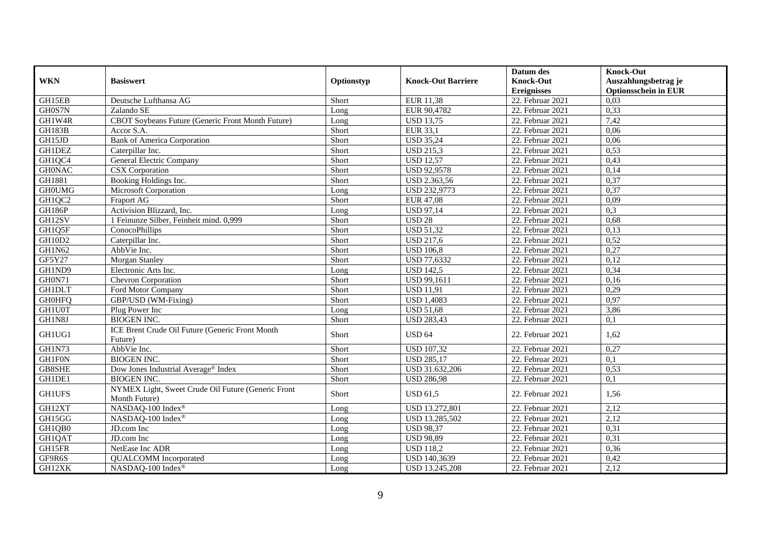|               |                                                                     |            |                           | Datum des          | <b>Knock-Out</b>            |
|---------------|---------------------------------------------------------------------|------------|---------------------------|--------------------|-----------------------------|
| <b>WKN</b>    | <b>Basiswert</b>                                                    | Optionstyp | <b>Knock-Out Barriere</b> | <b>Knock-Out</b>   | Auszahlungsbetrag je        |
|               |                                                                     |            |                           | <b>Ereignisses</b> | <b>Optionsschein in EUR</b> |
| GH15EB        | Deutsche Lufthansa AG                                               | Short      | EUR 11,38                 | 22. Februar 2021   | 0,03                        |
| GH0S7N        | Zalando SE                                                          | Long       | EUR 90,4782               | 22. Februar 2021   | 0,33                        |
| GH1W4R        | CBOT Soybeans Future (Generic Front Month Future)                   | Long       | <b>USD 13,75</b>          | 22. Februar 2021   | 7,42                        |
| GH183B        | Accor S.A.                                                          | Short      | <b>EUR 33,1</b>           | 22. Februar 2021   | 0,06                        |
| GH15JD        | <b>Bank of America Corporation</b>                                  | Short      | <b>USD 35,24</b>          | 22. Februar 2021   | 0,06                        |
| <b>GH1DEZ</b> | Caterpillar Inc.                                                    | Short      | <b>USD 215,3</b>          | 22. Februar 2021   | 0,53                        |
| GH1QC4        | General Electric Company                                            | Short      | <b>USD 12,57</b>          | $22.$ Februar 2021 | 0,43                        |
| <b>GH0NAC</b> | <b>CSX</b> Corporation                                              | Short      | <b>USD 92,9578</b>        | 22. Februar 2021   | 0,14                        |
| GH1881        | Booking Holdings Inc.                                               | Short      | USD 2.363,56              | 22. Februar 2021   | 0,37                        |
| <b>GHOUMG</b> | <b>Microsoft Corporation</b>                                        | Long       | <b>USD 232,9773</b>       | 22. Februar 2021   | 0,37                        |
| GH1QC2        | Fraport AG                                                          | Short      | <b>EUR 47,08</b>          | 22. Februar 2021   | 0,09                        |
| <b>GH186P</b> | Activision Blizzard, Inc.                                           | Long       | <b>USD 97,14</b>          | 22. Februar 2021   | 0,3                         |
| GH12SV        | 1 Feinunze Silber, Feinheit mind. 0,999                             | Short      | <b>USD 28</b>             | 22. Februar 2021   | 0,68                        |
| GH1Q5F        | ConocoPhillips                                                      | Short      | <b>USD 51,32</b>          | 22. Februar 2021   | 0,13                        |
| <b>GH10D2</b> | Caterpillar Inc.                                                    | Short      | <b>USD 217,6</b>          | 22. Februar 2021   | 0,52                        |
| GH1N62        | AbbVie Inc.                                                         | Short      | <b>USD 106,8</b>          | 22. Februar 2021   | 0,27                        |
| GF5Y27        | <b>Morgan Stanley</b>                                               | Short      | USD 77,6332               | 22. Februar 2021   | 0,12                        |
| GH1ND9        | Electronic Arts Inc.                                                | Long       | <b>USD 142.5</b>          | 22. Februar 2021   | 0,34                        |
| GH0N71        | Chevron Corporation                                                 | Short      | <b>USD 99,1611</b>        | 22. Februar 2021   | 0,16                        |
| <b>GHIDLT</b> | Ford Motor Company                                                  | Short      | <b>USD 11,91</b>          | 22. Februar 2021   | 0,29                        |
| <b>GH0HFQ</b> | GBP/USD (WM-Fixing)                                                 | Short      | <b>USD 1,4083</b>         | 22. Februar 2021   | 0,97                        |
| GH1U0T        | Plug Power Inc                                                      | Long       | <b>USD 51,68</b>          | 22. Februar 2021   | 3,86                        |
| GH1N8J        | <b>BIOGEN INC.</b>                                                  | Short      | <b>USD 283,43</b>         | 22. Februar 2021   | 0,1                         |
| GH1UG1        | ICE Brent Crude Oil Future (Generic Front Month<br>Future)          | Short      | <b>USD 64</b>             | 22. Februar 2021   | 1,62                        |
| GH1N73        | AbbVie Inc.                                                         | Short      | <b>USD 107,32</b>         | 22. Februar 2021   | 0,27                        |
| <b>GH1F0N</b> | <b>BIOGEN INC.</b>                                                  | Short      | <b>USD 285,17</b>         | 22. Februar 2021   | $\overline{0,1}$            |
| GB8SHE        | Dow Jones Industrial Average® Index                                 | Short      | USD 31.632,206            | 22. Februar 2021   | 0,53                        |
| GH1DE1        | <b>BIOGEN INC.</b>                                                  | Short      | <b>USD 286,98</b>         | 22. Februar 2021   | 0,1                         |
| <b>GH1UFS</b> | NYMEX Light, Sweet Crude Oil Future (Generic Front<br>Month Future) | Short      | <b>USD 61,5</b>           | 22. Februar 2021   | 1,56                        |
| GH12XT        | NASDAQ-100 Index®                                                   | Long       | <b>USD 13.272,801</b>     | 22. Februar 2021   | 2,12                        |
| GH15GG        | NASDAQ-100 Index®                                                   | Long       | USD 13.285,502            | 22. Februar 2021   | 2,12                        |
| GH1QB0        | JD.com Inc                                                          | Long       | <b>USD 98,37</b>          | $22.$ Februar 2021 | 0,31                        |
| <b>GH1QAT</b> | JD.com Inc                                                          | Long       | <b>USD 98,89</b>          | 22. Februar 2021   | 0,31                        |
| GH15FR        | NetEase Inc ADR                                                     | Long       | <b>USD 118,2</b>          | 22. Februar 2021   | 0,36                        |
| GF9R6S        | <b>QUALCOMM</b> Incorporated                                        | Long       | USD 140,3639              | 22. Februar 2021   | 0,42                        |
| GH12XK        | NASDAQ-100 Index®                                                   | Long       | USD 13.245,208            | 22. Februar 2021   | 2,12                        |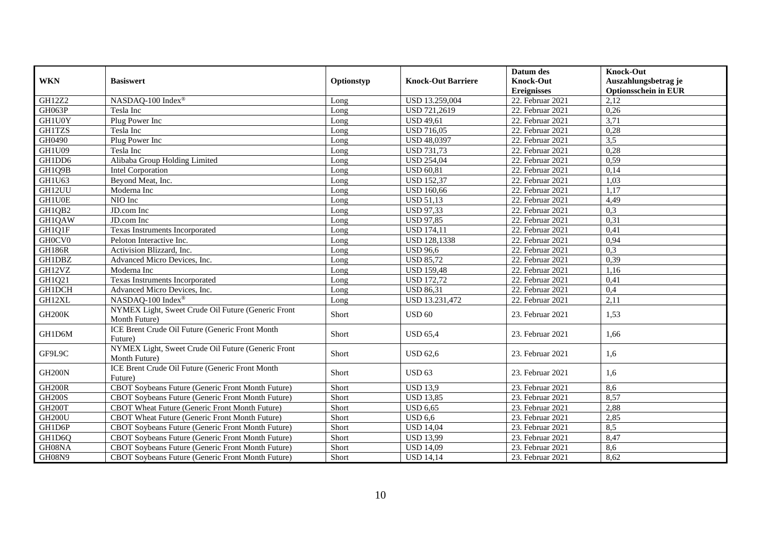|                     |                                                                     |            |                           | Datum des          | <b>Knock-Out</b>            |
|---------------------|---------------------------------------------------------------------|------------|---------------------------|--------------------|-----------------------------|
| <b>WKN</b>          | <b>Basiswert</b>                                                    | Optionstyp | <b>Knock-Out Barriere</b> | <b>Knock-Out</b>   | Auszahlungsbetrag je        |
|                     |                                                                     |            |                           | <b>Ereignisses</b> | <b>Optionsschein in EUR</b> |
| <b>GH12Z2</b>       | NASDAQ-100 Index®                                                   | Long       | USD 13.259,004            | 22. Februar 2021   | 2,12                        |
| GH063P              | Tesla Inc                                                           | Long       | <b>USD 721,2619</b>       | 22. Februar 2021   | 0,26                        |
| GH1U0Y              | Plug Power Inc                                                      | Long       | <b>USD 49,61</b>          | 22. Februar 2021   | 3,71                        |
| <b>GH1TZS</b>       | Tesla Inc                                                           | Long       | <b>USD 716,05</b>         | 22. Februar 2021   | 0,28                        |
| GH0490              | Plug Power Inc                                                      | Long       | <b>USD 48,0397</b>        | 22. Februar 2021   | 3,5                         |
| GH1U09              | Tesla Inc                                                           | Long       | <b>USD 731,73</b>         | 22. Februar 2021   | 0,28                        |
| GH1DD6              | Alibaba Group Holding Limited                                       | Long       | <b>USD 254,04</b>         | 22. Februar 2021   | 0,59                        |
| GH1Q9B              | <b>Intel Corporation</b>                                            | Long       | <b>USD 60,81</b>          | 22. Februar 2021   | 0,14                        |
| GH1U63              | Beyond Meat, Inc.                                                   | Long       | <b>USD 152,37</b>         | 22. Februar 2021   | 1,03                        |
| GH12UU              | Moderna Inc                                                         | Long       | <b>USD 160,66</b>         | 22. Februar 2021   | 1,17                        |
| GH1U0E              | NIO Inc                                                             | Long       | <b>USD 51,13</b>          | 22. Februar 2021   | 4,49                        |
| GH1QB2              | JD.com Inc                                                          | Long       | <b>USD 97,33</b>          | 22. Februar 2021   | 0,3                         |
| GH1QAW              | JD.com Inc                                                          | Long       | <b>USD 97,85</b>          | 22. Februar 2021   | 0,31                        |
| GH1Q1F              | Texas Instruments Incorporated                                      | Long       | <b>USD 174,11</b>         | 22. Februar 2021   | 0,41                        |
| GH0CV0              | Peloton Interactive Inc.                                            | Long       | <b>USD 128,1338</b>       | 22. Februar 2021   | 0,94                        |
| <b>GH186R</b>       | Activision Blizzard, Inc.                                           | Long       | <b>USD 96,6</b>           | 22. Februar 2021   | 0,3                         |
| GH1DBZ              | Advanced Micro Devices, Inc.                                        | Long       | <b>USD 85,72</b>          | 22. Februar 2021   | 0,39                        |
| GH12VZ              | Moderna Inc                                                         | Long       | <b>USD 159,48</b>         | 22. Februar 2021   | 1,16                        |
| GH1Q21              | Texas Instruments Incorporated                                      | Long       | <b>USD</b> 172,72         | 22. Februar 2021   | 0,41                        |
| <b>GH1DCH</b>       | Advanced Micro Devices, Inc.                                        | Long       | <b>USD 86,31</b>          | 22. Februar 2021   | 0,4                         |
| GH12XL              | NASDAQ-100 Index®                                                   | Long       | USD 13.231,472            | 22. Februar 2021   | 2,11                        |
| GH <sub>200</sub> K | NYMEX Light, Sweet Crude Oil Future (Generic Front                  | Short      | <b>USD 60</b>             | 23. Februar 2021   | 1,53                        |
|                     | Month Future)                                                       |            |                           |                    |                             |
| GH1D6M              | ICE Brent Crude Oil Future (Generic Front Month<br>Future)          | Short      | <b>USD 65.4</b>           | 23. Februar 2021   | 1.66                        |
| GF9L9C              | NYMEX Light, Sweet Crude Oil Future (Generic Front<br>Month Future) | Short      | <b>USD 62,6</b>           | 23. Februar 2021   | 1,6                         |
| <b>GH200N</b>       | ICE Brent Crude Oil Future (Generic Front Month<br>Future)          | Short      | <b>USD 63</b>             | 23. Februar 2021   | 1,6                         |
| <b>GH200R</b>       | CBOT Soybeans Future (Generic Front Month Future)                   | Short      | <b>USD 13,9</b>           | 23. Februar 2021   | 8,6                         |
| <b>GH200S</b>       | CBOT Soybeans Future (Generic Front Month Future)                   | Short      | <b>USD 13,85</b>          | $23.$ Februar 2021 | 8,57                        |
| GH <sub>200</sub> T | CBOT Wheat Future (Generic Front Month Future)                      | Short      | $\overline{$ USD 6,65     | 23. Februar 2021   | 2,88                        |
| <b>GH200U</b>       | CBOT Wheat Future (Generic Front Month Future)                      | Short      | <b>USD 6,6</b>            | 23. Februar 2021   | 2,85                        |
| GH1D6P              | CBOT Soybeans Future (Generic Front Month Future)                   | Short      | <b>USD 14,04</b>          | 23. Februar 2021   | 8,5                         |
| GH1D6Q              | CBOT Soybeans Future (Generic Front Month Future)                   | Short      | <b>USD 13,99</b>          | 23. Februar 2021   | 8,47                        |
| GH08NA              | CBOT Soybeans Future (Generic Front Month Future)                   | Short      | <b>USD 14,09</b>          | 23. Februar 2021   | 8,6                         |
| GH08N9              | CBOT Soybeans Future (Generic Front Month Future)                   | Short      | <b>USD 14,14</b>          | 23. Februar 2021   | 8,62                        |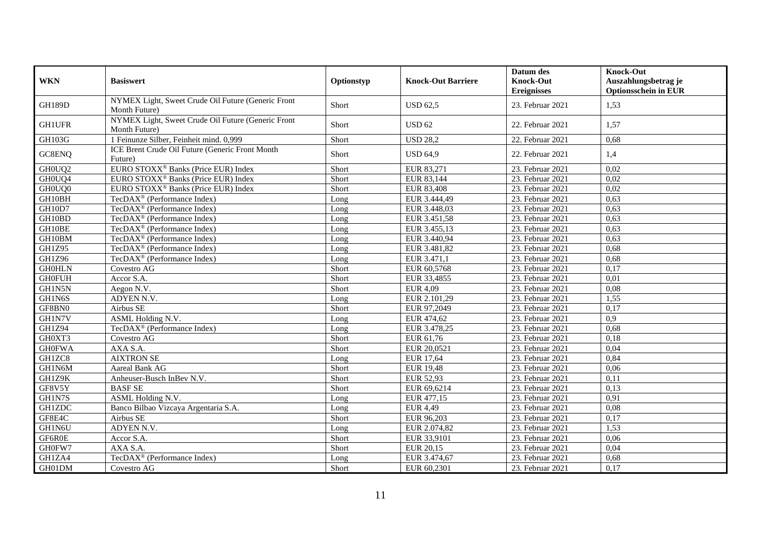| <b>WKN</b>    | <b>Basiswert</b>                                                    | Optionstyp | <b>Knock-Out Barriere</b> | Datum des<br><b>Knock-Out</b><br><b>Ereignisses</b> | <b>Knock-Out</b><br>Auszahlungsbetrag je<br><b>Optionsschein in EUR</b> |
|---------------|---------------------------------------------------------------------|------------|---------------------------|-----------------------------------------------------|-------------------------------------------------------------------------|
| <b>GH189D</b> | NYMEX Light, Sweet Crude Oil Future (Generic Front<br>Month Future) | Short      | <b>USD 62.5</b>           | 23. Februar 2021                                    | 1,53                                                                    |
| <b>GH1UFR</b> | NYMEX Light, Sweet Crude Oil Future (Generic Front<br>Month Future) | Short      | <b>USD 62</b>             | 22. Februar 2021                                    | 1,57                                                                    |
| GH103G        | 1 Feinunze Silber, Feinheit mind. 0,999                             | Short      | <b>USD 28,2</b>           | 22. Februar 2021                                    | 0,68                                                                    |
| GC8ENQ        | ICE Brent Crude Oil Future (Generic Front Month<br>Future)          | Short      | <b>USD 64,9</b>           | 22. Februar 2021                                    | 1,4                                                                     |
| GH0UQ2        | EURO STOXX <sup>®</sup> Banks (Price EUR) Index                     | Short      | EUR 83,271                | 23. Februar 2021                                    | 0,02                                                                    |
| GH0UQ4        | EURO STOXX <sup>®</sup> Banks (Price EUR) Index                     | Short      | EUR 83,144                | 23. Februar 2021                                    | 0,02                                                                    |
| GH0UQ0        | EURO STOXX <sup>®</sup> Banks (Price EUR) Index                     | Short      | EUR 83,408                | 23. Februar 2021                                    | 0,02                                                                    |
| GH10BH        | TecDAX <sup>®</sup> (Performance Index)                             | Long       | EUR 3.444,49              | 23. Februar 2021                                    | 0,63                                                                    |
| GH10D7        | TecDAX <sup>®</sup> (Performance Index)                             | Long       | EUR 3.448,03              | 23. Februar 2021                                    | 0,63                                                                    |
| GH10BD        | TecDAX <sup>®</sup> (Performance Index)                             | Long       | EUR 3.451,58              | 23. Februar 2021                                    | 0,63                                                                    |
| GH10BE        | TecDAX <sup>®</sup> (Performance Index)                             | Long       | EUR 3.455,13              | 23. Februar 2021                                    | 0,63                                                                    |
| GH10BM        | TecDAX <sup>®</sup> (Performance Index)                             | Long       | EUR 3.440,94              | 23. Februar 2021                                    | 0,63                                                                    |
| <b>GH1Z95</b> | TecDAX <sup>®</sup> (Performance Index)                             | Long       | EUR 3.481,82              | 23. Februar 2021                                    | 0,68                                                                    |
| GH1Z96        | TecDAX <sup>®</sup> (Performance Index)                             | Long       | EUR 3.471,1               | 23. Februar 2021                                    | 0,68                                                                    |
| <b>GH0HLN</b> | Covestro AG                                                         | Short      | EUR 60,5768               | 23. Februar 2021                                    | 0,17                                                                    |
| <b>GH0FUH</b> | Accor S.A.                                                          | Short      | EUR 33,4855               | 23. Februar 2021                                    | 0,01                                                                    |
| GH1N5N        | Aegon N.V.                                                          | Short      | <b>EUR 4,09</b>           | 23. Februar 2021                                    | 0,08                                                                    |
| GH1N6S        | ADYEN N.V.                                                          | Long       | EUR 2.101,29              | 23. Februar 2021                                    | 1,55                                                                    |
| GF8BN0        | Airbus SE                                                           | Short      | EUR 97,2049               | 23. Februar 2021                                    | 0,17                                                                    |
| GH1N7V        | ASML Holding N.V.                                                   | Long       | EUR 474,62                | 23. Februar 2021                                    | $\overline{0.9}$                                                        |
| GH1Z94        | TecDAX <sup>®</sup> (Performance Index)                             | Long       | EUR 3.478,25              | 23. Februar 2021                                    | 0,68                                                                    |
| GH0XT3        | Covestro AG                                                         | Short      | EUR 61,76                 | 23. Februar 2021                                    | 0,18                                                                    |
| <b>GH0FWA</b> | AXA S.A.                                                            | Short      | EUR 20,0521               | 23. Februar 2021                                    | 0,04                                                                    |
| GH1ZC8        | <b>AIXTRON SE</b>                                                   | Long       | EUR 17,64                 | 23. Februar 2021                                    | 0,84                                                                    |
| GH1N6M        | Aareal Bank AG                                                      | Short      | <b>EUR 19,48</b>          | 23. Februar 2021                                    | 0,06                                                                    |
| GH1Z9K        | Anheuser-Busch InBev N.V.                                           | Short      | EUR 52,93                 | 23. Februar 2021                                    | 0,11                                                                    |
| GF8V5Y        | <b>BASF SE</b>                                                      | Short      | EUR 69,6214               | 23. Februar 2021                                    | 0,13                                                                    |
| GH1N7S        | ASML Holding N.V.                                                   | Long       | EUR 477,15                | 23. Februar 2021                                    | 0,91                                                                    |
| <b>GH1ZDC</b> | Banco Bilbao Vizcaya Argentaria S.A.                                | Long       | <b>EUR 4,49</b>           | 23. Februar 2021                                    | 0,08                                                                    |
| GF8E4C        | Airbus SE                                                           | Short      | EUR 96,203                | 23. Februar 2021                                    | 0,17                                                                    |
| GH1N6U        | ADYEN N.V.                                                          | Long       | EUR 2.074,82              | 23. Februar 2021                                    | 1,53                                                                    |
| GF6R0E        | Accor S.A.                                                          | Short      | EUR 33,9101               | 23. Februar 2021                                    | 0,06                                                                    |
| GH0FW7        | AXA S.A.                                                            | Short      | EUR 20,15                 | 23. Februar 2021                                    | 0,04                                                                    |
| GH1ZA4        | TecDAX <sup>®</sup> (Performance Index)                             | Long       | EUR 3.474,67              | 23. Februar 2021                                    | 0,68                                                                    |
| GH01DM        | Covestro AG                                                         | Short      | EUR 60,2301               | 23. Februar 2021                                    | 0,17                                                                    |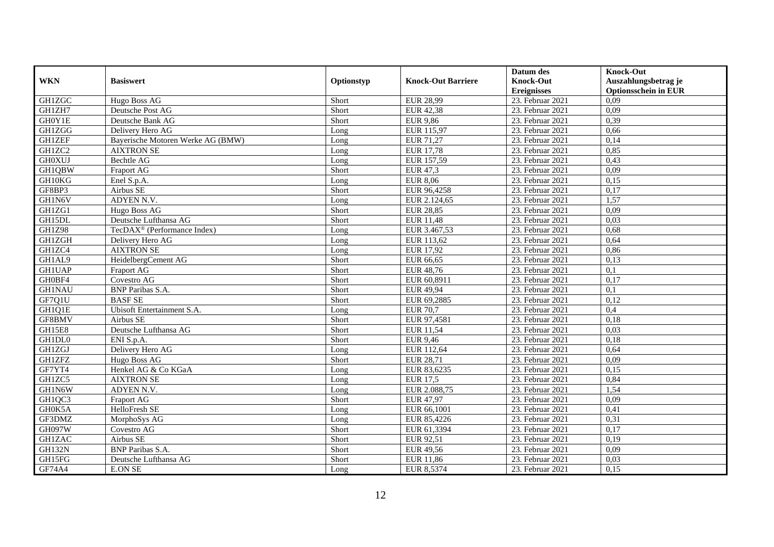|               |                                         |            |                           | Datum des          | <b>Knock-Out</b>            |
|---------------|-----------------------------------------|------------|---------------------------|--------------------|-----------------------------|
| <b>WKN</b>    | <b>Basiswert</b>                        | Optionstyp | <b>Knock-Out Barriere</b> | <b>Knock-Out</b>   | Auszahlungsbetrag je        |
|               |                                         |            |                           | <b>Ereignisses</b> | <b>Optionsschein in EUR</b> |
| GH1ZGC        | Hugo Boss AG                            | Short      | <b>EUR 28,99</b>          | 23. Februar 2021   | 0,09                        |
| GH1ZH7        | Deutsche Post AG                        | Short      | <b>EUR 42,38</b>          | 23. Februar 2021   | 0,09                        |
| GH0Y1E        | Deutsche Bank AG                        | Short      | <b>EUR 9,86</b>           | 23. Februar 2021   | 0,39                        |
| GH1ZGG        | Delivery Hero AG                        | Long       | EUR 115,97                | 23. Februar 2021   | 0,66                        |
| <b>GH1ZEF</b> | Bayerische Motoren Werke AG (BMW)       | Long       | EUR 71,27                 | 23. Februar 2021   | 0,14                        |
| GH1ZC2        | <b>AIXTRON SE</b>                       | Long       | EUR 17,78                 | 23. Februar 2021   | 0,85                        |
| <b>GH0XUJ</b> | Bechtle AG                              | Long       | EUR 157,59                | 23. Februar 2021   | 0,43                        |
| GH1QBW        | Fraport AG                              | Short      | EUR 47,3                  | 23. Februar 2021   | 0,09                        |
| GH10KG        | Enel S.p.A.                             | Long       | <b>EUR 8,06</b>           | 23. Februar 2021   | 0,15                        |
| GF8BP3        | Airbus SE                               | Short      | EUR 96,4258               | 23. Februar 2021   | 0,17                        |
| GH1N6V        | ADYEN N.V.                              | Long       | EUR 2.124,65              | 23. Februar 2021   | 1,57                        |
| GH1ZG1        | Hugo Boss AG                            | Short      | <b>EUR 28,85</b>          | 23. Februar 2021   | 0,09                        |
| GH15DL        | Deutsche Lufthansa AG                   | Short      | <b>EUR 11,48</b>          | 23. Februar 2021   | 0.03                        |
| <b>GH1Z98</b> | TecDAX <sup>®</sup> (Performance Index) | Long       | EUR 3.467,53              | 23. Februar 2021   | 0,68                        |
| GH1ZGH        | Delivery Hero AG                        | Long       | EUR 113,62                | 23. Februar 2021   | 0,64                        |
| GH1ZC4        | <b>AIXTRON SE</b>                       | Long       | <b>EUR 17,92</b>          | 23. Februar 2021   | 0,86                        |
| GH1AL9        | HeidelbergCement AG                     | Short      | EUR 66,65                 | 23. Februar 2021   | 0,13                        |
| <b>GH1UAP</b> | <b>Fraport AG</b>                       | Short      | EUR 48.76                 | 23. Februar 2021   | 0.1                         |
| GH0BF4        | Covestro AG                             | Short      | EUR 60,8911               | 23. Februar 2021   | 0,17                        |
| <b>GH1NAU</b> | <b>BNP</b> Paribas S.A.                 | Short      | <b>EUR 49,94</b>          | 23. Februar 2021   | 0,1                         |
| GF7Q1U        | <b>BASF SE</b>                          | Short      | EUR 69,2885               | 23. Februar 2021   | 0,12                        |
| GH1Q1E        | Ubisoft Entertainment S.A.              | Long       | <b>EUR 70,7</b>           | 23. Februar 2021   | 0,4                         |
| GF8BMV        | Airbus SE                               | Short      | EUR 97,4581               | 23. Februar 2021   | 0,18                        |
| <b>GH15E8</b> | Deutsche Lufthansa AG                   | Short      | EUR 11,54                 | 23. Februar 2021   | 0,03                        |
| GH1DL0        | ENI S.p.A.                              | Short      | EUR 9,46                  | 23. Februar 2021   | 0.18                        |
| GH1ZGJ        | Delivery Hero AG                        | Long       | EUR 112,64                | 23. Februar 2021   | 0,64                        |
| <b>GH1ZFZ</b> | Hugo Boss AG                            | Short      | <b>EUR 28,71</b>          | 23. Februar 2021   | 0,09                        |
| GF7YT4        | Henkel AG & Co KGaA                     | Long       | EUR 83,6235               | 23. Februar 2021   | 0,15                        |
| GH1ZC5        | <b>AIXTRON SE</b>                       | Long       | <b>EUR 17,5</b>           | 23. Februar 2021   | 0,84                        |
| GH1N6W        | ADYEN N.V.                              | Long       | EUR 2.088,75              | 23. Februar 2021   | 1,54                        |
| GH1QC3        | Fraport AG                              | Short      | EUR 47,97                 | 23. Februar 2021   | 0,09                        |
| GH0K5A        | HelloFresh SE                           | Long       | EUR 66,1001               | 23. Februar 2021   | 0,41                        |
| GF3DMZ        | MorphoSys AG                            | Long       | EUR 85,4226               | 23. Februar 2021   | 0,31                        |
| GH097W        | Covestro AG                             | Short      | EUR 61,3394               | 23. Februar 2021   | 0,17                        |
| <b>GH1ZAC</b> | Airbus SE                               | Short      | EUR 92,51                 | 23. Februar 2021   | 0,19                        |
| <b>GH132N</b> | <b>BNP</b> Paribas S.A.                 | Short      | EUR 49,56                 | 23. Februar 2021   | 0,09                        |
| GH15FG        | Deutsche Lufthansa AG                   | Short      | EUR 11,86                 | 23. Februar 2021   | 0,03                        |
| <b>GF74A4</b> | <b>E.ON SE</b>                          | Long       | EUR 8,5374                | 23. Februar 2021   | 0,15                        |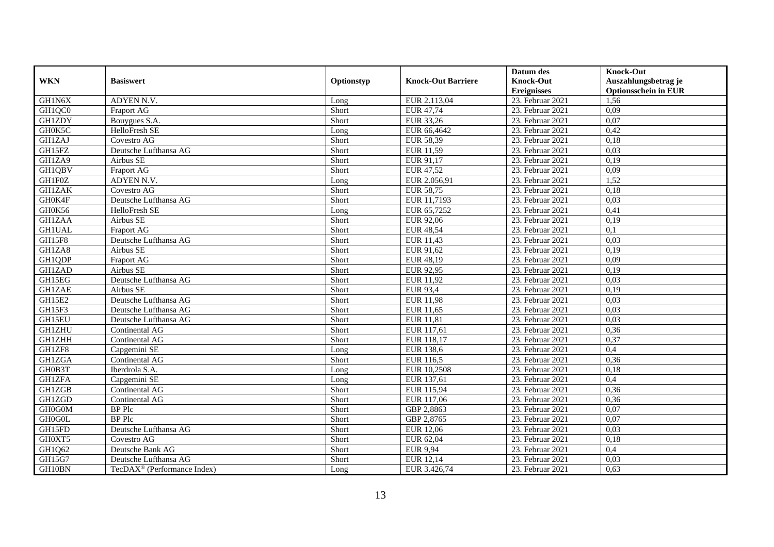|               |                                         |            |                           | Datum des          | <b>Knock-Out</b>            |
|---------------|-----------------------------------------|------------|---------------------------|--------------------|-----------------------------|
| <b>WKN</b>    | <b>Basiswert</b>                        | Optionstyp | <b>Knock-Out Barriere</b> | <b>Knock-Out</b>   | Auszahlungsbetrag je        |
|               |                                         |            |                           | <b>Ereignisses</b> | <b>Optionsschein in EUR</b> |
| GH1N6X        | ADYEN N.V.                              | Long       | EUR 2.113,04              | 23. Februar 2021   | 1,56                        |
| GH1QC0        | Fraport AG                              | Short      | EUR 47,74                 | 23. Februar 2021   | 0,09                        |
| <b>GH1ZDY</b> | Bouygues S.A.                           | Short      | EUR 33,26                 | 23. Februar 2021   | 0,07                        |
| GH0K5C        | HelloFresh SE                           | Long       | EUR 66,4642               | 23. Februar 2021   | 0,42                        |
| GH1ZAJ        | Covestro AG                             | Short      | <b>EUR 58,39</b>          | 23. Februar 2021   | 0,18                        |
| GH15FZ        | Deutsche Lufthansa AG                   | Short      | EUR 11,59                 | 23. Februar 2021   | 0,03                        |
| GH1ZA9        | Airbus SE                               | Short      | EUR 91,17                 | 23. Februar 2021   | 0,19                        |
| GH1QBV        | Fraport AG                              | Short      | EUR 47,52                 | 23. Februar 2021   | 0,09                        |
| GH1F0Z        | ADYEN N.V.                              | Long       | EUR 2.056,91              | 23. Februar 2021   | 1,52                        |
| <b>GH1ZAK</b> | Covestro AG                             | Short      | <b>EUR 58,75</b>          | 23. Februar 2021   | 0,18                        |
| GH0K4F        | Deutsche Lufthansa AG                   | Short      | EUR 11,7193               | 23. Februar 2021   | 0,03                        |
| GH0K56        | HelloFresh SE                           | Long       | EUR 65,7252               | 23. Februar 2021   | 0,41                        |
| <b>GH1ZAA</b> | Airbus SE                               | Short      | EUR 92,06                 | 23. Februar 2021   | 0,19                        |
| <b>GH1UAL</b> | Fraport AG                              | Short      | EUR 48,54                 | 23. Februar 2021   | 0,1                         |
| GH15F8        | Deutsche Lufthansa AG                   | Short      | EUR 11,43                 | 23. Februar 2021   | 0,03                        |
| GH1ZA8        | Airbus SE                               | Short      | EUR 91,62                 | 23. Februar 2021   | 0,19                        |
| GH1QDP        | Fraport AG                              | Short      | EUR 48,19                 | 23. Februar 2021   | 0,09                        |
| <b>GH1ZAD</b> | Airbus SE                               | Short      | EUR 92,95                 | 23. Februar 2021   | 0,19                        |
| GH15EG        | Deutsche Lufthansa AG                   | Short      | EUR 11,92                 | 23. Februar 2021   | 0,03                        |
| <b>GH1ZAE</b> | Airbus SE                               | Short      | <b>EUR 93,4</b>           | 23. Februar 2021   | 0,19                        |
| GH15E2        | Deutsche Lufthansa AG                   | Short      | <b>EUR 11,98</b>          | 23. Februar 2021   | 0,03                        |
| GH15F3        | Deutsche Lufthansa AG                   | Short      | EUR 11,65                 | 23. Februar 2021   | 0,03                        |
| GH15EU        | Deutsche Lufthansa AG                   | Short      | <b>EUR 11,81</b>          | 23. Februar 2021   | 0,03                        |
| <b>GH1ZHU</b> | Continental AG                          | Short      | EUR 117,61                | 23. Februar 2021   | 0,36                        |
| <b>GH1ZHH</b> | Continental AG                          | Short      | EUR 118,17                | 23. Februar 2021   | 0,37                        |
| GH1ZF8        | Capgemini SE                            | Long       | <b>EUR 138,6</b>          | 23. Februar 2021   | 0,4                         |
| <b>GH1ZGA</b> | Continental AG                          | Short      | <b>EUR 116,5</b>          | 23. Februar 2021   | 0,36                        |
| GH0B3T        | Iberdrola S.A.                          | Long       | EUR 10,2508               | 23. Februar 2021   | 0,18                        |
| <b>GH1ZFA</b> | Capgemini SE                            | Long       | EUR 137,61                | 23. Februar 2021   | 0,4                         |
| GH1ZGB        | Continental AG                          | Short      | EUR 115,94                | 23. Februar 2021   | 0.36                        |
| GH1ZGD        | Continental AG                          | Short      | EUR 117,06                | 23. Februar 2021   | 0,36                        |
| GH0G0M        | <b>BP</b> Plc                           | Short      | GBP 2,8863                | 23. Februar 2021   | 0,07                        |
| GH0G0L        | <b>BP</b> Plc                           | Short      | GBP 2,8765                | 23. Februar 2021   | 0,07                        |
| GH15FD        | Deutsche Lufthansa AG                   | Short      | EUR 12,06                 | 23. Februar 2021   | 0,03                        |
| GH0XT5        | Covestro AG                             | Short      | EUR 62,04                 | 23. Februar 2021   | 0,18                        |
| GH1Q62        | Deutsche Bank AG                        | Short      | <b>EUR 9,94</b>           | 23. Februar 2021   | 0,4                         |
| GH15G7        | Deutsche Lufthansa AG                   | Short      | EUR 12,14                 | 23. Februar 2021   | 0,03                        |
| GH10BN        | TecDAX <sup>®</sup> (Performance Index) | Long       | EUR 3.426,74              | 23. Februar 2021   | 0,63                        |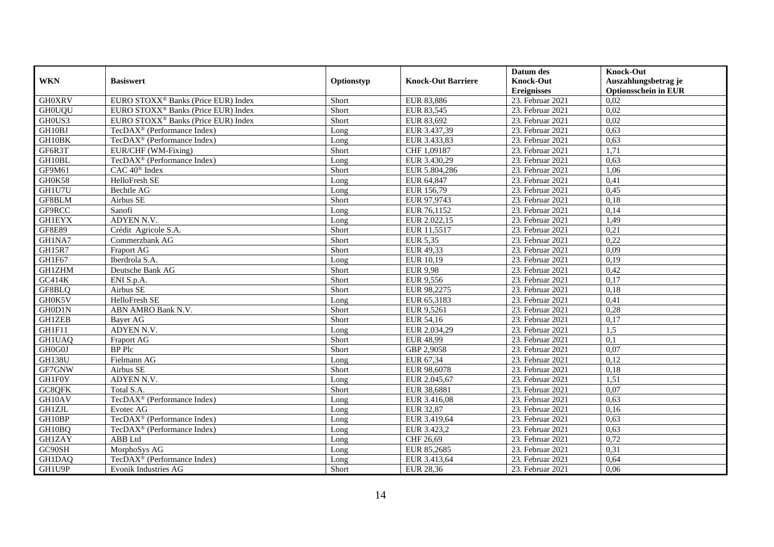|               |                                                 |            |                           | Datum des          | <b>Knock-Out</b>            |
|---------------|-------------------------------------------------|------------|---------------------------|--------------------|-----------------------------|
| <b>WKN</b>    | <b>Basiswert</b>                                | Optionstyp | <b>Knock-Out Barriere</b> | <b>Knock-Out</b>   | Auszahlungsbetrag je        |
|               |                                                 |            |                           | <b>Ereignisses</b> | <b>Optionsschein in EUR</b> |
| <b>GH0XRV</b> | EURO STOXX <sup>®</sup> Banks (Price EUR) Index | Short      | EUR 83,886                | 23. Februar 2021   | 0.02                        |
| <b>GH0UQU</b> | EURO STOXX <sup>®</sup> Banks (Price EUR) Index | Short      | EUR 83,545                | 23. Februar 2021   | 0,02                        |
| GH0US3        | EURO STOXX <sup>®</sup> Banks (Price EUR) Index | Short      | EUR 83,692                | 23. Februar 2021   | 0,02                        |
| GH10BJ        | TecDAX <sup>®</sup> (Performance Index)         | Long       | EUR 3.437,39              | 23. Februar 2021   | 0,63                        |
| GH10BK        | TecDAX <sup>®</sup> (Performance Index)         | Long       | EUR 3.433,83              | 23. Februar 2021   | 0,63                        |
| GF6R3T        | EUR/CHF (WM-Fixing)                             | Short      | CHF 1,09187               | 23. Februar 2021   | 1,71                        |
| GH10BL        | TecDAX <sup>®</sup> (Performance Index)         | Long       | EUR 3.430,29              | 23. Februar 2021   | 0,63                        |
| GF9M61        | CAC 40 <sup>®</sup> Index                       | Short      | EUR 5.804,286             | 23. Februar 2021   | 1,06                        |
| GH0K58        | HelloFresh SE                                   | Long       | EUR 64,847                | 23. Februar 2021   | 0,41                        |
| GH1U7U        | <b>Bechtle AG</b>                               | Long       | EUR 156,79                | 23. Februar 2021   | 0,45                        |
| GF8BLM        | Airbus SE                                       | Short      | EUR 97,9743               | 23. Februar 2021   | 0,18                        |
| GF9RCC        | Sanofi                                          | Long       | EUR 76,1152               | 23. Februar 2021   | 0,14                        |
| <b>GH1EYX</b> | ADYEN N.V.                                      | Long       | EUR 2.022,15              | 23. Februar 2021   | 1,49                        |
| <b>GF8E89</b> | Crédit Agricole S.A.                            | Short      | EUR 11,5517               | 23. Februar 2021   | 0,21                        |
| GH1NA7        | Commerzbank AG                                  | Short      | EUR 5,35                  | 23. Februar 2021   | 0,22                        |
| GH15R7        | Fraport AG                                      | Short      | EUR 49,33                 | 23. Februar 2021   | 0,09                        |
| GH1F67        | Iberdrola S.A.                                  | Long       | EUR 10,19                 | 23. Februar 2021   | 0,19                        |
| <b>GH1ZHM</b> | Deutsche Bank AG                                | Short      | <b>EUR 9,98</b>           | 23. Februar 2021   | 0,42                        |
| GC414K        | ENI S.p.A.                                      | Short      | EUR 9,556                 | 23. Februar 2021   | 0,17                        |
| GF8BLQ        | Airbus SE                                       | Short      | EUR 98,2275               | 23. Februar 2021   | 0,18                        |
| GH0K5V        | <b>HelloFresh SE</b>                            | Long       | EUR 65,3183               | 23. Februar 2021   | 0,41                        |
| GH0D1N        | ABN AMRO Bank N.V.                              | Short      | EUR 9,5261                | 23. Februar 2021   | 0,28                        |
| <b>GH1ZEB</b> | Bayer AG                                        | Short      | EUR 54,16                 | 23. Februar 2021   | 0,17                        |
| GH1F11        | ADYEN N.V.                                      | Long       | EUR 2.034,29              | 23. Februar 2021   | 1,5                         |
| GH1UAQ        | Fraport AG                                      | Short      | <b>EUR 48,99</b>          | 23. Februar 2021   | 0,1                         |
| GH0G0J        | BP Plc                                          | Short      | GBP 2,9058                | 23. Februar 2021   | 0,07                        |
| <b>GH138U</b> | Fielmann AG                                     | Long       | EUR 67,34                 | 23. Februar 2021   | 0,12                        |
| GF7GNW        | Airbus SE                                       | Short      | EUR 98,6078               | 23. Februar 2021   | 0,18                        |
| <b>GH1F0Y</b> | ADYEN N.V.                                      | Long       | EUR 2.045,67              | 23. Februar 2021   | 1,51                        |
| GC8QFK        | Total S.A.                                      | Short      | EUR 38,6881               | 23. Februar 2021   | 0.07                        |
| GH10AV        | TecDAX <sup>®</sup> (Performance Index)         | Long       | EUR 3.416,08              | 23. Februar 2021   | 0,63                        |
| <b>GH1ZJL</b> | Evotec AG                                       | Long       | EUR 32,87                 | 23. Februar 2021   | 0,16                        |
| GH10BP        | TecDAX <sup>®</sup> (Performance Index)         | Long       | EUR 3.419,64              | 23. Februar 2021   | 0,63                        |
| GH10BQ        | TecDAX <sup>®</sup> (Performance Index)         | Long       | EUR 3.423,2               | 23. Februar 2021   | 0,63                        |
| <b>GH1ZAY</b> | ABB Ltd                                         | Long       | CHF 26,69                 | 23. Februar 2021   | 0,72                        |
| GC90SH        | MorphoSys AG                                    | Long       | EUR 85,2685               | 23. Februar 2021   | 0,31                        |
| GH1DAQ        | TecDAX <sup>®</sup> (Performance Index)         | Long       | EUR 3.413,64              | 23. Februar 2021   | 0,64                        |
| GH1U9P        | <b>Evonik Industries AG</b>                     | Short      | EUR 28,36                 | 23. Februar 2021   | 0,06                        |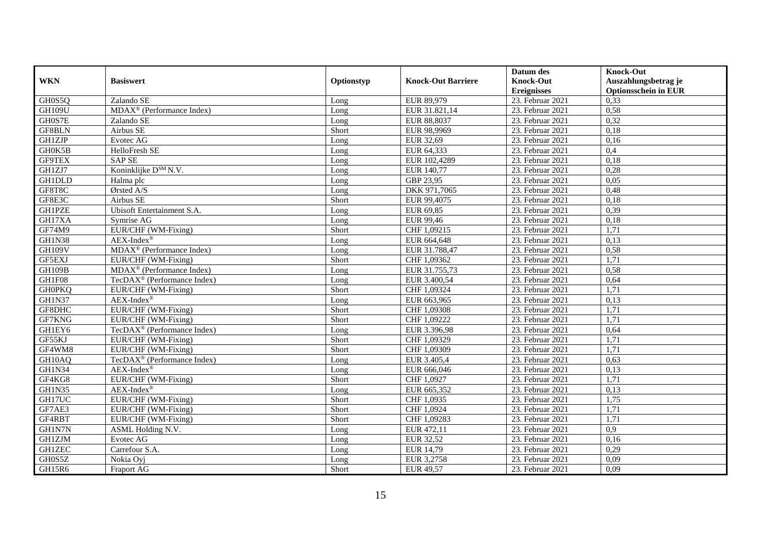|               |                                         |            |                           | Datum des          | <b>Knock-Out</b>            |
|---------------|-----------------------------------------|------------|---------------------------|--------------------|-----------------------------|
| <b>WKN</b>    | <b>Basiswert</b>                        | Optionstyp | <b>Knock-Out Barriere</b> | <b>Knock-Out</b>   | Auszahlungsbetrag je        |
|               |                                         |            |                           | <b>Ereignisses</b> | <b>Optionsschein in EUR</b> |
| GH0S5Q        | Zalando SE                              | Long       | EUR 89,979                | 23. Februar 2021   | 0,33                        |
| <b>GH109U</b> | MDAX <sup>®</sup> (Performance Index)   | Long       | EUR 31.821,14             | 23. Februar 2021   | 0,58                        |
| GH0S7E        | Zalando SE                              | Long       | EUR 88,8037               | 23. Februar 2021   | 0,32                        |
| GF8BLN        | Airbus SE                               | Short      | EUR 98,9969               | 23. Februar 2021   | 0,18                        |
| <b>GH1ZJP</b> | Evotec $\overline{AG}$                  | Long       | EUR 32,69                 | 23. Februar 2021   | 0,16                        |
| GH0K5B        | HelloFresh SE                           | Long       | EUR 64,333                | 23. Februar 2021   | 0,4                         |
| <b>GF9TEX</b> | <b>SAP SE</b>                           | Long       | EUR 102,4289              | 23. Februar 2021   | 0,18                        |
| GH1ZJ7        | Koninklijke D <sup>SM</sup> N.V.        | Long       | EUR 140,77                | 23. Februar 2021   | 0,28                        |
| <b>GH1DLD</b> | Halma plc                               | Long       | GBP 23,95                 | 23. Februar 2021   | 0,05                        |
| GF8T8C        | Ørsted A/S                              | Long       | DKK 971,7065              | 23. Februar 2021   | 0,48                        |
| GF8E3C        | Airbus SE                               | Short      | EUR 99,4075               | 23. Februar 2021   | 0,18                        |
| GH1PZE        | Ubisoft Entertainment S.A.              | Long       | EUR 69,85                 | 23. Februar 2021   | 0,39                        |
| GH17XA        | Symrise AG                              | Long       | EUR 99,46                 | 23. Februar 2021   | 0,18                        |
| <b>GF74M9</b> | EUR/CHF (WM-Fixing)                     | Short      | CHF 1,09215               | 23. Februar 2021   | 1,71                        |
| <b>GH1N38</b> | $AEX-Index^{\circledR}$                 | Long       | EUR 664,648               | 23. Februar 2021   | 0,13                        |
| <b>GH109V</b> | MDAX <sup>®</sup> (Performance Index)   | Long       | EUR 31.788,47             | 23. Februar 2021   | 0,58                        |
| <b>GF5EXJ</b> | EUR/CHF (WM-Fixing)                     | Short      | CHF 1,09362               | 23. Februar 2021   | 1,71                        |
| <b>GH109B</b> | MDAX <sup>®</sup> (Performance Index)   | Long       | EUR 31.755,73             | 23. Februar 2021   | 0,58                        |
| GH1F08        | TecDAX <sup>®</sup> (Performance Index) | Long       | EUR 3.400,54              | 23. Februar 2021   | 0,64                        |
| <b>GH0PKQ</b> | EUR/CHF (WM-Fixing)                     | Short      | CHF 1,09324               | 23. Februar 2021   | 1,71                        |
| <b>GH1N37</b> | $AEX-Index^{\circledR}$                 | Long       | EUR 663,965               | 23. Februar 2021   | 0,13                        |
| GF8DHC        | EUR/CHF (WM-Fixing)                     | Short      | CHF 1,09308               | 23. Februar 2021   | 1,71                        |
| GF7KNG        | EUR/CHF (WM-Fixing)                     | Short      | CHF 1,09222               | 23. Februar 2021   | 1,71                        |
| GH1EY6        | TecDAX <sup>®</sup> (Performance Index) | Long       | EUR 3.396,98              | 23. Februar 2021   | 0,64                        |
| GF55KJ        | EUR/CHF (WM-Fixing)                     | Short      | CHF 1,09329               | 23. Februar 2021   | 1,71                        |
| GF4WM8        | EUR/CHF (WM-Fixing)                     | Short      | CHF 1,09309               | 23. Februar 2021   | 1,71                        |
| GH10AQ        | TecDAX <sup>®</sup> (Performance Index) | Long       | EUR 3.405,4               | 23. Februar 2021   | 0,63                        |
| GH1N34        | $AEX-Index^{\circledR}$                 | Long       | EUR 666,046               | 23. Februar 2021   | 0,13                        |
| GF4KG8        | EUR/CHF (WM-Fixing)                     | Short      | CHF 1,0927                | 23. Februar 2021   | 1,71                        |
| <b>GH1N35</b> | $AEX-Index^{\circledR}$                 | Long       | EUR 665,352               | 23. Februar 2021   | 0,13                        |
| GH17UC        | EUR/CHF (WM-Fixing)                     | Short      | CHF 1,0935                | 23. Februar 2021   | 1,75                        |
| GF7AE3        | EUR/CHF (WM-Fixing)                     | Short      | CHF 1,0924                | 23. Februar 2021   | 1,71                        |
| GF4RBT        | EUR/CHF (WM-Fixing)                     | Short      | CHF 1,09283               | 23. Februar 2021   | 1,71                        |
| GH1N7N        | ASML Holding N.V.                       | Long       | EUR 472,11                | 23. Februar 2021   | $\overline{0.9}$            |
| <b>GH1ZJM</b> | Evotec AG                               | Long       | EUR 32,52                 | 23. Februar 2021   | 0,16                        |
| <b>GH1ZEC</b> | Carrefour S.A.                          | Long       | EUR 14,79                 | 23. Februar 2021   | 0,29                        |
| GH0S5Z        | Nokia Oyj                               | Long       | EUR 3,2758                | 23. Februar 2021   | 0,09                        |
| GH15R6        | Fraport AG                              | Short      | EUR 49,57                 | 23. Februar 2021   | 0,09                        |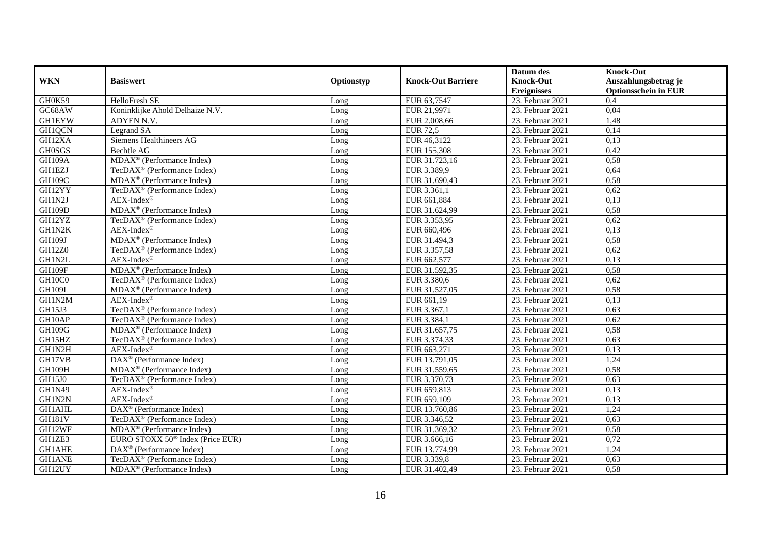|               |                                              |            |                           | Datum des          | <b>Knock-Out</b>            |
|---------------|----------------------------------------------|------------|---------------------------|--------------------|-----------------------------|
| <b>WKN</b>    | <b>Basiswert</b>                             | Optionstyp | <b>Knock-Out Barriere</b> | <b>Knock-Out</b>   | Auszahlungsbetrag je        |
|               |                                              |            |                           | <b>Ereignisses</b> | <b>Optionsschein in EUR</b> |
| GH0K59        | HelloFresh SE                                | Long       | EUR 63,7547               | 23. Februar 2021   | 0,4                         |
| GC68AW        | Koninklijke Ahold Delhaize N.V.              | Long       | EUR 21,9971               | 23. Februar 2021   | 0,04                        |
| <b>GH1EYW</b> | ADYEN N.V.                                   | Long       | EUR 2.008,66              | 23. Februar 2021   | 1,48                        |
| GH1QCN        | Legrand SA                                   | Long       | <b>EUR 72,5</b>           | 23. Februar 2021   | 0,14                        |
| GH12XA        | Siemens Healthineers AG                      | Long       | EUR 46,3122               | 23. Februar 2021   | 0,13                        |
| <b>GH0SGS</b> | Bechtle AG                                   | Long       | EUR 155,308               | 23. Februar 2021   | 0,42                        |
| <b>GH109A</b> | MDAX <sup>®</sup> (Performance Index)        | Long       | EUR 31.723,16             | 23. Februar 2021   | 0,58                        |
| <b>GH1EZJ</b> | TecDAX <sup>®</sup> (Performance Index)      | Long       | EUR 3.389,9               | 23. Februar 2021   | 0,64                        |
| <b>GH109C</b> | MDAX <sup>®</sup> (Performance Index)        | Long       | EUR 31.690,43             | 23. Februar 2021   | 0,58                        |
| GH12YY        | TecDAX <sup>®</sup> (Performance Index)      | Long       | EUR 3.361,1               | 23. Februar 2021   | 0,62                        |
| GH1N2J        | $AEX-Index^{\circledR}$                      | Long       | EUR 661,884               | 23. Februar 2021   | 0,13                        |
| <b>GH109D</b> | MDAX <sup>®</sup> (Performance Index)        | Long       | EUR 31.624,99             | 23. Februar 2021   | 0,58                        |
| GH12YZ        | TecDAX <sup>®</sup> (Performance Index)      | Long       | EUR 3.353,95              | 23. Februar 2021   | 0,62                        |
| GH1N2K        | $AEX-Index^{\circledR}$                      | Long       | EUR 660.496               | 23. Februar 2021   | 0.13                        |
| GH109J        | MDAX <sup>®</sup> (Performance Index)        | Long       | EUR 31.494,3              | 23. Februar 2021   | 0,58                        |
| <b>GH12Z0</b> | TecDAX <sup>®</sup> (Performance Index)      | Long       | EUR 3.357,58              | 23. Februar 2021   | 0,62                        |
| GH1N2L        | $AEX-Index^{\circledR}$                      | Long       | EUR 662,577               | 23. Februar 2021   | 0,13                        |
| GH109F        | MDAX <sup>®</sup> (Performance Index)        | Long       | EUR 31.592,35             | 23. Februar 2021   | 0,58                        |
| GH10C0        | TecDAX <sup>®</sup> (Performance Index)      | Long       | EUR 3.380,6               | 23. Februar 2021   | 0,62                        |
| <b>GH109L</b> | MDAX <sup>®</sup> (Performance Index)        | Long       | EUR 31.527,05             | 23. Februar 2021   | 0,58                        |
| GH1N2M        | AEX-Index®                                   | Long       | EUR 661,19                | 23. Februar 2021   | 0,13                        |
| GH15J3        | TecDAX <sup>®</sup> (Performance Index)      | Long       | EUR 3.367,1               | 23. Februar 2021   | 0.63                        |
| GH10AP        | TecDAX <sup>®</sup> (Performance Index)      | Long       | EUR 3.384,1               | 23. Februar 2021   | 0,62                        |
| <b>GH109G</b> | MDAX <sup>®</sup> (Performance Index)        | Long       | EUR 31.657,75             | 23. Februar 2021   | 0,58                        |
| GH15HZ        | TecDAX <sup>®</sup> (Performance Index)      | Long       | EUR 3.374,33              | 23. Februar 2021   | 0,63                        |
| GH1N2H        | AEX-Index®                                   | Long       | EUR 663,271               | 23. Februar 2021   | 0,13                        |
| GH17VB        | DAX <sup>®</sup> (Performance Index)         | Long       | EUR 13.791,05             | 23. Februar 2021   | 1,24                        |
| GH109H        | MDAX <sup>®</sup> (Performance Index)        | Long       | EUR 31.559,65             | 23. Februar 2021   | 0,58                        |
| GH15J0        | TecDAX <sup>®</sup> (Performance Index)      | Long       | EUR 3.370,73              | 23. Februar 2021   | 0,63                        |
| <b>GH1N49</b> | $AEX-Index^{\circledR}$                      | Long       | EUR 659,813               | 23. Februar 2021   | 0,13                        |
| GH1N2N        | AEX-Index®                                   | Long       | EUR 659,109               | 23. Februar 2021   | 0,13                        |
| GH1AHL        | DAX <sup>®</sup> (Performance Index)         | Long       | EUR 13.760,86             | 23. Februar 2021   | 1,24                        |
| <b>GH181V</b> | TecDAX <sup>®</sup> (Performance Index)      | Long       | EUR 3.346,52              | 23. Februar 2021   | 0,63                        |
| GH12WF        | MDAX <sup>®</sup> (Performance Index)        | Long       | EUR 31.369,32             | 23. Februar 2021   | 0,58                        |
| GH1ZE3        | EURO STOXX 50 <sup>®</sup> Index (Price EUR) | Long       | EUR 3.666,16              | 23. Februar 2021   | 0,72                        |
| <b>GH1AHE</b> | DAX <sup>®</sup> (Performance Index)         | Long       | EUR 13.774,99             | 23. Februar 2021   | 1,24                        |
| <b>GH1ANE</b> | TecDAX <sup>®</sup> (Performance Index)      | Long       | EUR 3.339,8               | 23. Februar 2021   | 0,63                        |
| GH12UY        | MDAX <sup>®</sup> (Performance Index)        | Long       | EUR 31.402,49             | 23. Februar 2021   | 0,58                        |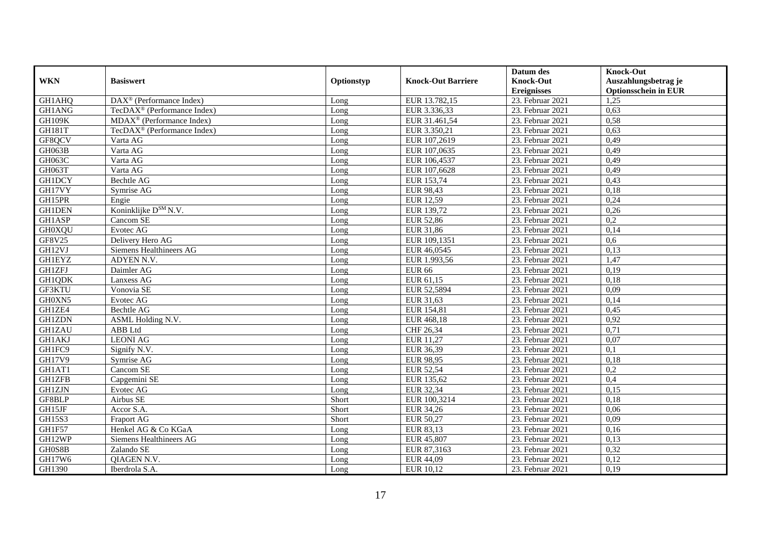|               |                                         |            |                           | Datum des          | <b>Knock-Out</b>            |
|---------------|-----------------------------------------|------------|---------------------------|--------------------|-----------------------------|
| <b>WKN</b>    | <b>Basiswert</b>                        | Optionstyp | <b>Knock-Out Barriere</b> | <b>Knock-Out</b>   | Auszahlungsbetrag je        |
|               |                                         |            |                           | <b>Ereignisses</b> | <b>Optionsschein in EUR</b> |
| GH1AHQ        | DAX <sup>®</sup> (Performance Index)    | Long       | EUR 13.782,15             | 23. Februar 2021   | 1,25                        |
| GH1ANG        | TecDAX <sup>®</sup> (Performance Index) | Long       | EUR 3.336,33              | 23. Februar 2021   | 0,63                        |
| <b>GH109K</b> | $MDAX^{\circledR}$ (Performance Index)  | Long       | EUR 31.461,54             | 23. Februar 2021   | 0,58                        |
| <b>GH181T</b> | TecDAX <sup>®</sup> (Performance Index) | Long       | EUR 3.350,21              | 23. Februar 2021   | 0,63                        |
| GF8QCV        | Varta AG                                | Long       | EUR 107,2619              | 23. Februar 2021   | 0,49                        |
| GH063B        | Varta AG                                | Long       | EUR 107,0635              | 23. Februar 2021   | 0,49                        |
| GH063C        | Varta AG                                | Long       | EUR 106,4537              | 23. Februar 2021   | 0,49                        |
| GH063T        | Varta AG                                | Long       | EUR 107,6628              | 23. Februar 2021   | 0,49                        |
| <b>GH1DCY</b> | Bechtle AG                              | Long       | EUR 153,74                | 23. Februar 2021   | 0,43                        |
| GH17VY        | Symrise AG                              | Long       | EUR 98,43                 | 23. Februar 2021   | 0,18                        |
| GH15PR        | Engie                                   | Long       | EUR 12,59                 | 23. Februar 2021   | 0,24                        |
| <b>GH1DEN</b> | Koninklijke D <sup>SM</sup> N.V.        | Long       | EUR 139,72                | 23. Februar 2021   | 0,26                        |
| <b>GH1ASP</b> | Cancom SE                               | Long       | <b>EUR 52,86</b>          | 23. Februar 2021   | 0,2                         |
| <b>GH0XQU</b> | Evotec AG                               | Long       | EUR 31,86                 | 23. Februar 2021   | 0.14                        |
| GF8V25        | Delivery Hero AG                        | Long       | EUR 109,1351              | 23. Februar 2021   | 0.6                         |
| GH12VJ        | Siemens Healthineers AG                 | Long       | EUR 46,0545               | 23. Februar 2021   | 0,13                        |
| <b>GH1EYZ</b> | ADYEN N.V.                              | Long       | EUR 1.993,56              | 23. Februar 2021   | 1,47                        |
| <b>GH1ZFJ</b> | Daimler AG                              | Long       | <b>EUR 66</b>             | 23. Februar 2021   | 0,19                        |
| GH1QDK        | Lanxess AG                              | Long       | EUR 61,15                 | 23. Februar 2021   | 0,18                        |
| GF3KTU        | Vonovia SE                              | Long       | EUR 52,5894               | 23. Februar 2021   | 0,09                        |
| GH0XN5        | Evotec AG                               | Long       | EUR 31,63                 | 23. Februar 2021   | 0,14                        |
| GH1ZE4        | Bechtle AG                              | Long       | EUR 154,81                | 23. Februar 2021   | 0,45                        |
| <b>GH1ZDN</b> | ASML Holding N.V.                       | Long       | EUR 468,18                | 23. Februar 2021   | 0,92                        |
| <b>GH1ZAU</b> | <b>ABB</b> Ltd                          | Long       | CHF 26,34                 | 23. Februar 2021   | 0,71                        |
| <b>GH1AKJ</b> | <b>LEONI AG</b>                         | Long       | EUR 11,27                 | 23. Februar 2021   | 0,07                        |
| GH1FC9        | Signify N.V.                            | Long       | EUR 36,39                 | 23. Februar 2021   | 0,1                         |
| <b>GH17V9</b> | Symrise AG                              | Long       | <b>EUR 98,95</b>          | 23. Februar 2021   | 0,18                        |
| GH1AT1        | Cancom SE                               | Long       | EUR 52,54                 | 23. Februar 2021   | $\overline{0,2}$            |
| <b>GH1ZFB</b> | Capgemini SE                            | Long       | EUR 135,62                | 23. Februar 2021   | 0,4                         |
| <b>GH1ZJN</b> | Evotec AG                               | Long       | EUR 32,34                 | 23. Februar 2021   | 0,15                        |
| GF8BLP        | Airbus SE                               | Short      | EUR 100,3214              | 23. Februar 2021   | 0,18                        |
| GH15JF        | Accor S.A.                              | Short      | EUR 34,26                 | 23. Februar 2021   | 0,06                        |
| <b>GH15S3</b> | Fraport AG                              | Short      | EUR 50,27                 | 23. Februar 2021   | 0,09                        |
| GH1F57        | Henkel AG & Co KGaA                     | Long       | EUR 83,13                 | 23. Februar 2021   | 0,16                        |
| GH12WP        | Siemens Healthineers AG                 | Long       | EUR 45,807                | 23. Februar 2021   | 0,13                        |
| GH0S8B        | Zalando SE                              | Long       | EUR 87,3163               | 23. Februar 2021   | 0,32                        |
| GH17W6        | QIAGEN N.V.                             | Long       | EUR 44,09                 | 23. Februar 2021   | 0,12                        |
| GH1390        | Iberdrola S.A.                          | Long       | EUR 10,12                 | 23. Februar 2021   | 0,19                        |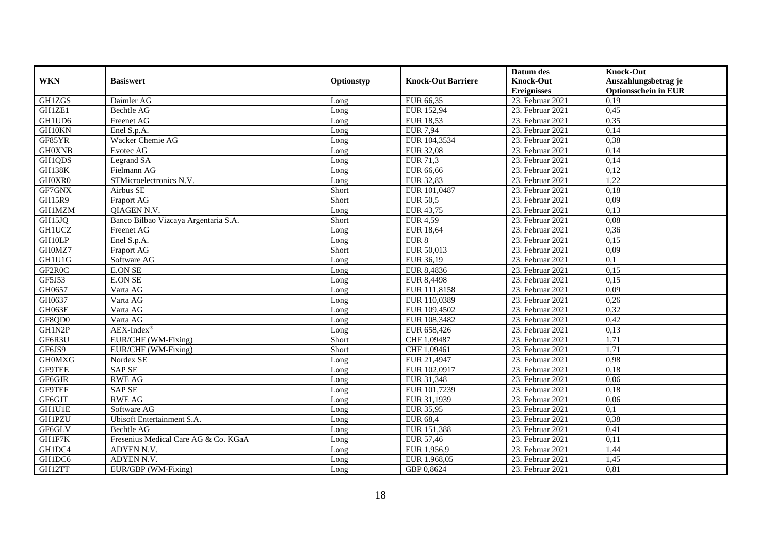|               |                                      |            |                           | Datum des          | <b>Knock-Out</b>            |
|---------------|--------------------------------------|------------|---------------------------|--------------------|-----------------------------|
| <b>WKN</b>    | <b>Basiswert</b>                     | Optionstyp | <b>Knock-Out Barriere</b> | <b>Knock-Out</b>   | Auszahlungsbetrag je        |
|               |                                      |            |                           | <b>Ereignisses</b> | <b>Optionsschein in EUR</b> |
| GH1ZGS        | Daimler AG                           | Long       | EUR 66,35                 | 23. Februar 2021   | 0,19                        |
| GH1ZE1        | Bechtle AG                           | Long       | EUR 152,94                | 23. Februar 2021   | 0,45                        |
| GH1UD6        | Freenet AG                           | Long       | <b>EUR 18,53</b>          | 23. Februar 2021   | 0,35                        |
| GH10KN        | Enel S.p.A.                          | Long       | <b>EUR 7,94</b>           | 23. Februar 2021   | 0,14                        |
| GF85YR        | Wacker Chemie AG                     | Long       | EUR 104,3534              | 23. Februar 2021   | 0,38                        |
| <b>GH0XNB</b> | Evotec AG                            | Long       | EUR 32,08                 | 23. Februar 2021   | 0,14                        |
| GH1QDS        | Legrand SA                           | Long       | <b>EUR 71,3</b>           | 23. Februar 2021   | 0,14                        |
| <b>GH138K</b> | Fielmann AG                          | Long       | EUR 66,66                 | 23. Februar 2021   | 0,12                        |
| GH0XR0        | STMicroelectronics N.V.              | Long       | <b>EUR 32,83</b>          | 23. Februar 2021   | 1,22                        |
| GF7GNX        | Airbus SE                            | Short      | EUR 101,0487              | 23. Februar 2021   | 0,18                        |
| <b>GH15R9</b> | Fraport AG                           | Short      | <b>EUR 50,5</b>           | 23. Februar 2021   | 0,09                        |
| <b>GH1MZM</b> | QIAGEN N.V.                          | Long       | EUR 43,75                 | 23. Februar 2021   | 0,13                        |
| GH15JQ        | Banco Bilbao Vizcaya Argentaria S.A. | Short      | <b>EUR 4,59</b>           | 23. Februar 2021   | 0,08                        |
| <b>GH1UCZ</b> | <b>Freenet AG</b>                    | Long       | <b>EUR 18.64</b>          | 23. Februar 2021   | 0,36                        |
| GH10LP        | Enel S.p.A.                          | Long       | EUR 8                     | 23. Februar 2021   | 0,15                        |
| GH0MZ7        | Fraport AG                           | Short      | EUR 50,013                | 23. Februar 2021   | 0,09                        |
| GH1U1G        | Software AG                          | Long       | EUR 36,19                 | 23. Februar 2021   | 0,1                         |
| GF2R0C        | <b>E.ON SE</b>                       | Long       | EUR 8,4836                | 23. Februar 2021   | 0,15                        |
| GF5J53        | <b>E.ON SE</b>                       | Long       | <b>EUR 8,4498</b>         | 23. Februar 2021   | 0,15                        |
| GH0657        | Varta AG                             | Long       | EUR 111,8158              | 23. Februar 2021   | 0,09                        |
| GH0637        | Varta AG                             | Long       | EUR 110,0389              | 23. Februar 2021   | 0,26                        |
| GH063E        | Varta AG                             | Long       | EUR 109,4502              | 23. Februar 2021   | 0,32                        |
| GF8QD0        | Varta AG                             | Long       | EUR 108,3482              | 23. Februar 2021   | 0,42                        |
| GH1N2P        | $AEX-Index^{\circledR}$              | Long       | EUR 658,426               | 23. Februar 2021   | 0,13                        |
| GF6R3U        | EUR/CHF (WM-Fixing)                  | Short      | CHF 1,09487               | 23. Februar 2021   | 1,71                        |
| GF6JS9        | EUR/CHF (WM-Fixing)                  | Short      | CHF 1,09461               | 23. Februar 2021   | 1,71                        |
| <b>GHOMXG</b> | Nordex SE                            | Long       | EUR 21,4947               | 23. Februar 2021   | 0,98                        |
| <b>GF9TEE</b> | <b>SAP SE</b>                        | Long       | EUR 102,0917              | 23. Februar 2021   | 0,18                        |
| GF6GJR        | <b>RWE AG</b>                        | Long       | EUR 31,348                | 23. Februar 2021   | 0,06                        |
| GF9TEF        | <b>SAP SE</b>                        | Long       | EUR 101,7239              | 23. Februar 2021   | 0,18                        |
| GF6GJT        | <b>RWE AG</b>                        | Long       | EUR 31,1939               | 23. Februar 2021   | 0,06                        |
| <b>GH1U1E</b> | Software AG                          | Long       | EUR 35,95                 | 23. Februar 2021   | 0,1                         |
| <b>GH1PZU</b> | Ubisoft Entertainment S.A.           | Long       | <b>EUR 68,4</b>           | 23. Februar 2021   | 0,38                        |
| GF6GLV        | Bechtle AG                           | Long       | EUR 151,388               | 23. Februar 2021   | 0,41                        |
| GH1F7K        | Fresenius Medical Care AG & Co. KGaA | Long       | EUR 57,46                 | 23. Februar 2021   | 0,11                        |
| GH1DC4        | ADYEN N.V.                           | Long       | EUR 1.956,9               | 23. Februar 2021   | 1,44                        |
| GH1DC6        | ADYEN N.V.                           | Long       | EUR 1.968,05              | 23. Februar 2021   | 1,45                        |
| GH12TT        | EUR/GBP (WM-Fixing)                  | Long       | GBP 0,8624                | 23. Februar 2021   | 0,81                        |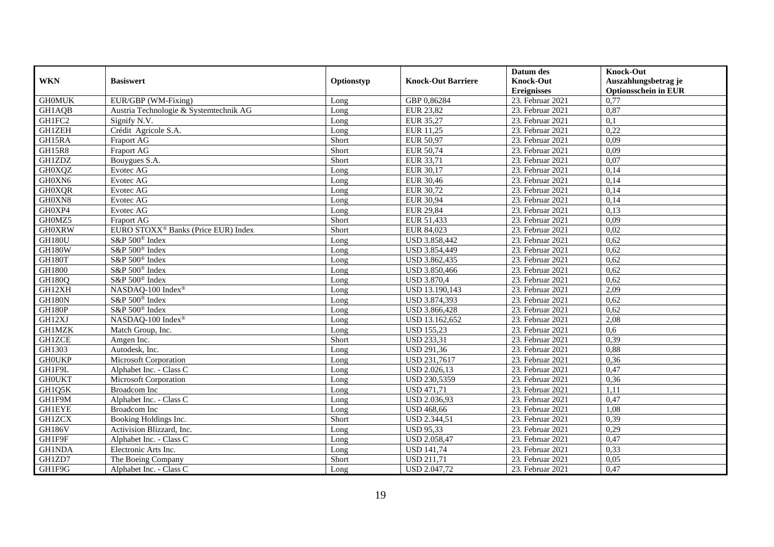|               |                                                 |            |                           | Datum des          | <b>Knock-Out</b>            |
|---------------|-------------------------------------------------|------------|---------------------------|--------------------|-----------------------------|
| <b>WKN</b>    | <b>Basiswert</b>                                | Optionstyp | <b>Knock-Out Barriere</b> | <b>Knock-Out</b>   | Auszahlungsbetrag je        |
|               |                                                 |            |                           | <b>Ereignisses</b> | <b>Optionsschein in EUR</b> |
| <b>GH0MUK</b> | EUR/GBP (WM-Fixing)                             | Long       | GBP 0,86284               | 23. Februar 2021   | 0,77                        |
| GH1AQB        | Austria Technologie & Systemtechnik AG          | Long       | <b>EUR 23,82</b>          | 23. Februar 2021   | 0,87                        |
| GH1FC2        | Signify N.V.                                    | Long       | EUR 35,27                 | 23. Februar 2021   | 0,1                         |
| <b>GH1ZEH</b> | Crédit Agricole S.A.                            | Long       | EUR 11,25                 | 23. Februar 2021   | 0,22                        |
| GH15RA        | Fraport AG                                      | Short      | <b>EUR 50,97</b>          | 23. Februar 2021   | 0,09                        |
| <b>GH15R8</b> | Fraport AG                                      | Short      | EUR 50,74                 | 23. Februar 2021   | 0,09                        |
| <b>GH1ZDZ</b> | Bouygues S.A.                                   | Short      | EUR 33,71                 | 23. Februar 2021   | 0,07                        |
| <b>GH0XQZ</b> | Evotec AG                                       | Long       | EUR 30,17                 | 23. Februar 2021   | 0,14                        |
| GH0XN6        | Evotec AG                                       | Long       | <b>EUR 30,46</b>          | 23. Februar 2021   | 0,14                        |
| <b>GH0XQR</b> | Evotec AG                                       | Long       | EUR 30,72                 | 23. Februar 2021   | 0,14                        |
| GH0XN8        | Evotec AG                                       | Long       | EUR 30,94                 | 23. Februar 2021   | 0,14                        |
| GH0XP4        | Evotec AG                                       | Long       | <b>EUR 29,84</b>          | 23. Februar 2021   | 0,13                        |
| GH0MZ5        | Fraport AG                                      | Short      | EUR 51,433                | 23. Februar 2021   | 0,09                        |
| <b>GH0XRW</b> | EURO STOXX <sup>®</sup> Banks (Price EUR) Index | Short      | EUR 84,023                | 23. Februar 2021   | 0,02                        |
| <b>GH180U</b> | S&P 500 <sup>®</sup> Index                      | Long       | USD 3.858,442             | 23. Februar 2021   | 0,62                        |
| GH180W        | S&P 500 <sup>®</sup> Index                      | Long       | USD 3.854,449             | 23. Februar 2021   | 0,62                        |
| GH180T        | S&P 500 <sup>®</sup> Index                      | Long       | USD 3.862,435             | 23. Februar 2021   | 0,62                        |
| GH1800        | S&P 500 <sup>®</sup> Index                      | Long       | USD 3.850,466             | 23. Februar 2021   | 0,62                        |
| <b>GH180Q</b> | S&P 500 <sup>®</sup> Index                      | Long       | <b>USD 3.870,4</b>        | 23. Februar 2021   | 0,62                        |
| GH12XH        | NASDAQ-100 Index®                               | Long       | USD 13.190,143            | 23. Februar 2021   | 2,09                        |
| <b>GH180N</b> | S&P 500 <sup>®</sup> Index                      | Long       | USD 3.874,393             | 23. Februar 2021   | 0,62                        |
| <b>GH180P</b> | S&P 500 <sup>®</sup> Index                      | Long       | USD 3.866,428             | 23. Februar 2021   | 0,62                        |
| GH12XJ        | NASDAQ-100 Index®                               | Long       | USD 13.162,652            | 23. Februar 2021   | 2,08                        |
| <b>GH1MZK</b> | Match Group, Inc.                               | Long       | <b>USD 155,23</b>         | 23. Februar 2021   | 0,6                         |
| <b>GH1ZCE</b> | Amgen Inc.                                      | Short      | <b>USD 233,31</b>         | 23. Februar 2021   | 0,39                        |
| GH1303        | Autodesk, Inc.                                  | Long       | <b>USD 291,36</b>         | 23. Februar 2021   | 0,88                        |
| <b>GHOUKP</b> | Microsoft Corporation                           | Long       | USD 231,7617              | 23. Februar 2021   | 0,36                        |
| GH1F9L        | Alphabet Inc. - Class C                         | Long       | <b>USD 2.026,13</b>       | 23. Februar 2021   | 0,47                        |
| <b>GHOUKT</b> | Microsoft Corporation                           | Long       | USD 230,5359              | 23. Februar 2021   | 0,36                        |
| GH1Q5K        | Broadcom Inc                                    | Long       | <b>USD 471,71</b>         | 23. Februar 2021   | 1,11                        |
| GH1F9M        | Alphabet Inc. - Class C                         | Long       | USD 2.036,93              | 23. Februar 2021   | 0,47                        |
| <b>GH1EYE</b> | <b>Broadcom</b> Inc                             | Long       | <b>USD 468,66</b>         | 23. Februar 2021   | 1,08                        |
| <b>GH1ZCX</b> | Booking Holdings Inc.                           | Short      | <b>USD 2.344,51</b>       | 23. Februar 2021   | 0,39                        |
| <b>GH186V</b> | Activision Blizzard, Inc.                       | Long       | <b>USD 95,33</b>          | 23. Februar 2021   | 0,29                        |
| GH1F9F        | Alphabet Inc. - Class C                         | Long       | <b>USD 2.058,47</b>       | 23. Februar 2021   | 0,47                        |
| GH1NDA        | Electronic Arts Inc.                            | Long       | <b>USD 141,74</b>         | 23. Februar 2021   | 0,33                        |
| GH1ZD7        | The Boeing Company                              | Short      | <b>USD 211,71</b>         | 23. Februar 2021   | 0,05                        |
| GH1F9G        | Alphabet Inc. - Class C                         | Long       | USD 2.047,72              | 23. Februar 2021   | 0,47                        |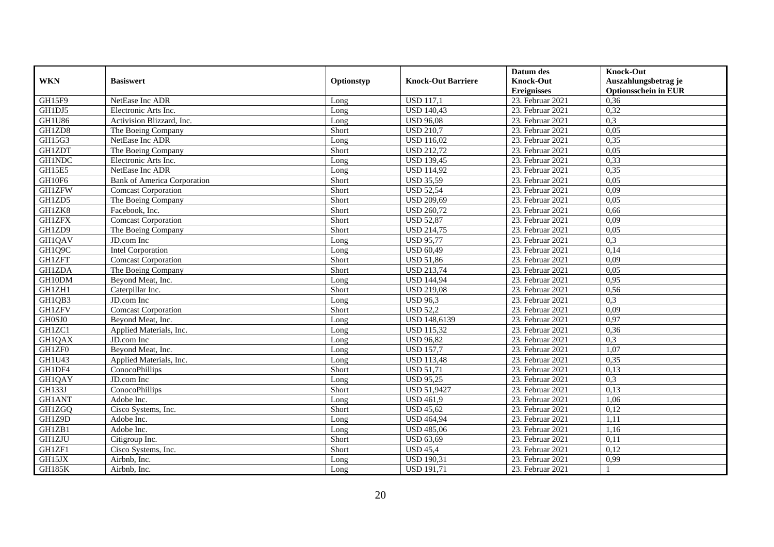|               |                                    |            |                           | Datum des          | <b>Knock-Out</b>            |
|---------------|------------------------------------|------------|---------------------------|--------------------|-----------------------------|
| <b>WKN</b>    | <b>Basiswert</b>                   | Optionstyp | <b>Knock-Out Barriere</b> | <b>Knock-Out</b>   | Auszahlungsbetrag je        |
|               |                                    |            |                           | <b>Ereignisses</b> | <b>Optionsschein in EUR</b> |
| GH15F9        | NetEase Inc ADR                    | Long       | <b>USD 117,1</b>          | 23. Februar 2021   | 0,36                        |
| GH1DJ5        | Electronic Arts Inc.               | Long       | <b>USD 140,43</b>         | 23. Februar 2021   | 0,32                        |
| <b>GH1U86</b> | Activision Blizzard, Inc.          | Long       | <b>USD 96,08</b>          | 23. Februar 2021   | 0,3                         |
| GH1ZD8        | The Boeing Company                 | Short      | <b>USD 210,7</b>          | 23. Februar 2021   | 0,05                        |
| GH15G3        | NetEase Inc ADR                    | Long       | <b>USD 116,02</b>         | 23. Februar 2021   | 0,35                        |
| <b>GH1ZDT</b> | The Boeing Company                 | Short      | <b>USD 212,72</b>         | 23. Februar 2021   | 0,05                        |
| <b>GH1NDC</b> | Electronic Arts Inc.               | Long       | <b>USD 139,45</b>         | 23. Februar 2021   | 0,33                        |
| GH15E5        | NetEase Inc ADR                    | Long       | <b>USD 114,92</b>         | 23. Februar 2021   | 0,35                        |
| GH10F6        | <b>Bank of America Corporation</b> | Short      | <b>USD 35,59</b>          | 23. Februar 2021   | 0,05                        |
| <b>GH1ZFW</b> | <b>Comcast Corporation</b>         | Short      | <b>USD 52,54</b>          | 23. Februar 2021   | 0,09                        |
| GH1ZD5        | The Boeing Company                 | Short      | <b>USD 209,69</b>         | 23. Februar 2021   | 0,05                        |
| GH1ZK8        | Facebook, Inc.                     | Short      | <b>USD 260,72</b>         | 23. Februar 2021   | 0,66                        |
| <b>GH1ZFX</b> | <b>Comcast Corporation</b>         | Short      | <b>USD 52,87</b>          | 23. Februar 2021   | 0,09                        |
| GH1ZD9        | The Boeing Company                 | Short      | <b>USD 214,75</b>         | 23. Februar 2021   | 0,05                        |
| GH1QAV        | JD.com Inc                         | Long       | <b>USD 95,77</b>          | 23. Februar 2021   | 0,3                         |
| GH1Q9C        | <b>Intel Corporation</b>           | Long       | <b>USD 60,49</b>          | 23. Februar 2021   | 0,14                        |
| <b>GH1ZFT</b> | <b>Comcast Corporation</b>         | Short      | <b>USD 51,86</b>          | 23. Februar 2021   | 0,09                        |
| <b>GH1ZDA</b> | The Boeing Company                 | Short      | <b>USD 213,74</b>         | 23. Februar 2021   | 0,05                        |
| GH10DM        | Beyond Meat, Inc.                  | Long       | <b>USD 144,94</b>         | 23. Februar 2021   | 0,95                        |
| GH1ZH1        | Caterpillar Inc.                   | Short      | <b>USD 219,08</b>         | 23. Februar 2021   | 0,56                        |
| GH1QB3        | JD.com Inc                         | Long       | <b>USD 96,3</b>           | 23. Februar 2021   | 0,3                         |
| <b>GH1ZFV</b> | <b>Comcast Corporation</b>         | Short      | <b>USD 52,2</b>           | 23. Februar 2021   | 0,09                        |
| GH0SJ0        | Beyond Meat, Inc.                  | Long       | <b>USD 148,6139</b>       | 23. Februar 2021   | 0,97                        |
| GH1ZC1        | Applied Materials, Inc.            | Long       | <b>USD 115,32</b>         | 23. Februar 2021   | 0,36                        |
| GH1QAX        | JD.com Inc                         | Long       | <b>USD 96,82</b>          | 23. Februar 2021   | 0,3                         |
| GH1ZF0        | Beyond Meat, Inc.                  | Long       | <b>USD 157,7</b>          | 23. Februar 2021   | 1,07                        |
| GH1U43        | Applied Materials, Inc.            | Long       | <b>USD 113,48</b>         | 23. Februar 2021   | 0,35                        |
| GH1DF4        | ConocoPhillips                     | Short      | <b>USD 51,71</b>          | 23. Februar 2021   | 0,13                        |
| GH1QAY        | JD.com Inc                         | Long       | $\overline{USD}$ 95,25    | 23. Februar 2021   | 0,3                         |
| <b>GH133J</b> | ConocoPhillips                     | Short      | <b>USD 51,9427</b>        | 23. Februar 2021   | 0,13                        |
| <b>GH1ANT</b> | Adobe Inc.                         | Long       | <b>USD 461,9</b>          | 23. Februar 2021   | 1,06                        |
| GH1ZGQ        | Cisco Systems, Inc.                | Short      | <b>USD 45,62</b>          | 23. Februar 2021   | 0,12                        |
| GH1Z9D        | Adobe Inc.                         | Long       | <b>USD 464,94</b>         | 23. Februar 2021   | 1,11                        |
| GH1ZB1        | Adobe Inc.                         | Long       | <b>USD 485,06</b>         | 23. Februar 2021   | 1,16                        |
| <b>GH1ZJU</b> | Citigroup Inc.                     | Short      | <b>USD 63,69</b>          | 23. Februar 2021   | 0,11                        |
| GH1ZF1        | Cisco Systems, Inc.                | Short      | <b>USD 45,4</b>           | 23. Februar 2021   | 0,12                        |
| GH15JX        | Airbnb, Inc.                       | Long       | <b>USD 190,31</b>         | 23. Februar 2021   | 0,99                        |
| <b>GH185K</b> | Airbnb, Inc.                       | Long       | <b>USD 191,71</b>         | 23. Februar 2021   |                             |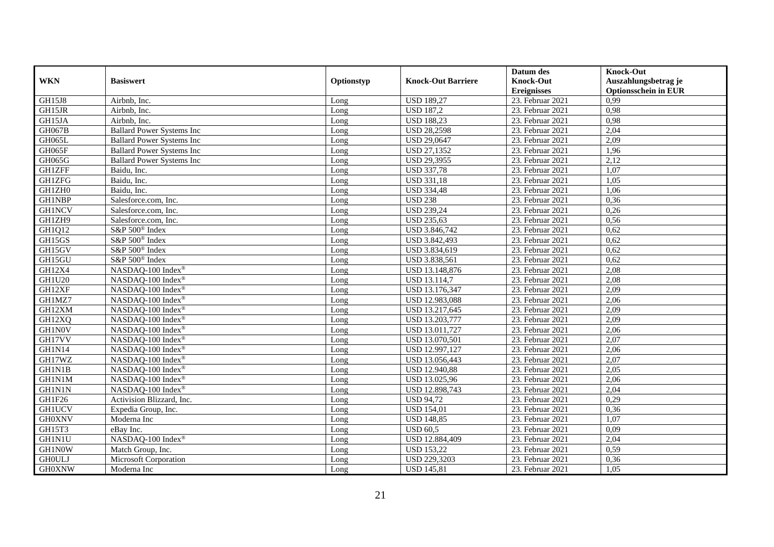|               |                                  |            |                           | Datum des          | <b>Knock-Out</b>            |
|---------------|----------------------------------|------------|---------------------------|--------------------|-----------------------------|
| <b>WKN</b>    | <b>Basiswert</b>                 | Optionstyp | <b>Knock-Out Barriere</b> | <b>Knock-Out</b>   | Auszahlungsbetrag je        |
|               |                                  |            |                           | <b>Ereignisses</b> | <b>Optionsschein in EUR</b> |
| GH15J8        | Airbnb, Inc.                     | Long       | <b>USD 189,27</b>         | 23. Februar 2021   | 0,99                        |
| GH15JR        | Airbnb, Inc.                     | Long       | <b>USD 187,2</b>          | 23. Februar 2021   | 0,98                        |
| GH15JA        | Airbnb. Inc.                     | Long       | <b>USD 188,23</b>         | 23. Februar 2021   | 0,98                        |
| GH067B        | <b>Ballard Power Systems Inc</b> | Long       | <b>USD 28,2598</b>        | 23. Februar 2021   | 2,04                        |
| GH065L        | <b>Ballard Power Systems Inc</b> | Long       | <b>USD 29,0647</b>        | 23. Februar 2021   | 2,09                        |
| GH065F        | <b>Ballard Power Systems Inc</b> | Long       | <b>USD 27,1352</b>        | 23. Februar 2021   | 1,96                        |
| GH065G        | <b>Ballard Power Systems Inc</b> | Long       | <b>USD 29,3955</b>        | 23. Februar 2021   | 2,12                        |
| <b>GH1ZFF</b> | Baidu. Inc.                      | Long       | <b>USD 337,78</b>         | 23. Februar 2021   | 1,07                        |
| <b>GH1ZFG</b> | Baidu, Inc.                      | Long       | <b>USD 331,18</b>         | 23. Februar 2021   | 1,05                        |
| GH1ZH0        | Baidu, Inc.                      | Long       | <b>USD 334,48</b>         | 23. Februar 2021   | 1,06                        |
| <b>GH1NBP</b> | Salesforce.com, Inc.             | Long       | <b>USD 238</b>            | 23. Februar 2021   | 0,36                        |
| <b>GH1NCV</b> | Salesforce.com, Inc.             | Long       | <b>USD 239,24</b>         | 23. Februar 2021   | 0,26                        |
| GH1ZH9        | Salesforce.com, Inc.             | Long       | <b>USD 235,63</b>         | 23. Februar 2021   | 0,56                        |
| GH1Q12        | S&P 500 <sup>®</sup> Index       | Long       | USD 3.846,742             | 23. Februar 2021   | 0,62                        |
| GH15GS        | S&P 500 <sup>®</sup> Index       | Long       | USD 3.842,493             | 23. Februar 2021   | 0,62                        |
| GH15GV        | S&P 500 <sup>®</sup> Index       | Long       | USD 3.834,619             | 23. Februar 2021   | 0,62                        |
| GH15GU        | S&P 500® Index                   | Long       | USD 3.838,561             | 23. Februar 2021   | 0,62                        |
| GH12X4        | NASDAQ-100 Index®                | Long       | USD 13.148,876            | 23. Februar 2021   | 2,08                        |
| <b>GH1U20</b> | NASDAQ-100 Index®                | Long       | <b>USD 13.114,7</b>       | 23. Februar 2021   | 2,08                        |
| GH12XF        | NASDAQ-100 Index®                | Long       | USD 13.176,347            | 23. Februar 2021   | 2,09                        |
| GH1MZ7        | NASDAQ-100 Index®                | Long       | USD 12.983,088            | 23. Februar 2021   | 2,06                        |
| GH12XM        | NASDAQ-100 Index®                | Long       | USD 13.217,645            | 23. Februar 2021   | 2,09                        |
| GH12XQ        | NASDAQ-100 Index®                | Long       | USD 13.203,777            | 23. Februar 2021   | 2,09                        |
| GH1N0V        | NASDAQ-100 Index®                | Long       | USD 13.011,727            | 23. Februar 2021   | 2,06                        |
| GH17VV        | NASDAQ-100 Index®                | Long       | USD 13.070,501            | 23. Februar 2021   | 2,07                        |
| GH1N14        | NASDAQ-100 Index®                | Long       | USD 12.997,127            | 23. Februar 2021   | 2,06                        |
| GH17WZ        | NASDAQ-100 Index®                | Long       | USD 13.056,443            | 23. Februar 2021   | 2,07                        |
| GH1N1B        | NASDAQ-100 Index®                | Long       | <b>USD 12.940,88</b>      | 23. Februar 2021   | 2,05                        |
| <b>GH1N1M</b> | NASDAQ-100 Index®                | Long       | USD 13.025,96             | 23. Februar 2021   | 2,06                        |
| <b>GH1N1N</b> | NASDAO-100 Index®                | Long       | USD 12.898,743            | 23. Februar 2021   | 2,04                        |
| GH1F26        | Activision Blizzard, Inc.        | Long       | <b>USD 94,72</b>          | 23. Februar 2021   | 0,29                        |
| <b>GH1UCV</b> | Expedia Group, Inc.              | Long       | <b>USD 154,01</b>         | 23. Februar 2021   | 0,36                        |
| <b>GH0XNV</b> | Moderna Inc                      | Long       | <b>USD 148,85</b>         | 23. Februar 2021   | 1,07                        |
| GH15T3        | eBav Inc.                        | Long       | <b>USD 60.5</b>           | 23. Februar 2021   | 0,09                        |
| GH1N1U        | NASDAQ-100 Index®                | Long       | USD 12.884,409            | 23. Februar 2021   | 2,04                        |
| GH1N0W        | Match Group, Inc.                | Long       | <b>USD 153,22</b>         | 23. Februar 2021   | 0,59                        |
| <b>GHOULJ</b> | Microsoft Corporation            | Long       | <b>USD 229,3203</b>       | 23. Februar 2021   | 0,36                        |
| <b>GH0XNW</b> | Moderna Inc                      | Long       | <b>USD 145,81</b>         | 23. Februar 2021   | 1,05                        |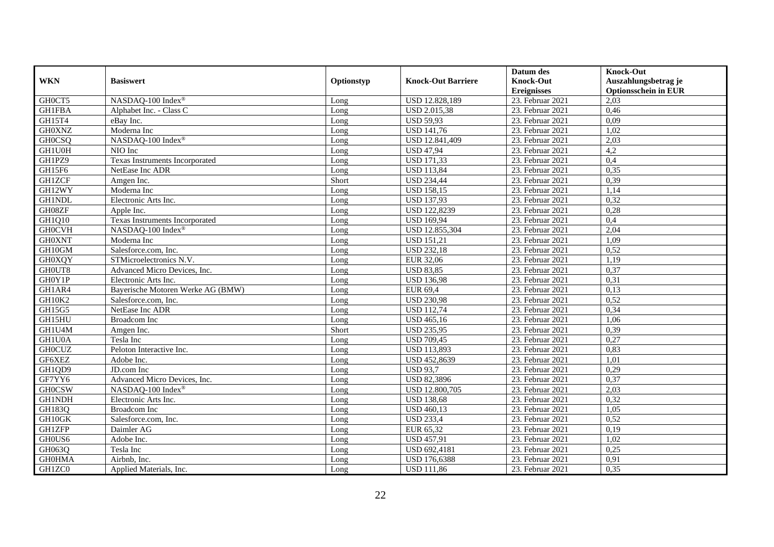|               |                                   |            |                           | Datum des          | <b>Knock-Out</b>            |
|---------------|-----------------------------------|------------|---------------------------|--------------------|-----------------------------|
| <b>WKN</b>    | <b>Basiswert</b>                  | Optionstyp | <b>Knock-Out Barriere</b> | <b>Knock-Out</b>   | Auszahlungsbetrag je        |
|               |                                   |            |                           | <b>Ereignisses</b> | <b>Optionsschein in EUR</b> |
| GH0CT5        | NASDAQ-100 Index®                 | Long       | USD 12.828,189            | 23. Februar 2021   | 2,03                        |
| <b>GH1FBA</b> | Alphabet Inc. - Class C           | Long       | <b>USD 2.015,38</b>       | 23. Februar 2021   | 0,46                        |
| GH15T4        | eBay Inc.                         | Long       | <b>USD 59,93</b>          | 23. Februar 2021   | 0,09                        |
| <b>GH0XNZ</b> | Moderna Inc                       | Long       | <b>USD 141,76</b>         | 23. Februar 2021   | 1,02                        |
| <b>GHOCSQ</b> | NASDAQ-100 Index®                 | Long       | USD 12.841,409            | 23. Februar 2021   | 2,03                        |
| GH1U0H        | NIO Inc                           | Long       | <b>USD 47,94</b>          | 23. Februar 2021   | 4,2                         |
| GH1PZ9        | Texas Instruments Incorporated    | Long       | <b>USD 171,33</b>         | $23.$ Februar 2021 | 0,4                         |
| GH15F6        | NetEase Inc ADR                   | Long       | <b>USD 113,84</b>         | 23. Februar 2021   | 0,35                        |
| <b>GH1ZCF</b> | Amgen Inc.                        | Short      | <b>USD 234,44</b>         | 23. Februar 2021   | 0,39                        |
| GH12WY        | Moderna Inc                       | Long       | <b>USD 158,15</b>         | 23. Februar 2021   | 1,14                        |
| <b>GH1NDL</b> | Electronic Arts Inc.              | Long       | <b>USD 137,93</b>         | 23. Februar 2021   | 0,32                        |
| GH08ZF        | Apple Inc.                        | Long       | <b>USD 122,8239</b>       | 23. Februar 2021   | 0,28                        |
| GH1Q10        | Texas Instruments Incorporated    | Long       | <b>USD 169,94</b>         | 23. Februar 2021   | 0,4                         |
| <b>GH0CVH</b> | NASDAQ-100 Index®                 | Long       | USD 12.855,304            | 23. Februar 2021   | 2,04                        |
| <b>GH0XNT</b> | Moderna Inc                       | Long       | <b>USD 151,21</b>         | 23. Februar 2021   | 1,09                        |
| GH10GM        | Salesforce.com, Inc.              | Long       | <b>USD 232,18</b>         | 23. Februar 2021   | 0,52                        |
| <b>GH0XQY</b> | STMicroelectronics N.V.           | Long       | EUR 32,06                 | 23. Februar 2021   | 1,19                        |
| GH0UT8        | Advanced Micro Devices, Inc.      | $L$ ong    | <b>USD 83,85</b>          | 23. Februar 2021   | 0,37                        |
| GH0Y1P        | Electronic Arts Inc.              | Long       | <b>USD 136,98</b>         | 23. Februar 2021   | 0,31                        |
| GH1AR4        | Bayerische Motoren Werke AG (BMW) | Long       | EUR 69,4                  | 23. Februar 2021   | 0,13                        |
| GH10K2        | Salesforce.com, Inc.              | Long       | <b>USD 230,98</b>         | 23. Februar 2021   | 0,52                        |
| GH15G5        | NetEase Inc ADR                   | Long       | <b>USD 112,74</b>         | 23. Februar 2021   | 0,34                        |
| GH15HU        | Broadcom Inc                      | Long       | <b>USD 465,16</b>         | 23. Februar 2021   | 1,06                        |
| GH1U4M        | Amgen Inc.                        | Short      | <b>USD 235,95</b>         | 23. Februar 2021   | 0,39                        |
| GH1U0A        | Tesla Inc                         | Long       | <b>USD 709,45</b>         | 23. Februar 2021   | 0,27                        |
| <b>GH0CUZ</b> | Peloton Interactive Inc.          | Long       | <b>USD 113,893</b>        | 23. Februar 2021   | 0,83                        |
| GF6XEZ        | Adobe Inc.                        | Long       | <b>USD 452,8639</b>       | 23. Februar 2021   | 1,01                        |
| GH1QD9        | JD.com Inc                        | Long       | <b>USD 93,7</b>           | 23. Februar 2021   | 0,29                        |
| GF7YY6        | Advanced Micro Devices, Inc.      | Long       | <b>USD 82,3896</b>        | 23. Februar 2021   | 0,37                        |
| <b>GH0CSW</b> | NASDAQ-100 Index®                 | Long       | USD 12.800,705            | 23. Februar 2021   | 2,03                        |
| <b>GH1NDH</b> | Electronic Arts Inc.              | Long       | <b>USD 138,68</b>         | 23. Februar 2021   | 0,32                        |
| GH183Q        | Broadcom Inc                      | Long       | <b>USD 460,13</b>         | 23. Februar 2021   | 1,05                        |
| GH10GK        | Salesforce.com, Inc.              | Long       | <b>USD 233,4</b>          | 23. Februar 2021   | 0,52                        |
| <b>GH1ZFP</b> | Daimler AG                        | Long       | EUR 65,32                 | 23. Februar 2021   | 0,19                        |
| GH0US6        | Adobe Inc.                        | Long       | <b>USD 457,91</b>         | 23. Februar 2021   | 1,02                        |
| GH063Q        | Tesla Inc                         | Long       | USD 692,4181              | 23. Februar 2021   | 0,25                        |
| <b>GH0HMA</b> | Airbnb, Inc.                      | Long       | <b>USD 176,6388</b>       | 23. Februar 2021   | 0,91                        |
| GH1ZC0        | Applied Materials, Inc.           | Long       | <b>USD 111,86</b>         | 23. Februar 2021   | 0,35                        |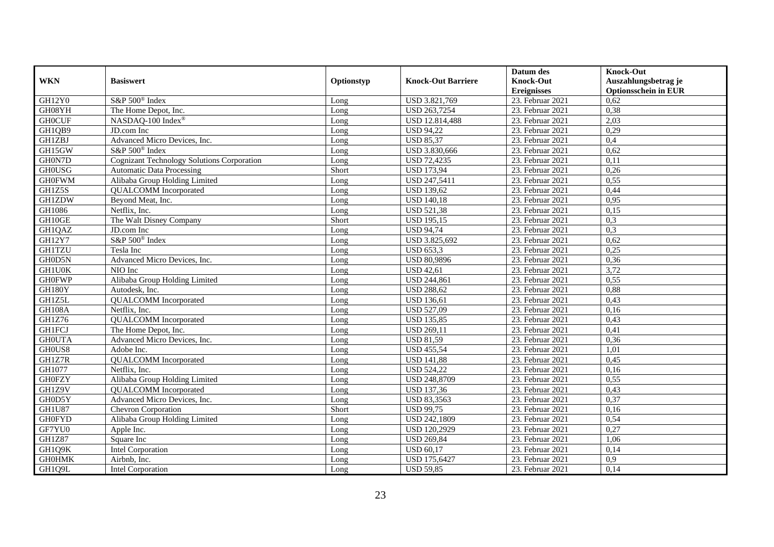|               |                                                   |            |                           | Datum des          | <b>Knock-Out</b>            |
|---------------|---------------------------------------------------|------------|---------------------------|--------------------|-----------------------------|
| <b>WKN</b>    | <b>Basiswert</b>                                  | Optionstyp | <b>Knock-Out Barriere</b> | <b>Knock-Out</b>   | Auszahlungsbetrag je        |
|               |                                                   |            |                           | <b>Ereignisses</b> | <b>Optionsschein in EUR</b> |
| <b>GH12Y0</b> | S&P 500 <sup>®</sup> Index                        | Long       | USD 3.821,769             | 23. Februar 2021   | 0,62                        |
| GH08YH        | The Home Depot, Inc.                              | Long       | USD 263,7254              | 23. Februar 2021   | 0,38                        |
| <b>GH0CUF</b> | NASDAQ-100 Index®                                 | Long       | <b>USD 12.814,488</b>     | 23. Februar 2021   | 2,03                        |
| GH1QB9        | JD.com Inc                                        | Long       | <b>USD 94,22</b>          | 23. Februar 2021   | 0,29                        |
| <b>GH1ZBJ</b> | Advanced Micro Devices, Inc.                      | Long       | <b>USD 85,37</b>          | 23. Februar 2021   | 0,4                         |
| GH15GW        | S&P 500 <sup>®</sup> Index                        | Long       | USD 3.830,666             | 23. Februar 2021   | 0,62                        |
| GH0N7D        | <b>Cognizant Technology Solutions Corporation</b> | Long       | <b>USD 72,4235</b>        | 23. Februar 2021   | 0,11                        |
| <b>GH0USG</b> | <b>Automatic Data Processing</b>                  | Short      | <b>USD 173,94</b>         | 23. Februar 2021   | 0,26                        |
| <b>GH0FWM</b> | Alibaba Group Holding Limited                     | Long       | <b>USD 247,5411</b>       | 23. Februar 2021   | 0,55                        |
| GH1Z5S        | <b>QUALCOMM</b> Incorporated                      | Long       | <b>USD 139,62</b>         | 23. Februar 2021   | 0,44                        |
| <b>GH1ZDW</b> | Beyond Meat, Inc.                                 | Long       | <b>USD 140,18</b>         | 23. Februar 2021   | 0,95                        |
| GH1086        | Netflix, Inc.                                     | Long       | <b>USD 521,38</b>         | 23. Februar 2021   | 0,15                        |
| GH10GE        | The Walt Disney Company                           | Short      | <b>USD 195,15</b>         | 23. Februar 2021   | 0,3                         |
| GH1QAZ        | JD.com Inc                                        | Long       | <b>USD 94,74</b>          | 23. Februar 2021   | 0,3                         |
| <b>GH12Y7</b> | S&P 500 <sup>®</sup> Index                        | Long       | USD 3.825,692             | 23. Februar 2021   | 0,62                        |
| <b>GH1TZU</b> | Tesla Inc                                         | Long       | <b>USD 653,3</b>          | 23. Februar 2021   | 0,25                        |
| GH0D5N        | Advanced Micro Devices, Inc.                      | Long       | <b>USD 80,9896</b>        | 23. Februar 2021   | 0,36                        |
| <b>GH1U0K</b> | NIO Inc                                           | Long       | <b>USD 42,61</b>          | 23. Februar 2021   | 3,72                        |
| <b>GH0FWP</b> | Alibaba Group Holding Limited                     | Long       | <b>USD 244,861</b>        | 23. Februar 2021   | 0,55                        |
| GH180Y        | Autodesk, Inc.                                    | Long       | <b>USD 288,62</b>         | 23. Februar 2021   | 0,88                        |
| GH1Z5L        | <b>QUALCOMM</b> Incorporated                      | Long       | <b>USD 136,61</b>         | 23. Februar 2021   | 0,43                        |
| GH108A        | Netflix, Inc.                                     | Long       | <b>USD 527,09</b>         | 23. Februar 2021   | 0,16                        |
| GH1Z76        | <b>QUALCOMM</b> Incorporated                      | Long       | <b>USD 135,85</b>         | 23. Februar 2021   | 0,43                        |
| <b>GH1FCJ</b> | The Home Depot, Inc.                              | Long       | <b>USD 269,11</b>         | 23. Februar 2021   | 0,41                        |
| <b>GHOUTA</b> | Advanced Micro Devices, Inc.                      | Long       | <b>USD 81,59</b>          | 23. Februar 2021   | 0,36                        |
| GH0US8        | Adobe Inc.                                        | Long       | <b>USD 455,54</b>         | 23. Februar 2021   | 1,01                        |
| GH1Z7R        | <b>QUALCOMM</b> Incorporated                      | Long       | <b>USD 141,88</b>         | 23. Februar 2021   | 0,45                        |
| GH1077        | Netflix. Inc.                                     | Long       | <b>USD 524,22</b>         | 23. Februar 2021   | 0,16                        |
| <b>GH0FZY</b> | Alibaba Group Holding Limited                     | Long       | <b>USD 248,8709</b>       | 23. Februar 2021   | 0,55                        |
| GH1Z9V        | <b>QUALCOMM</b> Incorporated                      | Long       | <b>USD 137,36</b>         | 23. Februar 2021   | 0,43                        |
| GH0D5Y        | Advanced Micro Devices, Inc.                      | Long       | <b>USD 83,3563</b>        | 23. Februar 2021   | 0,37                        |
| GH1U87        | Chevron Corporation                               | Short      | <b>USD 99,75</b>          | 23. Februar 2021   | 0,16                        |
| <b>GH0FYD</b> | Alibaba Group Holding Limited                     | Long       | <b>USD 242,1809</b>       | 23. Februar 2021   | 0,54                        |
| GF7YU0        | Apple Inc.                                        | Long       | <b>USD 120,2929</b>       | 23. Februar 2021   | 0,27                        |
| <b>GH1Z87</b> | Square Inc                                        | Long       | <b>USD 269,84</b>         | 23. Februar 2021   | 1,06                        |
| GH1Q9K        | <b>Intel Corporation</b>                          | Long       | <b>USD 60,17</b>          | 23. Februar 2021   | 0,14                        |
| <b>GH0HMK</b> | Airbnb, Inc.                                      | Long       | <b>USD 175,6427</b>       | 23. Februar 2021   | 0,9                         |
| GH1Q9L        | Intel Corporation                                 | Long       | <b>USD 59,85</b>          | 23. Februar 2021   | 0,14                        |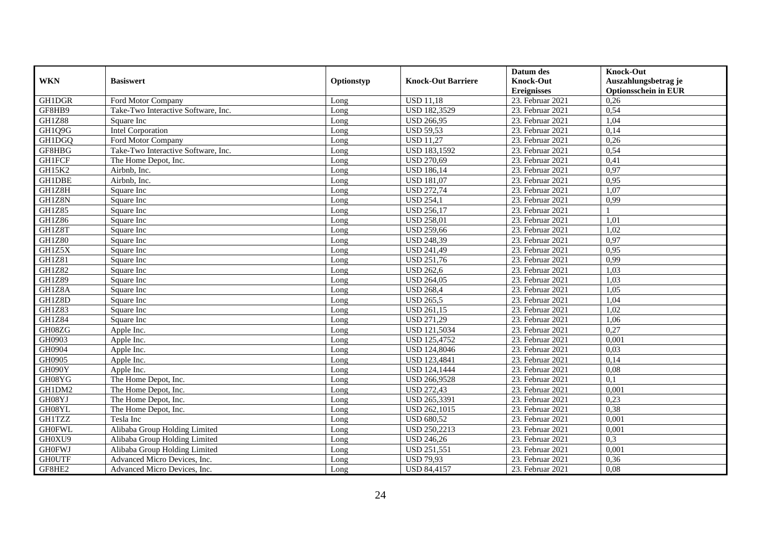|               |                                     |            |                           | Datum des          | <b>Knock-Out</b>            |
|---------------|-------------------------------------|------------|---------------------------|--------------------|-----------------------------|
| <b>WKN</b>    | <b>Basiswert</b>                    | Optionstyp | <b>Knock-Out Barriere</b> | <b>Knock-Out</b>   | Auszahlungsbetrag je        |
|               |                                     |            |                           | <b>Ereignisses</b> | <b>Optionsschein in EUR</b> |
| GH1DGR        | Ford Motor Company                  | Long       | <b>USD 11,18</b>          | 23. Februar 2021   | 0,26                        |
| GF8HB9        | Take-Two Interactive Software, Inc. | Long       | <b>USD 182,3529</b>       | 23. Februar 2021   | 0,54                        |
| <b>GH1Z88</b> | Square Inc                          | Long       | <b>USD 266,95</b>         | 23. Februar 2021   | 1,04                        |
| GH1Q9G        | <b>Intel Corporation</b>            | Long       | <b>USD 59,53</b>          | 23. Februar 2021   | 0,14                        |
| GH1DGQ        | Ford Motor Company                  | Long       | <b>USD 11,27</b>          | 23. Februar 2021   | 0,26                        |
| GF8HBG        | Take-Two Interactive Software, Inc. | Long       | <b>USD 183,1592</b>       | 23. Februar 2021   | 0,54                        |
| <b>GH1FCF</b> | The Home Depot, Inc.                | Long       | <b>USD 270,69</b>         | 23. Februar 2021   | 0,41                        |
| GH15K2        | Airbnb, Inc.                        | Long       | <b>USD 186,14</b>         | 23. Februar 2021   | 0,97                        |
| <b>GH1DBE</b> | Airbnb, Inc.                        | Long       | <b>USD 181,07</b>         | 23. Februar 2021   | 0,95                        |
| GH1Z8H        | Square Inc                          | Long       | <b>USD 272,74</b>         | 23. Februar 2021   | 1,07                        |
| GH1Z8N        | Square Inc                          | Long       | <b>USD 254,1</b>          | 23. Februar 2021   | 0,99                        |
| <b>GH1Z85</b> | Square Inc                          | Long       | <b>USD 256,17</b>         | 23. Februar 2021   |                             |
| <b>GH1Z86</b> | Square Inc                          | Long       | <b>USD 258,01</b>         | 23. Februar 2021   | 1,01                        |
| GH1Z8T        | Square Inc                          | Long       | <b>USD 259.66</b>         | 23. Februar 2021   | 1.02                        |
| <b>GH1Z80</b> | Square Inc                          | Long       | <b>USD 248,39</b>         | 23. Februar 2021   | 0,97                        |
| GH1Z5X        | Square Inc                          | Long       | <b>USD 241,49</b>         | 23. Februar 2021   | 0,95                        |
| GH1Z81        | Square Inc                          | Long       | <b>USD 251,76</b>         | 23. Februar 2021   | 0,99                        |
| <b>GH1Z82</b> | Square Inc                          | Long       | <b>USD 262,6</b>          | 23. Februar 2021   | 1,03                        |
| GH1Z89        | Square Inc                          | Long       | <b>USD 264,05</b>         | 23. Februar 2021   | 1,03                        |
| GH1Z8A        | Square Inc                          | Long       | <b>USD 268,4</b>          | 23. Februar 2021   | 1,05                        |
| GH1Z8D        | Square Inc                          | Long       | <b>USD 265,5</b>          | 23. Februar 2021   | 1,04                        |
| GH1Z83        | Square Inc                          | Long       | <b>USD 261,15</b>         | 23. Februar 2021   | 1,02                        |
| <b>GH1Z84</b> | Square Inc                          | Long       | <b>USD 271,29</b>         | 23. Februar 2021   | 1,06                        |
| GH08ZG        | Apple Inc.                          | Long       | <b>USD 121,5034</b>       | 23. Februar 2021   | 0,27                        |
| GH0903        | Apple Inc.                          | Long       | <b>USD 125,4752</b>       | 23. Februar 2021   | 0,001                       |
| GH0904        | Apple Inc.                          | Long       | <b>USD 124,8046</b>       | 23. Februar 2021   | 0,03                        |
| GH0905        | Apple Inc.                          | Long       | <b>USD 123,4841</b>       | 23. Februar 2021   | 0,14                        |
| GH090Y        | Apple Inc.                          | Long       | <b>USD 124,1444</b>       | 23. Februar 2021   | 0,08                        |
| GH08YG        | The Home Depot, Inc.                | Long       | <b>USD 266,9528</b>       | 23. Februar 2021   | 0,1                         |
| GH1DM2        | The Home Depot, Inc.                | Long       | <b>USD 272,43</b>         | 23. Februar 2021   | 0,001                       |
| GH08YJ        | The Home Depot, Inc.                | Long       | USD 265,3391              | 23. Februar 2021   | 0,23                        |
| GH08YL        | The Home Depot, Inc.                | Long       | <b>USD 262,1015</b>       | 23. Februar 2021   | 0,38                        |
| <b>GH1TZZ</b> | Tesla Inc                           | Long       | <b>USD 680,52</b>         | 23. Februar 2021   | 0,001                       |
| <b>GH0FWL</b> | Alibaba Group Holding Limited       | Long       | <b>USD 250,2213</b>       | 23. Februar 2021   | 0,001                       |
| GH0XU9        | Alibaba Group Holding Limited       | Long       | <b>USD 246,26</b>         | 23. Februar 2021   | 0,3                         |
| <b>GH0FWJ</b> | Alibaba Group Holding Limited       | Long       | <b>USD 251,551</b>        | 23. Februar 2021   | 0,001                       |
| <b>GHOUTF</b> | Advanced Micro Devices, Inc.        | Long       | <b>USD 79,93</b>          | 23. Februar 2021   | 0,36                        |
| GF8HE2        | Advanced Micro Devices, Inc.        | Long       | <b>USD 84,4157</b>        | 23. Februar 2021   | 0,08                        |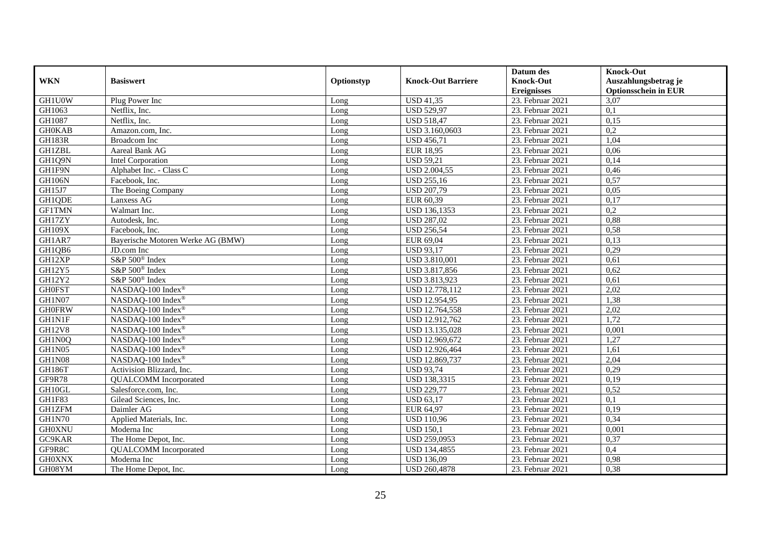|               |                                   |            |                           | Datum des          | <b>Knock-Out</b>            |
|---------------|-----------------------------------|------------|---------------------------|--------------------|-----------------------------|
| <b>WKN</b>    | <b>Basiswert</b>                  | Optionstyp | <b>Knock-Out Barriere</b> | <b>Knock-Out</b>   | Auszahlungsbetrag je        |
|               |                                   |            |                           | <b>Ereignisses</b> | <b>Optionsschein in EUR</b> |
| <b>GH1U0W</b> | Plug Power Inc                    | Long       | <b>USD 41,35</b>          | 23. Februar 2021   | 3,07                        |
| GH1063        | Netflix. Inc.                     | Long       | <b>USD 529,97</b>         | 23. Februar 2021   | $\overline{0,1}$            |
| GH1087        | Netflix, Inc.                     | Long       | <b>USD 518,47</b>         | 23. Februar 2021   | 0,15                        |
| <b>GH0KAB</b> | Amazon.com, Inc.                  | Long       | USD 3.160,0603            | 23. Februar 2021   | 0,2                         |
| <b>GH183R</b> | Broadcom Inc                      | Long       | <b>USD 456,71</b>         | 23. Februar 2021   | 1,04                        |
| <b>GH1ZBL</b> | Aareal Bank AG                    | Long       | <b>EUR 18,95</b>          | 23. Februar 2021   | 0,06                        |
| GH1Q9N        | Intel Corporation                 | Long       | $\overline{USD 59}$ ,21   | 23. Februar 2021   | 0,14                        |
| GH1F9N        | Alphabet Inc. - Class C           | Long       | <b>USD 2.004,55</b>       | 23. Februar 2021   | 0,46                        |
| <b>GH106N</b> | Facebook, Inc.                    | Long       | <b>USD 255,16</b>         | 23. Februar 2021   | 0,57                        |
| GH15J7        | The Boeing Company                | Long       | <b>USD 207,79</b>         | 23. Februar 2021   | 0,05                        |
| GH1QDE        | Lanxess AG                        | Long       | EUR 60,39                 | 23. Februar 2021   | 0,17                        |
| <b>GF1TMN</b> | Walmart Inc.                      | Long       | <b>USD 136,1353</b>       | 23. Februar 2021   | 0,2                         |
| GH17ZY        | Autodesk, Inc.                    | Long       | <b>USD 287,02</b>         | 23. Februar 2021   | 0,88                        |
| <b>GH109X</b> | Facebook, Inc.                    | Long       | <b>USD 256,54</b>         | 23. Februar 2021   | 0,58                        |
| GH1AR7        | Bayerische Motoren Werke AG (BMW) | Long       | EUR 69,04                 | 23. Februar 2021   | 0,13                        |
| GH1QB6        | JD.com Inc                        | Long       | <b>USD 93,17</b>          | 23. Februar 2021   | 0,29                        |
| GH12XP        | S&P 500 <sup>®</sup> Index        | Long       | <b>USD 3.810,001</b>      | 23. Februar 2021   | 0,61                        |
| GH12Y5        | S&P 500 <sup>®</sup> Index        | $L$ ong    | USD 3.817.856             | 23. Februar 2021   | 0,62                        |
| <b>GH12Y2</b> | S&P 500 <sup>®</sup> Index        | Long       | USD 3.813,923             | 23. Februar 2021   | 0,61                        |
| <b>GH0FST</b> | NASDAQ-100 Index®                 | Long       | USD 12.778,112            | 23. Februar 2021   | 2,02                        |
| GH1N07        | NASDAQ-100 Index®                 | Long       | <b>USD 12.954,95</b>      | 23. Februar 2021   | 1,38                        |
| <b>GH0FRW</b> | NASDAQ-100 Index®                 | Long       | USD 12.764,558            | 23. Februar 2021   | 2,02                        |
| <b>GH1N1F</b> | NASDAQ-100 Index®                 | Long       | USD 12.912,762            | 23. Februar 2021   | 1,72                        |
| <b>GH12V8</b> | NASDAQ-100 Index®                 | Long       | USD 13.135,028            | 23. Februar 2021   | 0,001                       |
| GH1N0Q        | NASDAQ-100 Index®                 | Long       | USD 12.969,672            | 23. Februar 2021   | 1,27                        |
| GH1N05        | NASDAQ-100 Index®                 | Long       | USD 12.926,464            | 23. Februar 2021   | 1,61                        |
| GH1N08        | NASDAQ-100 Index®                 | Long       | USD 12.869,737            | 23. Februar 2021   | 2,04                        |
| GH186T        | Activision Blizzard, Inc.         | Long       | <b>USD 93,74</b>          | 23. Februar 2021   | 0,29                        |
| GF9R78        | <b>QUALCOMM</b> Incorporated      | Long       | <b>USD 138,3315</b>       | 23. Februar 2021   | 0,19                        |
| GH10GL        | Salesforce.com. Inc.              | Long       | <b>USD 229,77</b>         | 23. Februar 2021   | 0,52                        |
| GH1F83        | Gilead Sciences, Inc.             | Long       | <b>USD 63,17</b>          | 23. Februar 2021   | 0,1                         |
| <b>GH1ZFM</b> | Daimler AG                        | Long       | EUR 64,97                 | 23. Februar 2021   | 0,19                        |
| <b>GH1N70</b> | Applied Materials, Inc.           | Long       | <b>USD 110,96</b>         | 23. Februar 2021   | 0,34                        |
| <b>GH0XNU</b> | Moderna Inc                       | Long       | <b>USD 150.1</b>          | 23. Februar 2021   | 0,001                       |
| GC9KAR        | The Home Depot, Inc.              | Long       | USD 259,0953              | 23. Februar 2021   | 0,37                        |
| GF9R8C        | <b>QUALCOMM</b> Incorporated      | Long       | USD 134,4855              | 23. Februar 2021   | 0,4                         |
| <b>GH0XNX</b> | Moderna Inc                       | Long       | <b>USD 136,09</b>         | 23. Februar 2021   | 0,98                        |
| GH08YM        | The Home Depot, Inc.              | Long       | <b>USD 260,4878</b>       | 23. Februar 2021   | 0,38                        |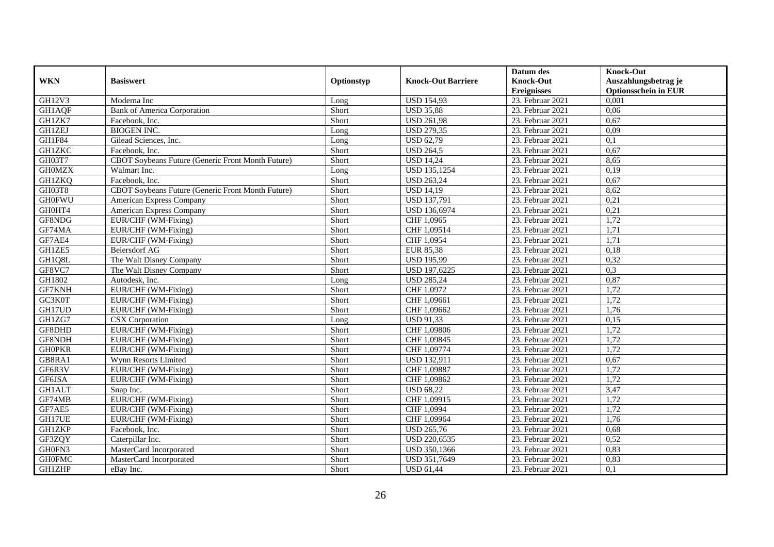|               |                                                   |            |                           | Datum des          | <b>Knock-Out</b>            |
|---------------|---------------------------------------------------|------------|---------------------------|--------------------|-----------------------------|
| <b>WKN</b>    | <b>Basiswert</b>                                  | Optionstyp | <b>Knock-Out Barriere</b> | <b>Knock-Out</b>   | Auszahlungsbetrag je        |
|               |                                                   |            |                           | <b>Ereignisses</b> | <b>Optionsschein in EUR</b> |
| GH12V3        | Moderna Inc                                       | Long       | <b>USD 154,93</b>         | 23. Februar 2021   | 0,001                       |
| <b>GH1AQF</b> | <b>Bank of America Corporation</b>                | Short      | <b>USD 35,88</b>          | 23. Februar 2021   | 0,06                        |
| GH1ZK7        | Facebook, Inc.                                    | Short      | <b>USD 261,98</b>         | 23. Februar 2021   | 0,67                        |
| <b>GH1ZEJ</b> | <b>BIOGEN INC.</b>                                | Long       | <b>USD 279,35</b>         | 23. Februar 2021   | 0,09                        |
| GH1F84        | Gilead Sciences, Inc.                             | Long       | <b>USD 62,79</b>          | 23. Februar 2021   | 0,1                         |
| <b>GH1ZKC</b> | Facebook, Inc.                                    | Short      | <b>USD 264,5</b>          | 23. Februar 2021   | 0,67                        |
| GH03T7        | CBOT Soybeans Future (Generic Front Month Future) | Short      | <b>USD 14,24</b>          | 23. Februar 2021   | 8,65                        |
| <b>GH0MZX</b> | Walmart Inc.                                      | Long       | <b>USD 135,1254</b>       | 23. Februar 2021   | 0,19                        |
| <b>GH1ZKQ</b> | Facebook, Inc.                                    | Short      | <b>USD 263,24</b>         | 23. Februar 2021   | 0,67                        |
| GH03T8        | CBOT Soybeans Future (Generic Front Month Future) | Short      | <b>USD 14,19</b>          | 23. Februar 2021   | 8,62                        |
| <b>GH0FWU</b> | American Express Company                          | Short      | <b>USD 137,791</b>        | 23. Februar 2021   | 0,21                        |
| GH0HT4        | American Express Company                          | Short      | <b>USD 136,6974</b>       | 23. Februar 2021   | 0,21                        |
| GF8NDG        | EUR/CHF (WM-Fixing)                               | Short      | CHF 1,0965                | 23. Februar 2021   | 1,72                        |
| GF74MA        | EUR/CHF (WM-Fixing)                               | Short      | CHF 1,09514               | 23. Februar 2021   | 1,71                        |
| GF7AE4        | EUR/CHF (WM-Fixing)                               | Short      | CHF 1,0954                | 23. Februar 2021   | 1,71                        |
| GH1ZE5        | Beiersdorf AG                                     | Short      | <b>EUR 85,38</b>          | 23. Februar 2021   | 0,18                        |
| GH1Q8L        | The Walt Disney Company                           | Short      | <b>USD 195,99</b>         | 23. Februar 2021   | 0,32                        |
| GF8VC7        | The Walt Disney Company                           | Short      | <b>USD 197.6225</b>       | 23. Februar 2021   | 0.3                         |
| GH1802        | Autodesk, Inc.                                    | Long       | <b>USD 285,24</b>         | 23. Februar 2021   | 0,87                        |
| GF7KNH        | EUR/CHF (WM-Fixing)                               | Short      | CHF 1,0972                | 23. Februar 2021   | 1,72                        |
| GC3K0T        | EUR/CHF (WM-Fixing)                               | Short      | CHF 1,09661               | 23. Februar 2021   | 1,72                        |
| GH17UD        | EUR/CHF (WM-Fixing)                               | Short      | CHF 1,09662               | 23. Februar 2021   | 1,76                        |
| GH1ZG7        | <b>CSX</b> Corporation                            | Long       | <b>USD 91,33</b>          | 23. Februar 2021   | 0,15                        |
| GF8DHD        | EUR/CHF (WM-Fixing)                               | Short      | CHF 1,09806               | 23. Februar 2021   | 1,72                        |
| GF8NDH        | EUR/CHF (WM-Fixing)                               | Short      | CHF 1,09845               | 23. Februar 2021   | 1,72                        |
| <b>GHOPKR</b> | EUR/CHF (WM-Fixing)                               | Short      | CHF 1,09774               | 23. Februar 2021   | 1,72                        |
| GB8RA1        | Wynn Resorts Limited                              | Short      | <b>USD 132,911</b>        | 23. Februar 2021   | 0,67                        |
| GF6R3V        | EUR/CHF (WM-Fixing)                               | Short      | CHF 1,09887               | 23. Februar 2021   | 1,72                        |
| GF6JSA        | EUR/CHF (WM-Fixing)                               | Short      | CHF 1,09862               | 23. Februar 2021   | 1,72                        |
| <b>GH1ALT</b> | Snap Inc.                                         | Short      | <b>USD 68,22</b>          | 23. Februar 2021   | 3,47                        |
| GF74MB        | EUR/CHF (WM-Fixing)                               | Short      | CHF 1,09915               | 23. Februar 2021   | 1,72                        |
| GF7AE5        | EUR/CHF (WM-Fixing)                               | Short      | CHF 1,0994                | 23. Februar 2021   | 1,72                        |
| GH17UE        | EUR/CHF (WM-Fixing)                               | Short      | CHF 1,09964               | 23. Februar 2021   | 1,76                        |
| <b>GH1ZKP</b> | Facebook, Inc.                                    | Short      | <b>USD 265,76</b>         | 23. Februar 2021   | 0,68                        |
| GF3ZQY        | Caterpillar Inc.                                  | Short      | USD 220,6535              | 23. Februar 2021   | 0,52                        |
| GH0FN3        | MasterCard Incorporated                           | Short      | USD 350,1366              | 23. Februar 2021   | 0,83                        |
| <b>GH0FMC</b> | MasterCard Incorporated                           | Short      | USD 351,7649              | 23. Februar 2021   | 0,83                        |
| <b>GH1ZHP</b> | eBay Inc.                                         | Short      | <b>USD 61,44</b>          | 23. Februar 2021   | 0,1                         |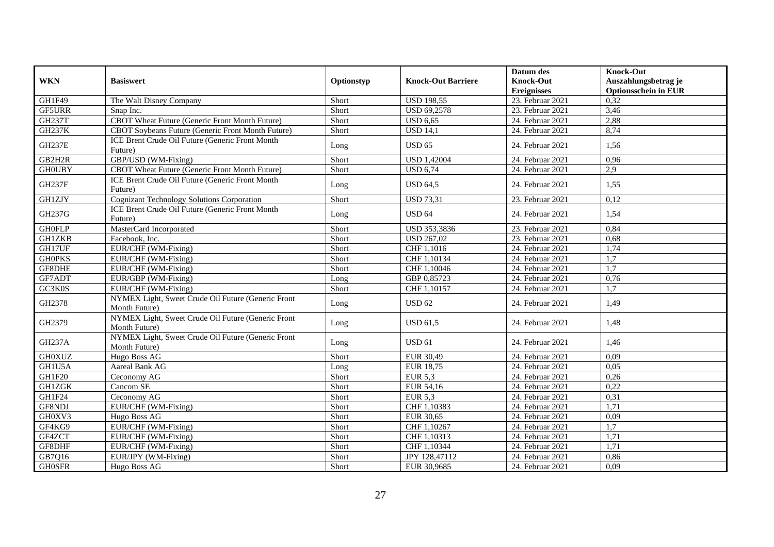|               |                                                                     |            |                                 | Datum des          | <b>Knock-Out</b>            |
|---------------|---------------------------------------------------------------------|------------|---------------------------------|--------------------|-----------------------------|
| <b>WKN</b>    | <b>Basiswert</b>                                                    | Optionstyp | <b>Knock-Out Barriere</b>       | Knock-Out          | Auszahlungsbetrag je        |
|               |                                                                     |            |                                 | <b>Ereignisses</b> | <b>Optionsschein in EUR</b> |
| GH1F49        | The Walt Disney Company                                             | Short      | <b>USD 198,55</b>               | 23. Februar 2021   | 0,32                        |
| <b>GF5URR</b> | Snap Inc.                                                           | Short      | <b>USD 69,2578</b>              | 23. Februar 2021   | 3,46                        |
| <b>GH237T</b> | CBOT Wheat Future (Generic Front Month Future)                      | Short      | <b>USD 6.65</b>                 | 24. Februar 2021   | 2,88                        |
| <b>GH237K</b> | CBOT Soybeans Future (Generic Front Month Future)                   | Short      | <b>USD 14,1</b>                 | 24. Februar 2021   | 8,74                        |
| <b>GH237E</b> | ICE Brent Crude Oil Future (Generic Front Month<br>Future)          | Long       | <b>USD 65</b>                   | 24. Februar 2021   | 1,56                        |
| GB2H2R        | GBP/USD (WM-Fixing)                                                 | Short      | <b>USD 1,42004</b>              | 24. Februar 2021   | 0,96                        |
| <b>GHOUBY</b> | CBOT Wheat Future (Generic Front Month Future)                      | Short      | <b>USD 6,74</b>                 | 24. Februar 2021   | 2,9                         |
| <b>GH237F</b> | ICE Brent Crude Oil Future (Generic Front Month<br>Future)          | Long       | <b>USD 64,5</b>                 | 24. Februar 2021   | 1,55                        |
| <b>GH1ZJY</b> | Cognizant Technology Solutions Corporation                          | Short      | <b>USD 73,31</b>                | 23. Februar 2021   | 0,12                        |
| GH237G        | ICE Brent Crude Oil Future (Generic Front Month<br>Future)          | Long       | <b>USD 64</b>                   | 24. Februar 2021   | 1,54                        |
| <b>GH0FLP</b> | MasterCard Incorporated                                             | Short      | USD 353,3836                    | 23. Februar 2021   | 0,84                        |
| <b>GH1ZKB</b> | Facebook, Inc.                                                      | Short      | <b>USD 267,02</b>               | 23. Februar 2021   | 0,68                        |
| GH17UF        | EUR/CHF (WM-Fixing)                                                 | Short      | CHF 1,1016                      | 24. Februar 2021   | 1,74                        |
| <b>GHOPKS</b> | EUR/CHF (WM-Fixing)                                                 | Short      | CHF 1,10134                     | 24. Februar 2021   | 1,7                         |
| GF8DHE        | EUR/CHF (WM-Fixing)                                                 | Short      | CHF 1.10046                     | 24. Februar 2021   | 1,7                         |
| GF7ADT        | EUR/GBP (WM-Fixing)                                                 | Long       | GBP 0,85723                     | 24. Februar 2021   | 0,76                        |
| GC3K0S        | EUR/CHF (WM-Fixing)                                                 | Short      | CHF 1,10157                     | 24. Februar 2021   | 1,7                         |
| GH2378        | NYMEX Light, Sweet Crude Oil Future (Generic Front<br>Month Future) | Long       | <b>USD 62</b>                   | 24. Februar 2021   | 1,49                        |
| GH2379        | NYMEX Light, Sweet Crude Oil Future (Generic Front<br>Month Future) | Long       | <b>USD 61,5</b>                 | 24. Februar 2021   | 1,48                        |
| <b>GH237A</b> | NYMEX Light, Sweet Crude Oil Future (Generic Front<br>Month Future) | Long       | <b>USD 61</b>                   | 24. Februar 2021   | 1,46                        |
| <b>GH0XUZ</b> | Hugo Boss AG                                                        | Short      | EUR 30,49                       | 24. Februar 2021   | 0,09                        |
| GH1U5A        | Aareal Bank AG                                                      | Long       | EUR 18,75                       | 24. Februar 2021   | 0,05                        |
| GH1F20        | Ceconomy AG                                                         | Short      | <b>EUR 5,3</b>                  | 24. Februar 2021   | 0,26                        |
| <b>GH1ZGK</b> | Cancom SE                                                           | Short      | EUR 54,16                       | 24. Februar 2021   | 0,22                        |
| GH1F24        | Ceconomy AG                                                         | Short      | <b>EUR 5,3</b>                  | 24. Februar 2021   | 0,31                        |
| GF8NDJ        | EUR/CHF (WM-Fixing)                                                 | Short      | CHF 1,10383                     | 24. Februar 2021   | 1,71                        |
| GH0XV3        | Hugo Boss AG                                                        | Short      | <b>EUR 30,65</b>                | 24. Februar 2021   | 0,09                        |
| GF4KG9        | EUR/CHF (WM-Fixing)                                                 | Short      | $\overline{\text{CHF}}$ 1,10267 | 24. Februar 2021   | $\overline{1,7}$            |
| GF4ZCT        | EUR/CHF (WM-Fixing)                                                 | Short      | CHF 1,10313                     | 24. Februar 2021   | 1,71                        |
| GF8DHF        | EUR/CHF (WM-Fixing)                                                 | Short      | CHF 1,10344                     | 24. Februar 2021   | 1,71                        |
| GB7Q16        | EUR/JPY (WM-Fixing)                                                 | Short      | JPY 128,47112                   | 24. Februar 2021   | 0,86                        |
| <b>GH0SFR</b> | Hugo Boss AG                                                        | Short      | EUR 30,9685                     | 24. Februar 2021   | 0,09                        |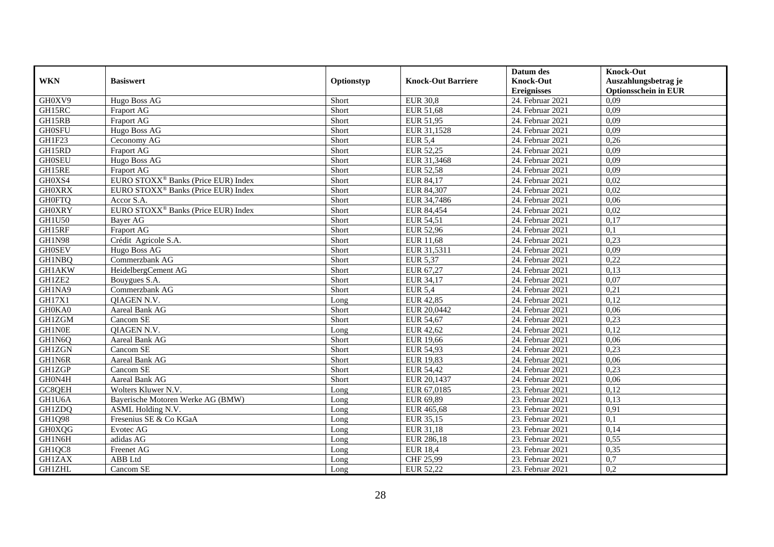|               |                                                 |            |                           | Datum des          | <b>Knock-Out</b>            |
|---------------|-------------------------------------------------|------------|---------------------------|--------------------|-----------------------------|
| <b>WKN</b>    | <b>Basiswert</b>                                | Optionstyp | <b>Knock-Out Barriere</b> | <b>Knock-Out</b>   | Auszahlungsbetrag je        |
|               |                                                 |            |                           | <b>Ereignisses</b> | <b>Optionsschein in EUR</b> |
| GH0XV9        | Hugo Boss AG                                    | Short      | <b>EUR 30,8</b>           | 24. Februar 2021   | 0.09                        |
| GH15RC        | <b>Fraport AG</b>                               | Short      | EUR 51,68                 | 24. Februar 2021   | 0.09                        |
| GH15RB        | <b>Fraport AG</b>                               | Short      | EUR 51,95                 | 24. Februar 2021   | 0,09                        |
| <b>GH0SFU</b> | Hugo Boss AG                                    | Short      | EUR 31,1528               | 24. Februar 2021   | 0,09                        |
| GH1F23        | Ceconomy AG                                     | Short      | <b>EUR 5,4</b>            | 24. Februar 2021   | 0,26                        |
| GH15RD        | Fraport AG                                      | Short      | EUR 52,25                 | 24. Februar 2021   | 0,09                        |
| <b>GH0SEU</b> | Hugo Boss AG                                    | Short      | EUR 31,3468               | $24.$ Februar 2021 | 0,09                        |
| GH15RE        | Fraport AG                                      | Short      | <b>EUR 52,58</b>          | 24. Februar 2021   | 0,09                        |
| GH0XS4        | EURO STOXX <sup>®</sup> Banks (Price EUR) Index | Short      | EUR 84,17                 | 24. Februar 2021   | 0,02                        |
| <b>GH0XRX</b> | EURO STOXX <sup>®</sup> Banks (Price EUR) Index | Short      | EUR 84,307                | 24. Februar 2021   | 0,02                        |
| <b>GH0FTQ</b> | Accor S.A.                                      | Short      | EUR 34,7486               | 24. Februar 2021   | 0,06                        |
| <b>GH0XRY</b> | EURO STOXX <sup>®</sup> Banks (Price EUR) Index | Short      | EUR 84,454                | 24. Februar 2021   | 0,02                        |
| <b>GH1U50</b> | <b>Baver AG</b>                                 | Short      | EUR 54,51                 | 24. Februar 2021   | 0,17                        |
| GH15RF        | <b>Fraport AG</b>                               | Short      | <b>EUR 52,96</b>          | 24. Februar 2021   | 0,1                         |
| <b>GH1N98</b> | Crédit Agricole S.A.                            | Short      | <b>EUR 11,68</b>          | 24. Februar 2021   | 0,23                        |
| <b>GH0SEV</b> | Hugo Boss AG                                    | Short      | EUR 31,5311               | 24. Februar 2021   | 0,09                        |
| <b>GH1NBQ</b> | Commerzbank AG                                  | Short      | <b>EUR 5,37</b>           | 24. Februar 2021   | 0,22                        |
| <b>GH1AKW</b> | HeidelbergCement AG                             | Short      | EUR 67.27                 | 24. Februar 2021   | 0,13                        |
| GH1ZE2        | Bouygues S.A.                                   | Short      | EUR 34,17                 | 24. Februar 2021   | 0,07                        |
| GH1NA9        | Commerzbank AG                                  | Short      | <b>EUR 5,4</b>            | 24. Februar 2021   | 0,21                        |
| <b>GH17X1</b> | <b>OIAGEN N.V.</b>                              | Long       | <b>EUR 42,85</b>          | 24. Februar 2021   | 0,12                        |
| GH0KA0        | Aareal Bank AG                                  | Short      | EUR 20,0442               | 24. Februar 2021   | 0,06                        |
| <b>GH1ZGM</b> | Cancom SE                                       | Short      | <b>EUR 54,67</b>          | $24.$ Februar 2021 | 0,23                        |
| <b>GH1N0E</b> | QIAGEN N.V.                                     | Long       | EUR 42,62                 | 24. Februar 2021   | 0,12                        |
| GH1N6Q        | Aareal Bank AG                                  | Short      | <b>EUR 19,66</b>          | 24. Februar 2021   | 0,06                        |
| <b>GH1ZGN</b> | Cancom SE                                       | Short      | <b>EUR 54,93</b>          | 24. Februar 2021   | 0,23                        |
| GH1N6R        | Aareal Bank AG                                  | Short      | <b>EUR 19,83</b>          | 24. Februar 2021   | 0,06                        |
| GH1ZGP        | Cancom SE                                       | Short      | EUR 54,42                 | 24. Februar 2021   | 0,23                        |
| GH0N4H        | Aareal Bank AG                                  | Short      | EUR 20,1437               | 24. Februar 2021   | 0,06                        |
| GC8QEH        | Wolters Kluwer N.V.                             | Long       | EUR 67,0185               | 23. Februar 2021   | 0,12                        |
| GH1U6A        | Bayerische Motoren Werke AG (BMW)               | Long       | EUR 69,89                 | 23. Februar 2021   | 0,13                        |
| GH1ZDQ        | ASML Holding N.V.                               | Long       | EUR 465,68                | 23. Februar 2021   | 0,91                        |
| GH1Q98        | Fresenius SE & Co KGaA                          | Long       | EUR 35,15                 | 23. Februar 2021   | 0,1                         |
| <b>GH0XQG</b> | Evotec AG                                       | Long       | EUR 31,18                 | 23. Februar 2021   | 0,14                        |
| GH1N6H        | adidas AG                                       | Long       | EUR 286,18                | 23. Februar 2021   | 0,55                        |
| GH1QC8        | Freenet AG                                      | Long       | <b>EUR 18,4</b>           | 23. Februar 2021   | 0,35                        |
| <b>GH1ZAX</b> | ABB Ltd                                         | Long       | CHF 25,99                 | 23. Februar 2021   | 0,7                         |
| <b>GH1ZHL</b> | Cancom SE                                       | Long       | EUR 52,22                 | 23. Februar 2021   | 0,2                         |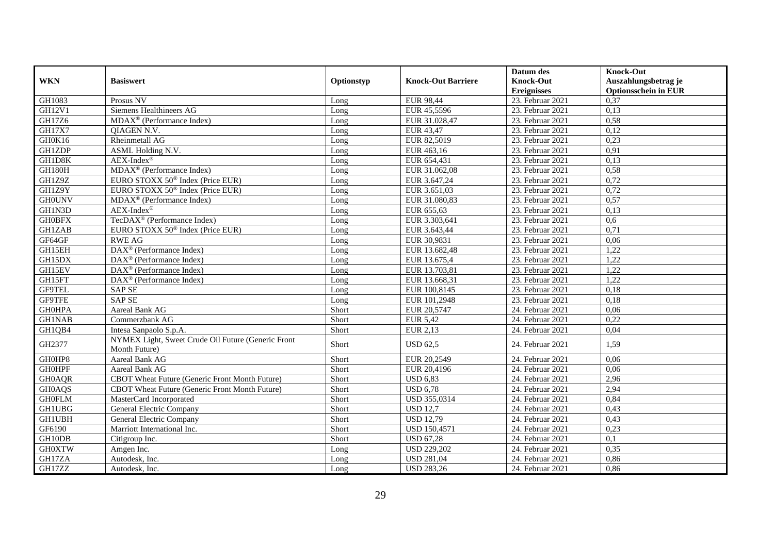|               |                                                       |            |                           | Datum des          | <b>Knock-Out</b>            |
|---------------|-------------------------------------------------------|------------|---------------------------|--------------------|-----------------------------|
| <b>WKN</b>    | <b>Basiswert</b>                                      | Optionstyp | <b>Knock-Out Barriere</b> | <b>Knock-Out</b>   | Auszahlungsbetrag je        |
|               |                                                       |            |                           | <b>Ereignisses</b> | <b>Optionsschein in EUR</b> |
| GH1083        | Prosus NV                                             | Long       | <b>EUR 98,44</b>          | 23. Februar 2021   | 0,37                        |
| <b>GH12V1</b> | Siemens Healthineers AG                               | Long       | EUR 45,5596               | 23. Februar 2021   | 0,13                        |
| GH17Z6        | $MDAX^{\circledR}$ (Performance Index)                | Long       | EUR 31.028,47             | 23. Februar 2021   | 0,58                        |
| <b>GH17X7</b> | QIAGEN N.V.                                           | Long       | <b>EUR 43,47</b>          | 23. Februar 2021   | 0,12                        |
| GH0K16        | Rheinmetall AG                                        | Long       | EUR 82,5019               | 23. Februar 2021   | 0,23                        |
| <b>GH1ZDP</b> | ASML Holding N.V.                                     | Long       | EUR 463,16                | 23. Februar 2021   | 0,91                        |
| GH1D8K        | $AEX-Index^{\circledR}$                               | Long       | EUR 654,431               | 23. Februar 2021   | 0,13                        |
| <b>GH180H</b> | MDAX <sup>®</sup> (Performance Index)                 | Long       | EUR 31.062,08             | 23. Februar 2021   | 0,58                        |
| GH1Z9Z        | EURO STOXX 50 <sup>®</sup> Index (Price EUR)          | Long       | EUR 3.647,24              | 23. Februar 2021   | 0,72                        |
| GH1Z9Y        | EURO STOXX 50 <sup>®</sup> Index (Price EUR)          | Long       | EUR $3.651,03$            | 23. Februar 2021   | 0,72                        |
| <b>GH0UNV</b> | MDAX <sup>®</sup> (Performance Index)                 | Long       | EUR 31.080,83             | 23. Februar 2021   | 0,57                        |
| GH1N3D        | $AEX-Index^{\circledR}$                               | Long       | EUR 655,63                | 23. Februar 2021   | 0,13                        |
| <b>GH0BFX</b> | TecDAX <sup>®</sup> (Performance Index)               | Long       | EUR 3.303,641             | 23. Februar 2021   | 0,6                         |
| <b>GH1ZAB</b> | EURO STOXX 50 <sup>®</sup> Index (Price EUR)          | Long       | EUR 3.643,44              | 23. Februar 2021   | 0,71                        |
| GF64GF        | <b>RWE AG</b>                                         | Long       | EUR 30,9831               | 23. Februar 2021   | 0.06                        |
| GH15EH        | $\overline{\text{DAX}^{\otimes}}$ (Performance Index) | Long       | EUR 13.682,48             | 23. Februar 2021   | 1,22                        |
| GH15DX        | DAX <sup>®</sup> (Performance Index)                  | Long       | EUR 13.675,4              | 23. Februar 2021   | 1,22                        |
| GH15EV        | DAX <sup>®</sup> (Performance Index)                  | Long       | EUR 13.703,81             | 23. Februar 2021   | 1,22                        |
| GH15FT        | DAX <sup>®</sup> (Performance Index)                  | Long       | EUR 13.668,31             | 23. Februar 2021   | 1,22                        |
| <b>GF9TEL</b> | <b>SAP SE</b>                                         | Long       | EUR 100,8145              | 23. Februar 2021   | 0,18                        |
| GF9TFE        | <b>SAP SE</b>                                         | Long       | EUR 101,2948              | 23. Februar 2021   | 0,18                        |
| <b>GH0HPA</b> | Aareal Bank AG                                        | Short      | EUR 20,5747               | 24. Februar 2021   | 0,06                        |
| <b>GH1NAB</b> | Commerzbank AG                                        | Short      | <b>EUR 5,42</b>           | 24. Februar 2021   | 0,22                        |
| GH1QB4        | Intesa Sanpaolo S.p.A.                                | Short      | <b>EUR 2,13</b>           | 24. Februar 2021   | 0,04                        |
| GH2377        | NYMEX Light, Sweet Crude Oil Future (Generic Front    | Short      | <b>USD 62,5</b>           | 24. Februar 2021   | 1,59                        |
|               | Month Future)                                         |            |                           |                    |                             |
| GH0HP8        | Aareal Bank AG                                        | Short      | EUR 20,2549               | 24. Februar 2021   | 0,06                        |
| <b>GH0HPF</b> | Aareal Bank AG                                        | Short      | EUR 20,4196               | 24. Februar 2021   | 0,06                        |
| <b>GH0AQR</b> | CBOT Wheat Future (Generic Front Month Future)        | Short      | <b>USD 6,83</b>           | 24. Februar 2021   | 2,96                        |
| <b>GH0AQS</b> | CBOT Wheat Future (Generic Front Month Future)        | Short      | $\overline{$ USD 6,78     | 24. Februar 2021   | 2,94                        |
| <b>GH0FLM</b> | MasterCard Incorporated                               | Short      | USD 355,0314              | 24. Februar 2021   | 0,84                        |
| <b>GH1UBG</b> | General Electric Company                              | Short      | <b>USD 12,7</b>           | 24. Februar 2021   | 0,43                        |
| <b>GH1UBH</b> | General Electric Company                              | Short      | <b>USD 12,79</b>          | 24. Februar 2021   | 0,43                        |
| GF6190        | Marriott International Inc.                           | Short      | <b>USD 150,4571</b>       | 24. Februar 2021   | 0,23                        |
| GH10DB        | Citigroup Inc.                                        | Short      | <b>USD 67,28</b>          | 24. Februar 2021   | 0,1                         |
| <b>GH0XTW</b> | Amgen Inc.                                            | Long       | <b>USD 229,202</b>        | 24. Februar 2021   | 0,35                        |
| GH17ZA        | Autodesk, Inc.                                        | Long       | <b>USD 281,04</b>         | 24. Februar 2021   | 0,86                        |
| GH17ZZ        | Autodesk, Inc.                                        | Long       | <b>USD 283,26</b>         | 24. Februar 2021   | 0,86                        |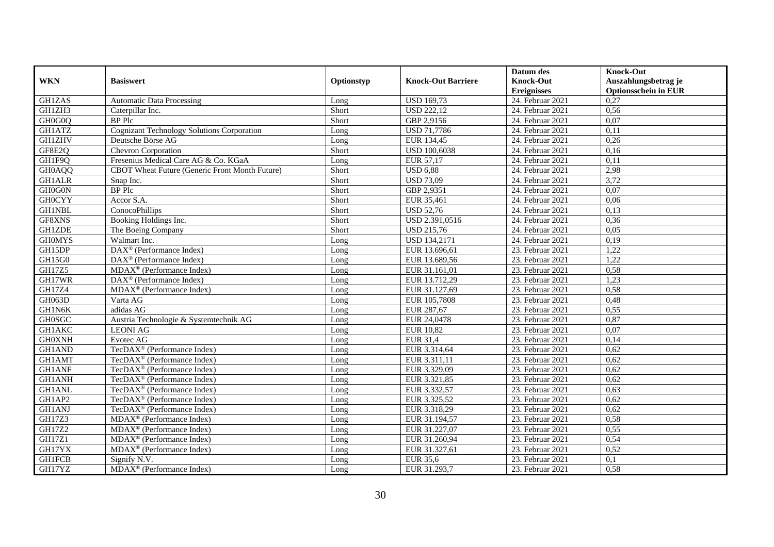|               |                                                   |            |                           | Datum des          | <b>Knock-Out</b>            |
|---------------|---------------------------------------------------|------------|---------------------------|--------------------|-----------------------------|
| <b>WKN</b>    | <b>Basiswert</b>                                  | Optionstyp | <b>Knock-Out Barriere</b> | <b>Knock-Out</b>   | Auszahlungsbetrag je        |
|               |                                                   |            |                           | <b>Ereignisses</b> | <b>Optionsschein in EUR</b> |
| <b>GH1ZAS</b> | <b>Automatic Data Processing</b>                  | Long       | <b>USD 169,73</b>         | 24. Februar 2021   | 0,27                        |
| GH1ZH3        | Caterpillar Inc.                                  | Short      | <b>USD 222,12</b>         | 24. Februar 2021   | 0,56                        |
| GH0G0Q        | <b>BP</b> Plc                                     | Short      | GBP 2,9156                | 24. Februar 2021   | 0,07                        |
| GH1ATZ        | <b>Cognizant Technology Solutions Corporation</b> | Long       | <b>USD 71,7786</b>        | 24. Februar 2021   | 0,11                        |
| <b>GH1ZHV</b> | Deutsche Börse AG                                 | Long       | EUR 134,45                | 24. Februar 2021   | 0,26                        |
| GF8E2Q        | Chevron Corporation                               | Short      | <b>USD 100,6038</b>       | 24. Februar 2021   | 0,16                        |
| GH1F9Q        | Fresenius Medical Care AG & Co. KGaA              | Long       | EUR 57,17                 | $24.$ Februar 2021 | 0,11                        |
| GH0AQQ        | CBOT Wheat Future (Generic Front Month Future)    | Short      | <b>USD 6,88</b>           | 24. Februar 2021   | 2,98                        |
| <b>GH1ALR</b> | Snap Inc.                                         | Short      | <b>USD 73,09</b>          | 24. Februar 2021   | 3,72                        |
| GH0G0N        | <b>BP</b> Plc                                     | Short      | GBP 2,9351                | 24. Februar 2021   | 0,07                        |
| <b>GH0CYY</b> | Accor S.A.                                        | Short      | EUR 35,461                | 24. Februar 2021   | 0,06                        |
| <b>GH1NBL</b> | ConocoPhillips                                    | Short      | <b>USD 52,76</b>          | 24. Februar 2021   | 0,13                        |
| GF8XNS        | Booking Holdings Inc.                             | Short      | USD 2.391,0516            | 24. Februar 2021   | 0,36                        |
| <b>GH1ZDE</b> | The Boeing Company                                | Short      | <b>USD 215,76</b>         | 24. Februar 2021   | 0,05                        |
| <b>GHOMYS</b> | Walmart Inc.                                      | Long       | <b>USD 134,2171</b>       | 24. Februar 2021   | 0,19                        |
| GH15DP        | DAX <sup>®</sup> (Performance Index)              | Long       | EUR 13.696,61             | 23. Februar 2021   | 1,22                        |
| GH15G0        | DAX <sup>®</sup> (Performance Index)              | Long       | EUR 13.689,56             | 23. Februar 2021   | 1,22                        |
| <b>GH17Z5</b> | $MDAX^{\circledR}$ (Performance Index)            | $L$ ong    | EUR 31.161.01             | 23. Februar 2021   | 0,58                        |
| GH17WR        | $DAX^{\otimes}$ (Performance Index)               | Long       | EUR 13.712,29             | 23. Februar 2021   | 1,23                        |
| GH17Z4        | MDAX <sup>®</sup> (Performance Index)             | Long       | EUR 31.127,69             | 23. Februar 2021   | 0,58                        |
| GH063D        | Varta AG                                          | Long       | EUR 105,7808              | 23. Februar 2021   | 0,48                        |
| GH1N6K        | adidas AG                                         | Long       | EUR 287,67                | 23. Februar 2021   | 0,55                        |
| <b>GH0SGC</b> | Austria Technologie & Systemtechnik AG            | Long       | EUR 24,0478               | $23.$ Februar 2021 | 0,87                        |
| <b>GH1AKC</b> | <b>LEONI AG</b>                                   | Long       | <b>EUR 10,82</b>          | 23. Februar 2021   | 0,07                        |
| <b>GH0XNH</b> | Evotec AG                                         | Long       | EUR 31,4                  | 23. Februar 2021   | 0,14                        |
| <b>GH1AND</b> | TecDAX <sup>®</sup> (Performance Index)           | Long       | EUR 3.314,64              | 23. Februar 2021   | 0,62                        |
| GH1AMT        | TecDAX <sup>®</sup> (Performance Index)           | Long       | EUR 3.311,11              | 23. Februar 2021   | 0,62                        |
| <b>GH1ANF</b> | TecDAX <sup>®</sup> (Performance Index)           | Long       | EUR 3.329,09              | 23. Februar 2021   | 0,62                        |
| <b>GH1ANH</b> | TecDAX <sup>®</sup> (Performance Index)           | Long       | EUR 3.321,85              | 23. Februar 2021   | 0,62                        |
| <b>GH1ANL</b> | TecDAX <sup>®</sup> (Performance Index)           | Long       | EUR 3.332,57              | 23. Februar 2021   | 0,63                        |
| GH1AP2        | TecDAX <sup>®</sup> (Performance Index)           | Long       | EUR 3.325,52              | 23. Februar 2021   | 0,62                        |
| GH1ANJ        | TecDAX <sup>®</sup> (Performance Index)           | Long       | EUR 3.318,29              | 23. Februar 2021   | 0,62                        |
| <b>GH17Z3</b> | MDAX <sup>®</sup> (Performance Index)             | Long       | EUR 31.194,57             | 23. Februar 2021   | 0,58                        |
| GH17Z2        | MDAX <sup>®</sup> (Performance Index)             | Long       | EUR 31.227,07             | $23.$ Februar 2021 | 0,55                        |
| GH17Z1        | $MDAX^{\circledR}$ (Performance Index)            | Long       | EUR 31.260,94             | 23. Februar 2021   | 0,54                        |
| GH17YX        | $MDAX^{\circledcirc}$ (Performance Index)         | Long       | EUR 31.327,61             | 23. Februar 2021   | 0,52                        |
| <b>GH1FCB</b> | Signify N.V.                                      | Long       | EUR 35,6                  | 23. Februar 2021   | 0,1                         |
| GH17YZ        | MDAX <sup>®</sup> (Performance Index)             | Long       | EUR 31.293,7              | 23. Februar 2021   | 0,58                        |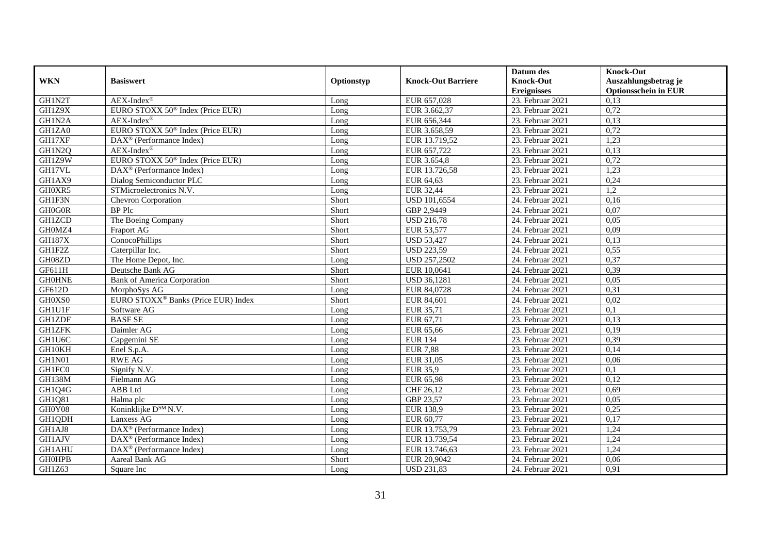|               |                                                 |            |                           | Datum des          | <b>Knock-Out</b>            |
|---------------|-------------------------------------------------|------------|---------------------------|--------------------|-----------------------------|
| <b>WKN</b>    | <b>Basiswert</b>                                | Optionstyp | <b>Knock-Out Barriere</b> | <b>Knock-Out</b>   | Auszahlungsbetrag je        |
|               |                                                 |            |                           | <b>Ereignisses</b> | <b>Optionsschein in EUR</b> |
| GH1N2T        | $AEX-Index^{\circledR}$                         | Long       | EUR 657,028               | 23. Februar 2021   | 0,13                        |
| GH1Z9X        | EURO STOXX 50 <sup>®</sup> Index (Price EUR)    | Long       | EUR 3.662,37              | 23. Februar 2021   | 0,72                        |
| GH1N2A        | $AEX-Index^{\circledR}$                         | Long       | EUR 656,344               | 23. Februar 2021   | 0,13                        |
| GH1ZA0        | EURO STOXX 50 <sup>®</sup> Index (Price EUR)    | Long       | EUR 3.658,59              | 23. Februar 2021   | 0,72                        |
| GH17XF        | DAX <sup>®</sup> (Performance Index)            | Long       | EUR 13.719,52             | 23. Februar 2021   | 1,23                        |
| GH1N2Q        | $AEX-Index^{\circledR}$                         | Long       | EUR 657,722               | 23. Februar 2021   | 0,13                        |
| GH1Z9W        | EURO STOXX 50 <sup>®</sup> Index (Price EUR)    | Long       | EUR 3.654,8               | 23. Februar 2021   | 0,72                        |
| GH17VL        | $DAX^{\circledcirc}$ (Performance Index)        | Long       | EUR 13.726,58             | 23. Februar 2021   | 1,23                        |
| GH1AX9        | Dialog Semiconductor PLC                        | Long       | EUR 64,63                 | 23. Februar 2021   | 0,24                        |
| GH0XR5        | STMicroelectronics N.V.                         | Long       | EUR 32,44                 | 23. Februar 2021   | 1,2                         |
| GH1F3N        | Chevron Corporation                             | Short      | <b>USD 101,6554</b>       | 24. Februar 2021   | 0,16                        |
| GH0G0R        | <b>BP</b> Plc                                   | Short      | GBP 2,9449                | 24. Februar 2021   | 0,07                        |
| <b>GH1ZCD</b> | The Boeing Company                              | Short      | <b>USD 216,78</b>         | 24. Februar 2021   | 0,05                        |
| GH0MZ4        | Fraport AG                                      | Short      | EUR 53,577                | 24. Februar 2021   | 0,09                        |
| <b>GH187X</b> | ConocoPhillips                                  | Short      | <b>USD 53,427</b>         | 24. Februar 2021   | 0,13                        |
| GH1F2Z        | Caterpillar Inc.                                | Short      | <b>USD 223,59</b>         | 24. Februar 2021   | 0,55                        |
| GH08ZD        | The Home Depot, Inc.                            | Long       | <b>USD 257,2502</b>       | 24. Februar 2021   | 0,37                        |
| GF611H        | Deutsche Bank AG                                | Short      | EUR 10,0641               | 24. Februar 2021   | 0,39                        |
| <b>GH0HNE</b> | <b>Bank of America Corporation</b>              | Short      | <b>USD 36,1281</b>        | 24. Februar 2021   | 0,05                        |
| GF612D        | MorphoSys AG                                    | Long       | EUR 84,0728               | 24. Februar 2021   | 0,31                        |
| GH0XS0        | EURO STOXX <sup>®</sup> Banks (Price EUR) Index | Short      | EUR 84,601                | 24. Februar 2021   | 0,02                        |
| <b>GH1U1F</b> | Software AG                                     | Long       | EUR 35,71                 | 23. Februar 2021   | $\overline{0,1}$            |
| <b>GH1ZDF</b> | <b>BASF SE</b>                                  | Long       | EUR 67,71                 | 23. Februar 2021   | 0,13                        |
| <b>GH1ZFK</b> | Daimler AG                                      | Long       | EUR 65,66                 | 23. Februar 2021   | 0,19                        |
| GH1U6C        | Capgemini SE                                    | Long       | <b>EUR 134</b>            | 23. Februar 2021   | 0,39                        |
| GH10KH        | Enel S.p.A.                                     | Long       | <b>EUR 7,88</b>           | 23. Februar 2021   | 0,14                        |
| GH1N01        | <b>RWE AG</b>                                   | Long       | EUR 31,05                 | 23. Februar 2021   | 0,06                        |
| GH1FC0        | Signify N.V.                                    | Long       | <b>EUR 35,9</b>           | 23. Februar 2021   | 0,1                         |
| <b>GH138M</b> | Fielmann AG                                     | Long       | <b>EUR 65,98</b>          | 23. Februar 2021   | 0,12                        |
| GH1Q4G        | ABB Ltd                                         | Long       | CHF 26,12                 | 23. Februar 2021   | 0,69                        |
| GH1Q81        | Halma plc                                       | Long       | GBP 23,57                 | 23. Februar 2021   | 0,05                        |
| GH0Y08        | Koninklijke D <sup>SM</sup> N.V.                | Long       | <b>EUR 138,9</b>          | 23. Februar 2021   | 0,25                        |
| GH1QDH        | Lanxess AG                                      | Long       | EUR 60,77                 | 23. Februar 2021   | 0,17                        |
| GH1AJ8        | $DAX^{\circledR}$ (Performance Index)           | Long       | EUR 13.753,79             | 23. Februar 2021   | 1,24                        |
| <b>GH1AJV</b> | $DAX^{\circledR}$ (Performance Index)           | Long       | EUR 13.739,54             | 23. Februar 2021   | 1,24                        |
| GH1AHU        | DAX <sup>®</sup> (Performance Index)            | Long       | EUR 13.746,63             | 23. Februar 2021   | 1,24                        |
| <b>GH0HPB</b> | Aareal Bank AG                                  | Short      | EUR 20,9042               | 24. Februar 2021   | 0,06                        |
| GH1Z63        | Square Inc                                      | Long       | <b>USD 231,83</b>         | 24. Februar 2021   | 0,91                        |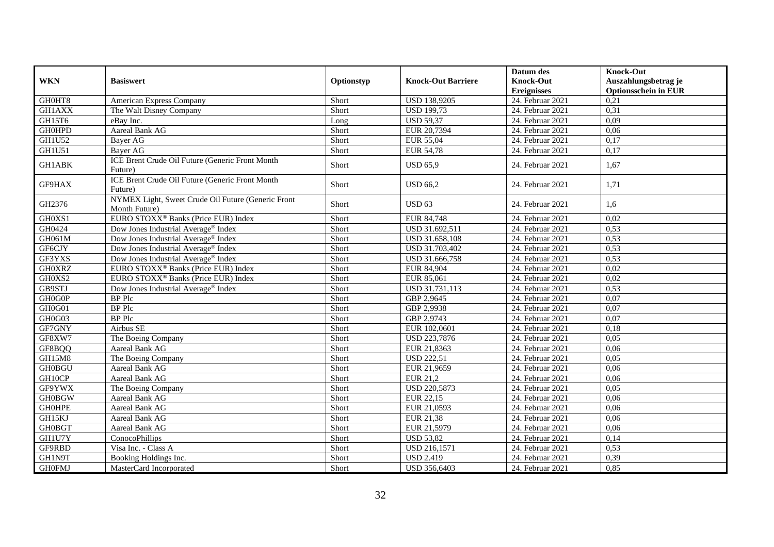|               |                                                                     |            |                           | Datum des          | <b>Knock-Out</b>            |
|---------------|---------------------------------------------------------------------|------------|---------------------------|--------------------|-----------------------------|
| <b>WKN</b>    | <b>Basiswert</b>                                                    | Optionstyp | <b>Knock-Out Barriere</b> | <b>Knock-Out</b>   | Auszahlungsbetrag je        |
|               |                                                                     |            |                           | <b>Ereignisses</b> | <b>Optionsschein in EUR</b> |
| GH0HT8        | American Express Company                                            | Short      | <b>USD 138,9205</b>       | 24. Februar 2021   | 0,21                        |
| <b>GH1AXX</b> | The Walt Disney Company                                             | Short      | <b>USD</b> 199,73         | 24. Februar 2021   | 0,31                        |
| GH15T6        | eBay Inc.                                                           | Long       | <b>USD 59,37</b>          | 24. Februar 2021   | 0,09                        |
| <b>GH0HPD</b> | <b>Aareal Bank AG</b>                                               | Short      | EUR 20,7394               | 24. Februar 2021   | 0,06                        |
| <b>GH1U52</b> | Bayer AG                                                            | Short      | EUR 55,04                 | 24. Februar 2021   | 0,17                        |
| GH1U51        | Bayer AG                                                            | Short      | <b>EUR 54,78</b>          | 24. Februar 2021   | 0,17                        |
| GH1ABK        | ICE Brent Crude Oil Future (Generic Front Month<br>Future)          | Short      | <b>USD 65,9</b>           | 24. Februar 2021   | 1,67                        |
| GF9HAX        | ICE Brent Crude Oil Future (Generic Front Month<br>Future)          | Short      | <b>USD 66,2</b>           | 24. Februar 2021   | 1,71                        |
| GH2376        | NYMEX Light, Sweet Crude Oil Future (Generic Front<br>Month Future) | Short      | <b>USD 63</b>             | 24. Februar 2021   | 1,6                         |
| GH0XS1        | EURO STOXX <sup>®</sup> Banks (Price EUR) Index                     | Short      | EUR 84,748                | 24. Februar 2021   | 0,02                        |
| GH0424        | Dow Jones Industrial Average <sup>®</sup> Index                     | Short      | USD 31.692,511            | 24. Februar 2021   | 0,53                        |
| GH061M        | Dow Jones Industrial Average <sup>®</sup> Index                     | Short      | USD 31.658,108            | 24. Februar 2021   | 0,53                        |
| GF6CJY        | Dow Jones Industrial Average® Index                                 | Short      | USD 31.703,402            | 24. Februar 2021   | 0,53                        |
| GF3YXS        | Dow Jones Industrial Average® Index                                 | Short      | USD 31.666,758            | 24. Februar 2021   | 0,53                        |
| <b>GH0XRZ</b> | EURO STOXX <sup>®</sup> Banks (Price EUR) Index                     | Short      | EUR 84,904                | 24. Februar 2021   | 0,02                        |
| GH0XS2        | EURO STOXX <sup>®</sup> Banks (Price EUR) Index                     | Short      | EUR 85,061                | 24. Februar 2021   | 0,02                        |
| GB9STJ        | Dow Jones Industrial Average® Index                                 | Short      | USD 31.731,113            | 24. Februar 2021   | 0,53                        |
| GH0G0P        | <b>BP</b> Plc                                                       | Short      | GBP 2,9645                | 24. Februar 2021   | 0,07                        |
| GH0G01        | <b>BP</b> Plc                                                       | Short      | GBP 2,9938                | 24. Februar 2021   | 0,07                        |
| GH0G03        | <b>BP</b> Plc                                                       | Short      | GBP 2,9743                | 24. Februar 2021   | 0,07                        |
| GF7GNY        | Airbus SE                                                           | Short      | EUR 102,0601              | 24. Februar 2021   | 0,18                        |
| GF8XW7        | The Boeing Company                                                  | Short      | USD 223,7876              | 24. Februar 2021   | 0,05                        |
| GF8BQQ        | Aareal Bank AG                                                      | Short      | EUR 21,8363               | 24. Februar 2021   | 0,06                        |
| GH15M8        | The Boeing Company                                                  | Short      | <b>USD 222,51</b>         | 24. Februar 2021   | 0.05                        |
| <b>GH0BGU</b> | Aareal Bank AG                                                      | Short      | EUR 21,9659               | 24. Februar 2021   | 0,06                        |
| GH10CP        | Aareal Bank AG                                                      | Short      | EUR 21,2                  | 24. Februar 2021   | 0,06                        |
| GF9YWX        | The Boeing Company                                                  | Short      | <b>USD 220,5873</b>       | 24. Februar 2021   | 0,05                        |
| <b>GH0BGW</b> | Aareal Bank AG                                                      | Short      | EUR 22,15                 | 24. Februar 2021   | 0,06                        |
| <b>GH0HPE</b> | Aareal Bank AG                                                      | Short      | EUR 21,0593               | 24. Februar 2021   | 0,06                        |
| GH15KJ        | Aareal Bank AG                                                      | Short      | EUR 21,38                 | 24. Februar 2021   | 0,06                        |
| <b>GH0BGT</b> | Aareal Bank AG                                                      | Short      | EUR 21,5979               | 24. Februar 2021   | 0,06                        |
| GH1U7Y        | ConocoPhillips                                                      | Short      | <b>USD 53,82</b>          | 24. Februar 2021   | 0,14                        |
| GF9RBD        | Visa Inc. - Class A                                                 | Short      | USD 216,1571              | 24. Februar 2021   | 0,53                        |
| GH1N9T        | Booking Holdings Inc.                                               | Short      | <b>USD 2.419</b>          | 24. Februar 2021   | 0,39                        |
| <b>GH0FMJ</b> | MasterCard Incorporated                                             | Short      | USD 356,6403              | 24. Februar 2021   | 0,85                        |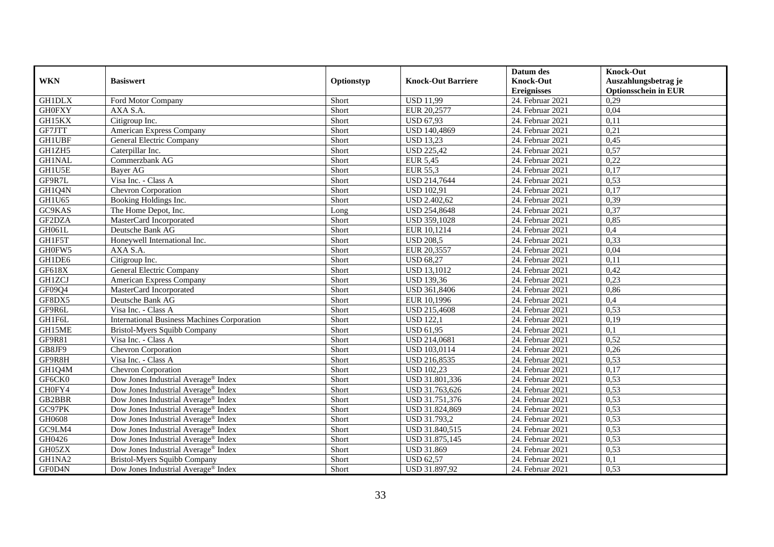|               |                                                    |            |                           | Datum des          | <b>Knock-Out</b>            |
|---------------|----------------------------------------------------|------------|---------------------------|--------------------|-----------------------------|
| <b>WKN</b>    | <b>Basiswert</b>                                   | Optionstyp | <b>Knock-Out Barriere</b> | <b>Knock-Out</b>   | Auszahlungsbetrag je        |
|               |                                                    |            |                           | <b>Ereignisses</b> | <b>Optionsschein in EUR</b> |
| <b>GH1DLX</b> | Ford Motor Company                                 | Short      | <b>USD 11,99</b>          | 24. Februar 2021   | 0,29                        |
| <b>GH0FXY</b> | AXA S.A.                                           | Short      | EUR 20,2577               | 24. Februar 2021   | 0,04                        |
| GH15KX        | Citigroup Inc.                                     | Short      | <b>USD 67,93</b>          | 24. Februar 2021   | 0,11                        |
| GF7JTT        | American Express Company                           | Short      | USD 140,4869              | 24. Februar 2021   | 0,21                        |
| <b>GH1UBF</b> | General Electric Company                           | Short      | <b>USD 13,23</b>          | 24. Februar 2021   | 0,45                        |
| GH1ZH5        | Caterpillar Inc.                                   | Short      | <b>USD 225,42</b>         | 24. Februar 2021   | 0,57                        |
| <b>GH1NAL</b> | Commerzbank AG                                     | Short      | <b>EUR 5,45</b>           | 24. Februar 2021   | 0,22                        |
| GH1U5E        | Bayer AG                                           | Short      | EUR 55,3                  | 24. Februar 2021   | 0,17                        |
| GF9R7L        | Visa Inc. - Class A                                | Short      | USD 214,7644              | 24. Februar 2021   | 0,53                        |
| GH1Q4N        | Chevron Corporation                                | Short      | <b>USD 102,91</b>         | 24. Februar 2021   | 0,17                        |
| GH1U65        | Booking Holdings Inc.                              | Short      | <b>USD 2.402,62</b>       | 24. Februar 2021   | 0,39                        |
| GC9KAS        | The Home Depot, Inc.                               | Long       | <b>USD 254,8648</b>       | 24. Februar 2021   | 0,37                        |
| GF2DZA        | MasterCard Incorporated                            | Short      | <b>USD 359,1028</b>       | 24. Februar 2021   | 0,85                        |
| GH061L        | Deutsche Bank AG                                   | Short      | EUR 10,1214               | 24. Februar 2021   | 0,4                         |
| GH1F5T        | Honeywell International Inc.                       | Short      | <b>USD 208,5</b>          | 24. Februar 2021   | 0,33                        |
| GH0FW5        | AXA S.A.                                           | Short      | EUR 20,3557               | 24. Februar 2021   | 0,04                        |
| GH1DE6        | Citigroup Inc.                                     | Short      | <b>USD 68,27</b>          | 24. Februar 2021   | 0,11                        |
| GF618X        | General Electric Company                           | Short      | <b>USD</b> 13,1012        | 24. Februar 2021   | 0,42                        |
| <b>GH1ZCJ</b> | American Express Company                           | Short      | <b>USD 139,36</b>         | 24. Februar 2021   | 0,23                        |
| GF09Q4        | MasterCard Incorporated                            | Short      | USD 361,8406              | 24. Februar 2021   | 0,86                        |
| GF8DX5        | Deutsche Bank AG                                   | Short      | EUR 10,1996               | 24. Februar 2021   | 0,4                         |
| GF9R6L        | Visa Inc. - Class A                                | Short      | <b>USD 215,4608</b>       | 24. Februar 2021   | 0,53                        |
| GH1F6L        | <b>International Business Machines Corporation</b> | Short      | <b>USD 122,1</b>          | 24. Februar 2021   | 0,19                        |
| GH15ME        | Bristol-Myers Squibb Company                       | Short      | <b>USD 61,95</b>          | 24. Februar 2021   | 0,1                         |
| <b>GF9R81</b> | Visa Inc. - Class A                                | Short      | <b>USD 214,0681</b>       | 24. Februar 2021   | 0,52                        |
| GB8JF9        | Chevron Corporation                                | Short      | <b>USD 103,0114</b>       | 24. Februar 2021   | 0,26                        |
| GF9R8H        | Visa Inc. - Class A                                | Short      | USD 216,8535              | 24. Februar 2021   | 0,53                        |
| GH1Q4M        | <b>Chevron Corporation</b>                         | Short      | <b>USD 102,23</b>         | 24. Februar 2021   | 0,17                        |
| GF6CK0        | Dow Jones Industrial Average <sup>®</sup> Index    | Short      | USD 31.801,336            | 24. Februar 2021   | 0,53                        |
| CH0FY4        | Dow Jones Industrial Average <sup>®</sup> Index    | Short      | USD 31.763,626            | 24. Februar 2021   | 0,53                        |
| GB2BBR        | Dow Jones Industrial Average <sup>®</sup> Index    | Short      | USD 31.751,376            | 24. Februar 2021   | 0,53                        |
| GC97PK        | Dow Jones Industrial Average <sup>®</sup> Index    | Short      | USD 31.824,869            | 24. Februar 2021   | 0,53                        |
| GH0608        | Dow Jones Industrial Average <sup>®</sup> Index    | Short      | USD 31.793,2              | 24. Februar 2021   | 0,53                        |
| GC9LM4        | Dow Jones Industrial Average® Index                | Short      | USD 31.840,515            | 24. Februar 2021   | 0,53                        |
| GH0426        | Dow Jones Industrial Average® Index                | Short      | USD 31.875,145            | 24. Februar 2021   | 0,53                        |
| GH05ZX        | Dow Jones Industrial Average <sup>®</sup> Index    | Short      | <b>USD 31.869</b>         | 24. Februar 2021   | 0,53                        |
| GH1NA2        | Bristol-Myers Squibb Company                       | Short      | <b>USD 62,57</b>          | 24. Februar 2021   | 0,1                         |
| GF0D4N        | Dow Jones Industrial Average <sup>®</sup> Index    | Short      | USD 31.897,92             | 24. Februar 2021   | 0,53                        |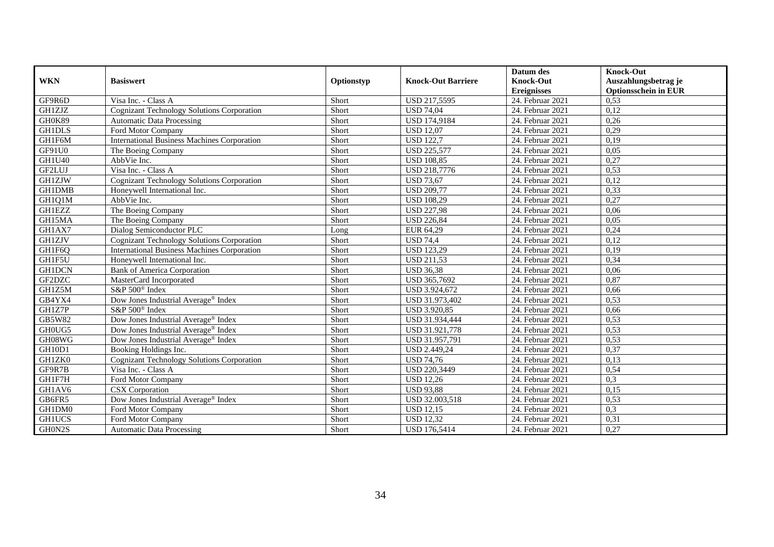| <b>WKN</b>    | <b>Basiswert</b>                                   | Optionstyp | <b>Knock-Out Barriere</b> | Datum des<br><b>Knock-Out</b><br><b>Ereignisses</b> | <b>Knock-Out</b><br>Auszahlungsbetrag je<br><b>Optionsschein in EUR</b> |
|---------------|----------------------------------------------------|------------|---------------------------|-----------------------------------------------------|-------------------------------------------------------------------------|
| GF9R6D        | Visa Inc. - Class A                                | Short      | USD 217,5595              | 24. Februar 2021                                    | 0,53                                                                    |
| <b>GH1ZJZ</b> | Cognizant Technology Solutions Corporation         | Short      | <b>USD 74,04</b>          | 24. Februar 2021                                    | 0,12                                                                    |
| GH0K89        | <b>Automatic Data Processing</b>                   | Short      | <b>USD 174,9184</b>       | 24. Februar 2021                                    | 0,26                                                                    |
| <b>GH1DLS</b> | Ford Motor Company                                 | Short      | <b>USD 12,07</b>          | 24. Februar 2021                                    | 0,29                                                                    |
| GH1F6M        | <b>International Business Machines Corporation</b> | Short      | <b>USD 122,7</b>          | 24. Februar 2021                                    | 0,19                                                                    |
| GF91U0        | The Boeing Company                                 | Short      | <b>USD 225,577</b>        | 24. Februar 2021                                    | 0,05                                                                    |
| <b>GH1U40</b> | AbbVie Inc.                                        | Short      | <b>USD 108.85</b>         | 24. Februar 2021                                    | 0,27                                                                    |
| GF2LUJ        | Visa Inc. - Class A                                | Short      | <b>USD 218,7776</b>       | 24. Februar 2021                                    | 0,53                                                                    |
| <b>GH1ZJW</b> | <b>Cognizant Technology Solutions Corporation</b>  | Short      | <b>USD 73,67</b>          | 24. Februar 2021                                    | 0,12                                                                    |
| <b>GH1DMB</b> | Honeywell International Inc.                       | Short      | <b>USD 209,77</b>         | 24. Februar 2021                                    | 0,33                                                                    |
| GH1Q1M        | AbbVie Inc.                                        | Short      | <b>USD 108,29</b>         | 24. Februar 2021                                    | 0,27                                                                    |
| <b>GH1EZZ</b> | The Boeing Company                                 | Short      | <b>USD 227,98</b>         | 24. Februar 2021                                    | 0,06                                                                    |
| GH15MA        | The Boeing Company                                 | Short      | <b>USD 226,84</b>         | 24. Februar 2021                                    | 0,05                                                                    |
| GH1AX7        | Dialog Semiconductor PLC                           | Long       | EUR 64,29                 | 24. Februar 2021                                    | 0,24                                                                    |
| <b>GH1ZJV</b> | Cognizant Technology Solutions Corporation         | Short      | <b>USD 74,4</b>           | 24. Februar 2021                                    | 0,12                                                                    |
| GH1F6Q        | <b>International Business Machines Corporation</b> | Short      | <b>USD 123,29</b>         | 24. Februar 2021                                    | 0,19                                                                    |
| GH1F5U        | Honeywell International Inc.                       | Short      | <b>USD 211,53</b>         | 24. Februar 2021                                    | 0,34                                                                    |
| <b>GH1DCN</b> | <b>Bank of America Corporation</b>                 | Short      | <b>USD 36,38</b>          | 24. Februar 2021                                    | 0,06                                                                    |
| GF2DZC        | MasterCard Incorporated                            | Short      | USD 365,7692              | 24. Februar 2021                                    | 0,87                                                                    |
| GH1Z5M        | S&P $500^\circ$ Index                              | Short      | USD 3.924,672             | 24. Februar 2021                                    | 0,66                                                                    |
| GB4YX4        | Dow Jones Industrial Average® Index                | Short      | USD 31.973,402            | 24. Februar 2021                                    | 0,53                                                                    |
| GH1Z7P        | S&P 500 <sup>®</sup> Index                         | Short      | <b>USD 3.920,85</b>       | $24.$ Februar 2021                                  | 0,66                                                                    |
| GB5W82        | Dow Jones Industrial Average® Index                | Short      | USD 31.934,444            | 24. Februar 2021                                    | 0,53                                                                    |
| GH0UG5        | Dow Jones Industrial Average® Index                | Short      | USD 31.921,778            | 24. Februar 2021                                    | 0,53                                                                    |
| GH08WG        | Dow Jones Industrial Average® Index                | Short      | USD 31.957,791            | 24. Februar 2021                                    | 0,53                                                                    |
| GH10D1        | Booking Holdings Inc.                              | Short      | <b>USD 2.449,24</b>       | 24. Februar 2021                                    | 0,37                                                                    |
| GH1ZK0        | Cognizant Technology Solutions Corporation         | Short      | <b>USD 74,76</b>          | 24. Februar 2021                                    | 0,13                                                                    |
| GF9R7B        | Visa Inc. - Class A                                | Short      | USD 220,3449              | 24. Februar 2021                                    | 0,54                                                                    |
| GH1F7H        | Ford Motor Company                                 | Short      | <b>USD 12,26</b>          | 24. Februar 2021                                    | 0,3                                                                     |
| GH1AV6        | <b>CSX</b> Corporation                             | Short      | <b>USD 93,88</b>          | 24. Februar 2021                                    | 0,15                                                                    |
| GB6FR5        | Dow Jones Industrial Average® Index                | Short      | USD 32.003,518            | 24. Februar 2021                                    | 0,53                                                                    |
| GH1DM0        | Ford Motor Company                                 | Short      | $\overline{$ USD 12,15    | 24. Februar 2021                                    | 0,3                                                                     |
| <b>GH1UCS</b> | Ford Motor Company                                 | Short      | <b>USD 12,32</b>          | 24. Februar 2021                                    | 0,31                                                                    |
| GH0N2S        | <b>Automatic Data Processing</b>                   | Short      | <b>USD 176,5414</b>       | 24. Februar 2021                                    | 0,27                                                                    |